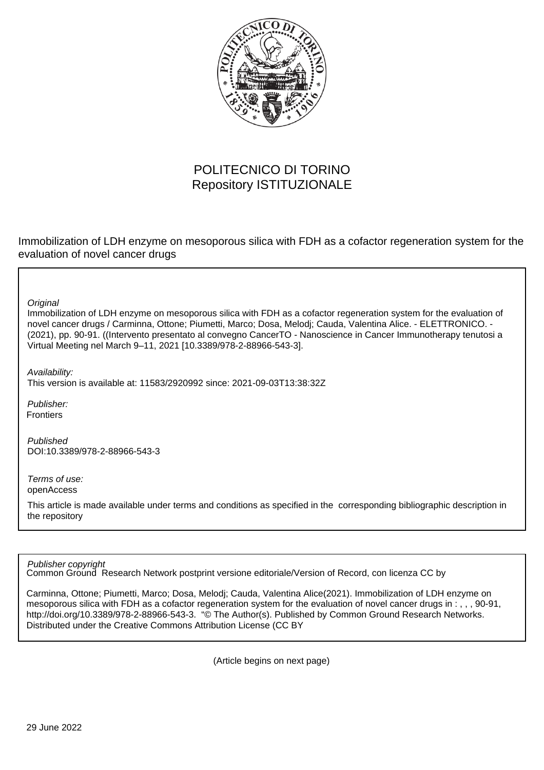

# POLITECNICO DI TORINO Repository ISTITUZIONALE

Immobilization of LDH enzyme on mesoporous silica with FDH as a cofactor regeneration system for the evaluation of novel cancer drugs

**Original** 

Immobilization of LDH enzyme on mesoporous silica with FDH as a cofactor regeneration system for the evaluation of novel cancer drugs / Carminna, Ottone; Piumetti, Marco; Dosa, Melodj; Cauda, Valentina Alice. - ELETTRONICO. - (2021), pp. 90-91. ((Intervento presentato al convegno CancerTO - Nanoscience in Cancer Immunotherapy tenutosi a Virtual Meeting nel March 9–11, 2021 [10.3389/978-2-88966-543-3].

Availability:

This version is available at: 11583/2920992 since: 2021-09-03T13:38:32Z

Publisher: **Frontiers** 

Published DOI:10.3389/978-2-88966-543-3

Terms of use: openAccess

This article is made available under terms and conditions as specified in the corresponding bibliographic description in the repository

Publisher copyright

Common Ground Research Network postprint versione editoriale/Version of Record, con licenza CC by

Carminna, Ottone; Piumetti, Marco; Dosa, Melodj; Cauda, Valentina Alice(2021). Immobilization of LDH enzyme on mesoporous silica with FDH as a cofactor regeneration system for the evaluation of novel cancer drugs in : , , , 90-91, http://doi.org/10.3389/978-2-88966-543-3. "© The Author(s). Published by Common Ground Research Networks. Distributed under the Creative Commons Attribution License (CC BY

(Article begins on next page)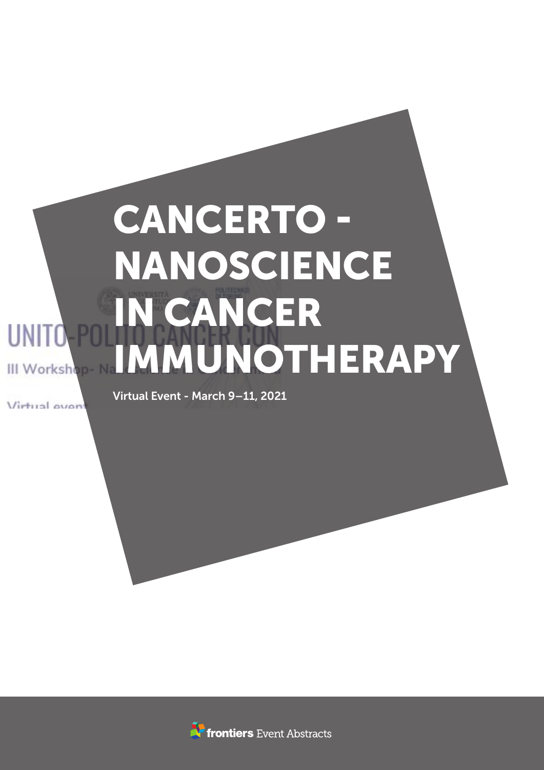# CANCERTO - NANOSCIENCE IN CANCER IMMUNOTHERAPY

Vietual avoir

Virtual Event - March 9–11, 2021

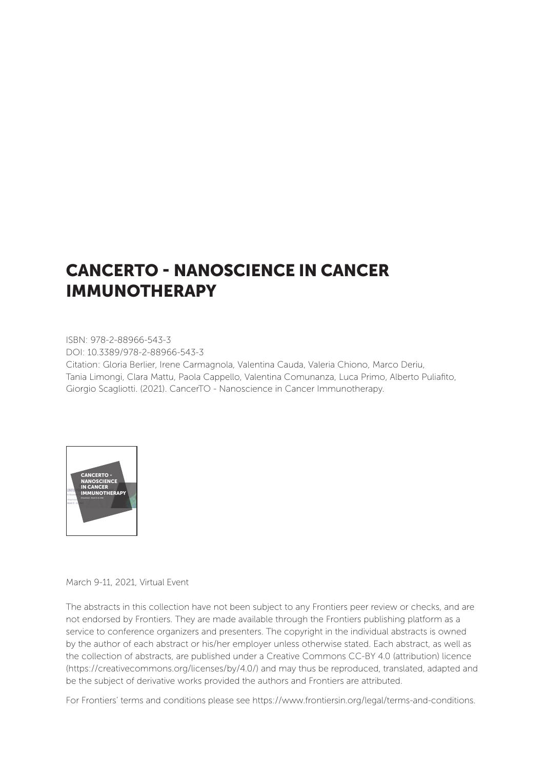## CANCERTO - NANOSCIENCE IN CANCER IMMUNOTHERAPY

ISBN: 978-2-88966-543-3 DOI: 10.3389/978-2-88966-543-3

Citation: Gloria Berlier, Irene Carmagnola, Valentina Cauda, Valeria Chiono, Marco Deriu, Tania Limongi, Clara Mattu, Paola Cappello, Valentina Comunanza, Luca Primo, Alberto Puliafito, Giorgio Scagliotti. (2021). CancerTO - Nanoscience in Cancer Immunotherapy.



March 9-11, 2021, Virtual Event

The abstracts in this collection have not been subject to any Frontiers peer review or checks, and are not endorsed by Frontiers. They are made available through the Frontiers publishing platform as a service to conference organizers and presenters. The copyright in the individual abstracts is owned by the author of each abstract or his/her employer unless otherwise stated. Each abstract, as well as the collection of abstracts, are published under a Creative Commons CC-BY 4.0 (attribution) licence (https://creativecommons.org/licenses/by/4.0/) and may thus be reproduced, translated, adapted and be the subject of derivative works provided the authors and Frontiers are attributed.

For Frontiers' terms and conditions please see https://www.frontiersin.org/legal/terms-and-conditions.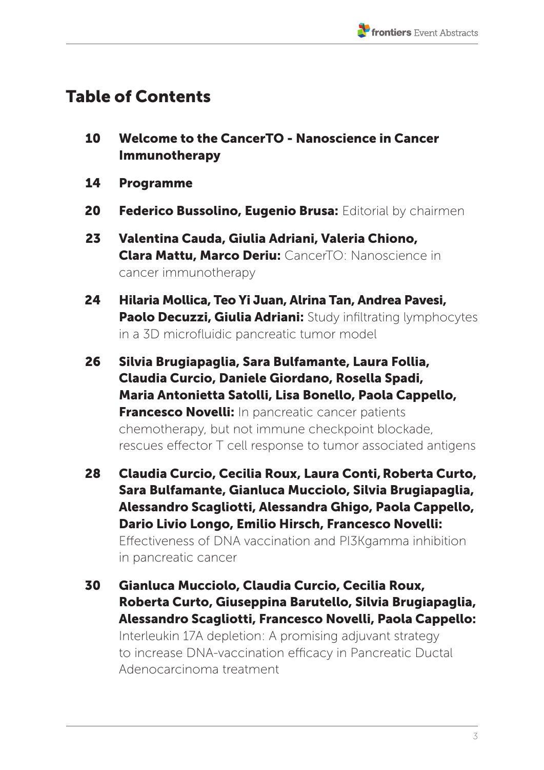## Table of Contents

- 10 Welcome to the CancerTO Nanoscience in Cancer Immunotherapy
- 14 Programme
- 20 Federico Bussolino, Eugenio Brusa: Editorial by chairmen
- 23 Valentina Cauda, Giulia Adriani, Valeria Chiono, Clara Mattu, Marco Deriu: CancerTO: Nanoscience in cancer immunotherapy
- 24 Hilaria Mollica, Teo Yi Juan, Alrina Tan, Andrea Pavesi, Paolo Decuzzi, Giulia Adriani: Study infiltrating lymphocytes in a 3D microfluidic pancreatic tumor model
- 26 Silvia Brugiapaglia, Sara Bulfamante, Laura Follia, Claudia Curcio, Daniele Giordano, Rosella Spadi, Maria Antonietta Satolli, Lisa Bonello, Paola Cappello, **Francesco Novelli:** In pancreatic cancer patients chemotherapy, but not immune checkpoint blockade, rescues effector T cell response to tumor associated antigens
- 28 Claudia Curcio, Cecilia Roux, Laura Conti,Roberta Curto, Sara Bulfamante, Gianluca Mucciolo, Silvia Brugiapaglia, Alessandro Scagliotti, Alessandra Ghigo, Paola Cappello, Dario Livio Longo, Emilio Hirsch, Francesco Novelli: Effectiveness of DNA vaccination and PI3Kgamma inhibition in pancreatic cancer
- 30 Gianluca Mucciolo, Claudia Curcio, Cecilia Roux, Roberta Curto, Giuseppina Barutello, Silvia Brugiapaglia, Alessandro Scagliotti, Francesco Novelli, Paola Cappello: Interleukin 17A depletion: A promising adjuvant strategy to increase DNA-vaccination efficacy in Pancreatic Ductal Adenocarcinoma treatment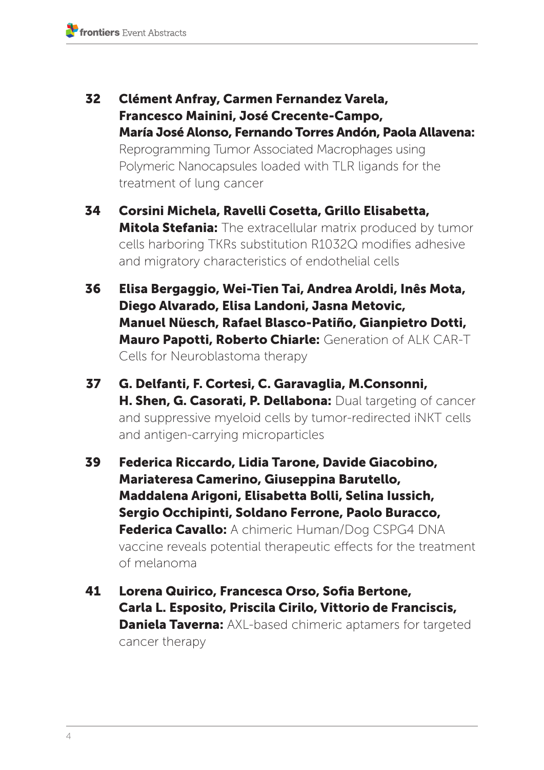- 32 Clément Anfray, Carmen Fernandez Varela, Francesco Mainini, José Crecente-Campo, María José Alonso, Fernando Torres Andón, Paola Allavena: Reprogramming Tumor Associated Macrophages using Polymeric Nanocapsules loaded with TLR ligands for the treatment of lung cancer
- 34 Corsini Michela, Ravelli Cosetta, Grillo Elisabetta, **Mitola Stefania:** The extracellular matrix produced by tumor cells harboring TKRs substitution R1032Q modifies adhesive and migratory characteristics of endothelial cells
- 36 Elisa Bergaggio, Wei-Tien Tai, Andrea Aroldi, Inês Mota, Diego Alvarado, Elisa Landoni, Jasna Metovic, Manuel Nüesch, Rafael Blasco-Patiño, Gianpietro Dotti, Mauro Papotti, Roberto Chiarle: Generation of ALK CAR-T Cells for Neuroblastoma therapy
- 37 G. Delfanti, F. Cortesi, C. Garavaglia, M.Consonni, H. Shen, G. Casorati, P. Dellabona: Dual targeting of cancer and suppressive myeloid cells by tumor-redirected iNKT cells and antigen-carrying microparticles
- 39 Federica Riccardo, Lidia Tarone, Davide Giacobino, Mariateresa Camerino, Giuseppina Barutello, Maddalena Arigoni, Elisabetta Bolli, Selina Iussich, Sergio Occhipinti, Soldano Ferrone, Paolo Buracco, Federica Cavallo: A chimeric Human/Dog CSPG4 DNA vaccine reveals potential therapeutic effects for the treatment of melanoma
- 41 Lorena Quirico, Francesca Orso, Sofia Bertone, Carla L. Esposito, Priscila Cirilo, Vittorio de Franciscis, **Daniela Taverna:** AXL-based chimeric aptamers for targeted cancer therapy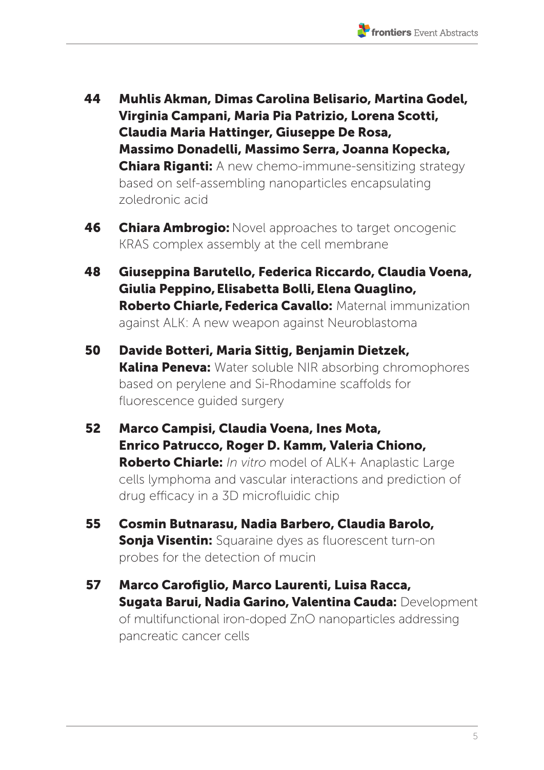- 44 Muhlis Akman, Dimas Carolina Belisario, Martina Godel, Virginia Campani, Maria Pia Patrizio, Lorena Scotti, Claudia Maria Hattinger, Giuseppe De Rosa, Massimo Donadelli, Massimo Serra, Joanna Kopecka, **Chiara Riganti:** A new chemo-immune-sensitizing strategy based on self-assembling nanoparticles encapsulating zoledronic acid
- **46 Chiara Ambrogio:** Novel approaches to target oncogenic KRAS complex assembly at the cell membrane
- 48 Giuseppina Barutello, Federica Riccardo, Claudia Voena, Giulia Peppino,Elisabetta Bolli,Elena Quaglino, Roberto Chiarle, Federica Cavallo: Maternal immunization against ALK: A new weapon against Neuroblastoma
- 50 Davide Botteri, Maria Sittig, Benjamin Dietzek, **Kalina Peneva:** Water soluble NIR absorbing chromophores based on perylene and Si-Rhodamine scaffolds for fluorescence guided surgery
- 52 Marco Campisi, Claudia Voena, Ines Mota, Enrico Patrucco, Roger D. Kamm, Valeria Chiono, Roberto Chiarle: *In vitro* model of ALK+ Anaplastic Large cells lymphoma and vascular interactions and prediction of drug efficacy in a 3D microfluidic chip
- 55 Cosmin Butnarasu, Nadia Barbero, Claudia Barolo, **Sonja Visentin:** Squaraine dyes as fluorescent turn-on probes for the detection of mucin
- 57 Marco Carofiglio, Marco Laurenti, Luisa Racca, Sugata Barui, Nadia Garino, Valentina Cauda: Development of multifunctional iron-doped ZnO nanoparticles addressing pancreatic cancer cells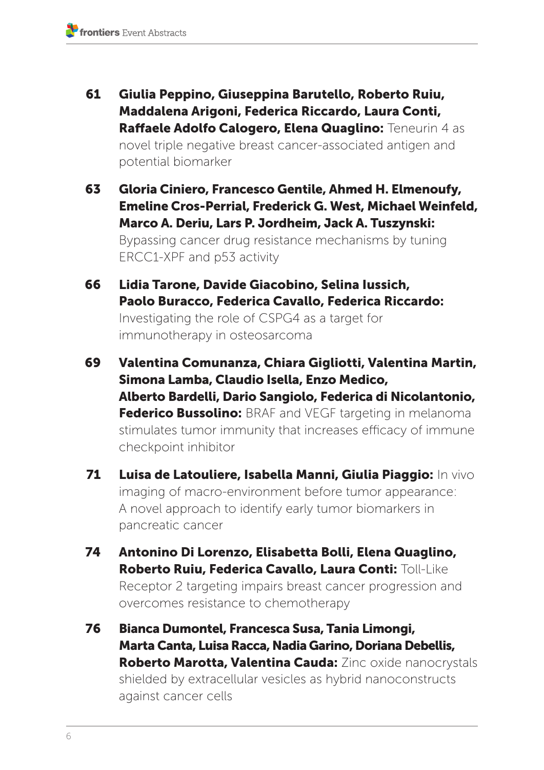- 61 Giulia Peppino, Giuseppina Barutello, Roberto Ruiu, Maddalena Arigoni, Federica Riccardo, Laura Conti, Raffaele Adolfo Calogero, Elena Quaglino: Teneurin 4 as novel triple negative breast cancer-associated antigen and potential biomarker
- 63 Gloria Ciniero, Francesco Gentile, Ahmed H. Elmenoufy, Emeline Cros-Perrial, Frederick G. West, Michael Weinfeld, Marco A. Deriu, Lars P. Jordheim, Jack A. Tuszynski: Bypassing cancer drug resistance mechanisms by tuning ERCC1-XPF and p53 activity
- 66 Lidia Tarone, Davide Giacobino, Selina Iussich, Paolo Buracco, Federica Cavallo, Federica Riccardo: Investigating the role of CSPG4 as a target for immunotherapy in osteosarcoma
- 69 Valentina Comunanza, Chiara Gigliotti, Valentina Martin, Simona Lamba, Claudio Isella, Enzo Medico, Alberto Bardelli, Dario Sangiolo, Federica di Nicolantonio, Federico Bussolino: BRAF and VEGF targeting in melanoma stimulates tumor immunity that increases efficacy of immune checkpoint inhibitor
- 71 Luisa de Latouliere, Isabella Manni, Giulia Piaggio: In vivo imaging of macro-environment before tumor appearance: A novel approach to identify early tumor biomarkers in pancreatic cancer
- 74 Antonino Di Lorenzo, Elisabetta Bolli, Elena Quaglino, Roberto Ruiu, Federica Cavallo, Laura Conti: Toll-Like Receptor 2 targeting impairs breast cancer progression and overcomes resistance to chemotherapy
- 76 Bianca Dumontel, Francesca Susa, Tania Limongi, Marta Canta, Luisa Racca, Nadia Garino, Doriana Debellis, Roberto Marotta, Valentina Cauda: Zinc oxide nanocrystals shielded by extracellular vesicles as hybrid nanoconstructs against cancer cells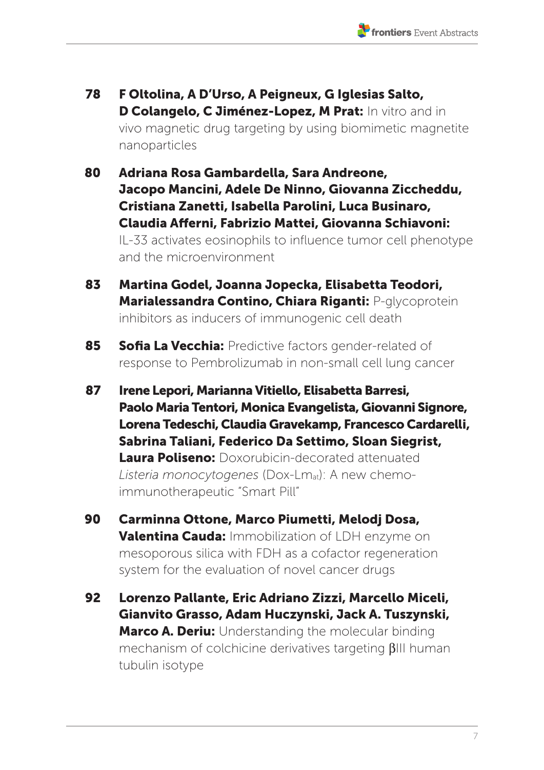- 78 F Oltolina, A D'Urso, A Peigneux, G Iglesias Salto, D Colangelo, C Jiménez-Lopez, M Prat: In vitro and in vivo magnetic drug targeting by using biomimetic magnetite nanoparticles
- 80 Adriana Rosa Gambardella, Sara Andreone, Jacopo Mancini, Adele De Ninno, Giovanna Ziccheddu, Cristiana Zanetti, Isabella Parolini, Luca Businaro, Claudia Afferni, Fabrizio Mattei, Giovanna Schiavoni: IL-33 activates eosinophils to influence tumor cell phenotype and the microenvironment
- 83 Martina Godel, Joanna Jopecka, Elisabetta Teodori, Marialessandra Contino, Chiara Riganti: P-glycoprotein inhibitors as inducers of immunogenic cell death
- 85 Sofia La Vecchia: Predictive factors gender-related of response to Pembrolizumab in non-small cell lung cancer
- 87 Irene Lepori, Marianna Vitiello, Elisabetta Barresi, Paolo Maria Tentori, Monica Evangelista, Giovanni Signore, Lorena Tedeschi, Claudia Gravekamp, Francesco Cardarelli, Sabrina Taliani, Federico Da Settimo, Sloan Siegrist, Laura Poliseno: Doxorubicin-decorated attenuated *Listeria monocytogenes* (Dox-Lmat): A new chemoimmunotherapeutic "Smart Pill"
- 90 Carminna Ottone, Marco Piumetti, Melodj Dosa, Valentina Cauda: Immobilization of LDH enzyme on mesoporous silica with FDH as a cofactor regeneration system for the evaluation of novel cancer drugs
- 92 Lorenzo Pallante, Eric Adriano Zizzi, Marcello Miceli, Gianvito Grasso, Adam Huczynski, Jack A. Tuszynski, Marco A. Deriu: Understanding the molecular binding mechanism of colchicine derivatives targeting  $\beta$ III human tubulin isotype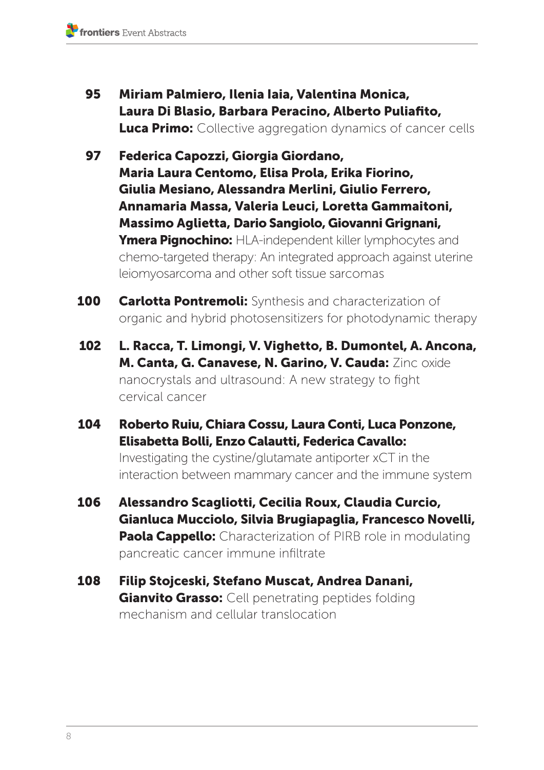- 95 Miriam Palmiero, Ilenia Iaia, Valentina Monica, Laura Di Blasio, Barbara Peracino, Alberto Puliafito, **Luca Primo:** Collective aggregation dynamics of cancer cells
- 97 Federica Capozzi, Giorgia Giordano, Maria Laura Centomo, Elisa Prola, Erika Fiorino, Giulia Mesiano, Alessandra Merlini, Giulio Ferrero, Annamaria Massa, Valeria Leuci, Loretta Gammaitoni, Massimo Aglietta, Dario Sangiolo, Giovanni Grignani, Ymera Pignochino: HLA-independent killer lymphocytes and chemo-targeted therapy: An integrated approach against uterine leiomyosarcoma and other soft tissue sarcomas
- **100 Carlotta Pontremoli:** Synthesis and characterization of organic and hybrid photosensitizers for photodynamic therapy
- 102 L. Racca, T. Limongi, V. Vighetto, B. Dumontel, A. Ancona, M. Canta, G. Canavese, N. Garino, V. Cauda: Zinc oxide nanocrystals and ultrasound: A new strategy to fight cervical cancer
- 104 Roberto Ruiu, Chiara Cossu, Laura Conti, Luca Ponzone, Elisabetta Bolli, Enzo Calautti, Federica Cavallo:

Investigating the cystine/glutamate antiporter xCT in the interaction between mammary cancer and the immune system

- 106 Alessandro Scagliotti, Cecilia Roux, Claudia Curcio, Gianluca Mucciolo, Silvia Brugiapaglia, Francesco Novelli, **Paola Cappello:** Characterization of PIRB role in modulating pancreatic cancer immune infiltrate
- 108 Filip Stojceski, Stefano Muscat, Andrea Danani, **Gianvito Grasso:** Cell penetrating peptides folding mechanism and cellular translocation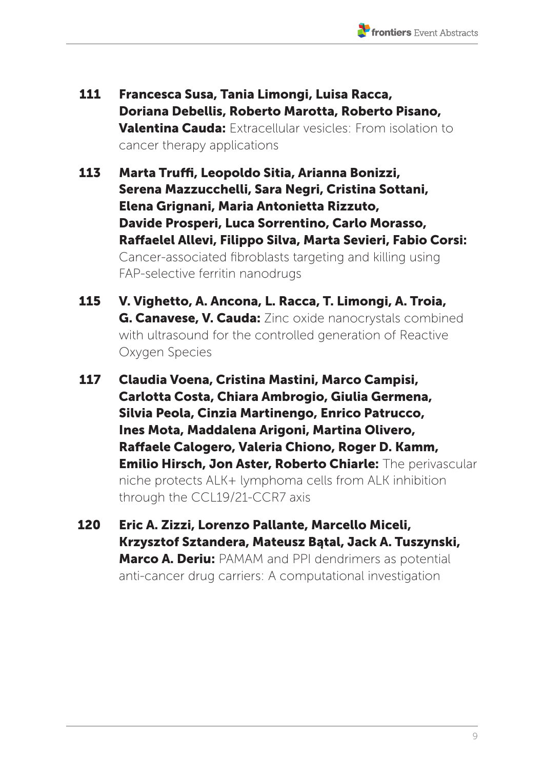- 111 Francesca Susa, Tania Limongi, Luisa Racca, Doriana Debellis, Roberto Marotta, Roberto Pisano, Valentina Cauda: Extracellular vesicles: From isolation to cancer therapy applications
- 113 Marta Truffi, Leopoldo Sitia, Arianna Bonizzi, Serena Mazzucchelli, Sara Negri, Cristina Sottani, Elena Grignani, Maria Antonietta Rizzuto, Davide Prosperi, Luca Sorrentino, Carlo Morasso, Raffaelel Allevi, Filippo Silva, Marta Sevieri, Fabio Corsi: Cancer-associated fibroblasts targeting and killing using FAP-selective ferritin nanodrugs
- 115 V. Vighetto, A. Ancona, L. Racca, T. Limongi, A. Troia, **G. Canavese, V. Cauda:** Zinc oxide nanocrystals combined with ultrasound for the controlled generation of Reactive Oxygen Species
- 117 Claudia Voena, Cristina Mastini, Marco Campisi, Carlotta Costa, Chiara Ambrogio, Giulia Germena, Silvia Peola, Cinzia Martinengo, Enrico Patrucco, Ines Mota, Maddalena Arigoni, Martina Olivero, Raffaele Calogero, Valeria Chiono, Roger D. Kamm, Emilio Hirsch, Jon Aster, Roberto Chiarle: The perivascular niche protects ALK+ lymphoma cells from ALK inhibition through the CCL19/21-CCR7 axis
- 120 Eric A. Zizzi, Lorenzo Pallante, Marcello Miceli, Krzysztof Sztandera, Mateusz Bątal, Jack A. Tuszynski, **Marco A. Deriu:** PAMAM and PPI dendrimers as potential anti-cancer drug carriers: A computational investigation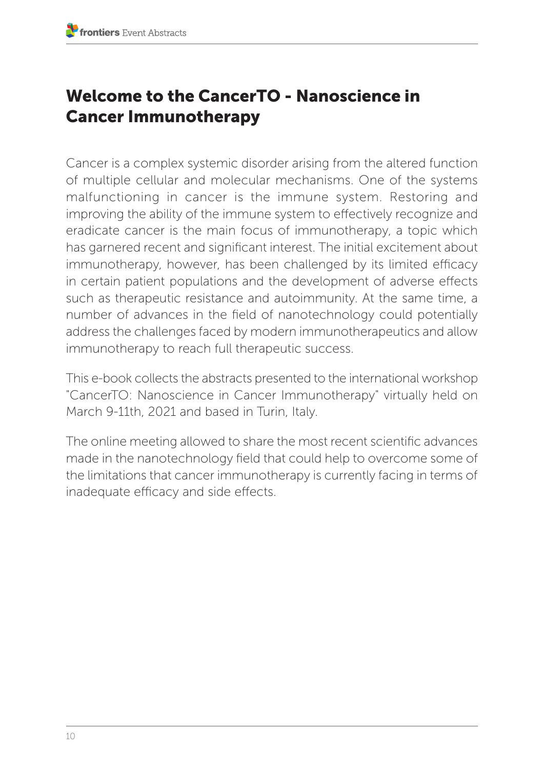## Welcome to the CancerTO - Nanoscience in Cancer Immunotherapy

Cancer is a complex systemic disorder arising from the altered function of multiple cellular and molecular mechanisms. One of the systems malfunctioning in cancer is the immune system. Restoring and improving the ability of the immune system to effectively recognize and eradicate cancer is the main focus of immunotherapy, a topic which has garnered recent and significant interest. The initial excitement about immunotherapy, however, has been challenged by its limited efficacy in certain patient populations and the development of adverse effects such as therapeutic resistance and autoimmunity. At the same time, a number of advances in the field of nanotechnology could potentially address the challenges faced by modern immunotherapeutics and allow immunotherapy to reach full therapeutic success.

This e-book collects the abstracts presented to the international workshop "CancerTO: Nanoscience in Cancer Immunotherapy" virtually held on March 9-11th, 2021 and based in Turin, Italy.

The online meeting allowed to share the most recent scientific advances made in the nanotechnology field that could help to overcome some of the limitations that cancer immunotherapy is currently facing in terms of inadequate efficacy and side effects.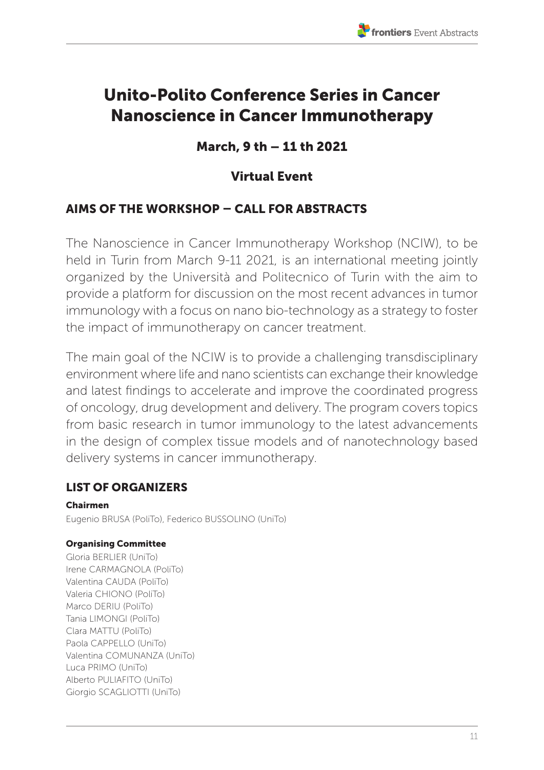## Unito-Polito Conference Series in Cancer Nanoscience in Cancer Immunotherapy

## March, 9 th – 11 th 2021

## Virtual Event

#### AIMS OF THE WORKSHOP – CALL FOR ABSTRACTS

The Nanoscience in Cancer Immunotherapy Workshop (NCIW), to be held in Turin from March 9-11 2021, is an international meeting jointly organized by the Università and Politecnico of Turin with the aim to provide a platform for discussion on the most recent advances in tumor immunology with a focus on nano bio-technology as a strategy to foster the impact of immunotherapy on cancer treatment.

The main goal of the NCIW is to provide a challenging transdisciplinary environment where life and nano scientists can exchange their knowledge and latest findings to accelerate and improve the coordinated progress of oncology, drug development and delivery. The program covers topics from basic research in tumor immunology to the latest advancements in the design of complex tissue models and of nanotechnology based delivery systems in cancer immunotherapy.

#### LIST OF ORGANIZERS

Chairmen Eugenio BRUSA (PoliTo), Federico BUSSOLINO (UniTo)

#### Organising Committee

Gloria BERLIER (UniTo) Irene CARMAGNOLA (PoliTo) Valentina CAUDA (PoliTo) Valeria CHIONO (PoliTo) Marco DERIU (PoliTo) Tania LIMONGI (PoliTo) Clara MATTU (PoliTo) Paola CAPPELLO (UniTo) Valentina COMUNANZA (UniTo) Luca PRIMO (UniTo) Alberto PULIAFITO (UniTo) Giorgio SCAGLIOTTI (UniTo)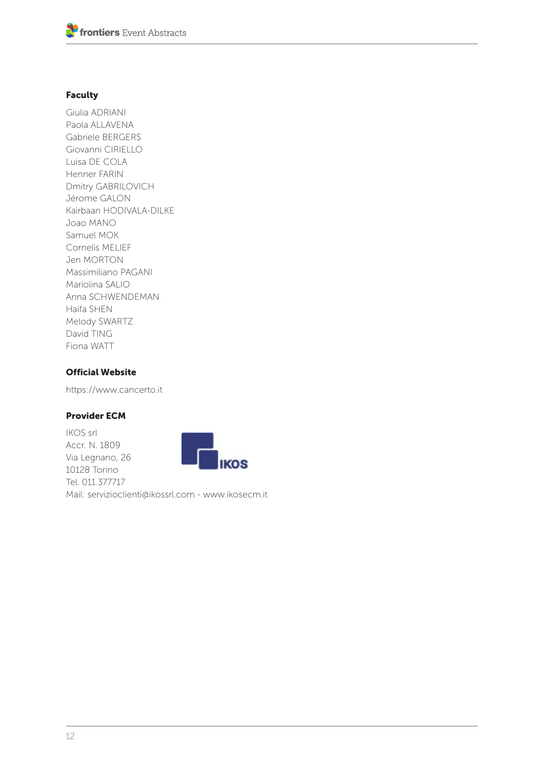#### Faculty

Giulia ADRIANI Paola ALLAVENA Gabriele BERGERS Giovanni CIRIELLO Luisa DE COLA Henner FARIN Dmitry GABRILOVICH Jérome GALON Kairbaan HODIVALA-DILKE Joao MANO Samuel MOK Cornelis MELIEF Jen MORTON Massimiliano PAGANI Mariolina SALIO Anna SCHWENDEMAN Haifa SHEN Melody SWARTZ David TING Fiona WATT

#### Official Website

https://www.cancerto.it

#### Provider ECM

IKOS srl Accr. N. 1809 Via Legnano, 26 10128 Torino Tel. 011.377717 Mail: servizioclienti@ikossrl.com - www.ikosecm.it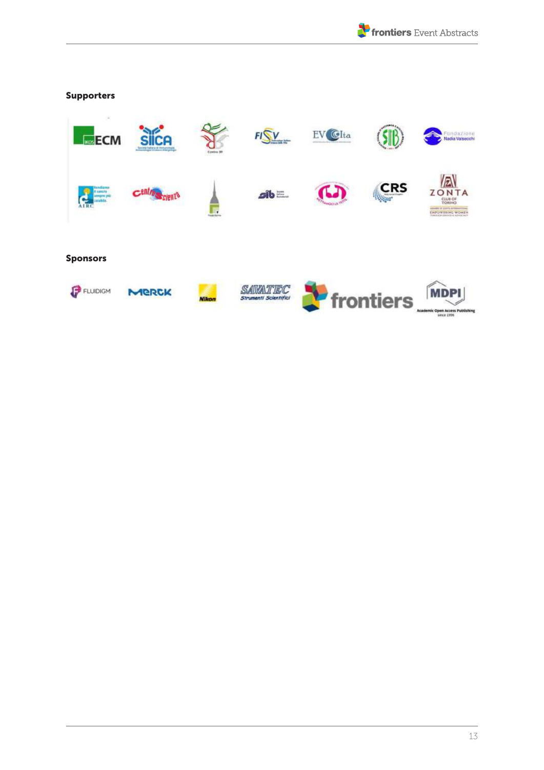

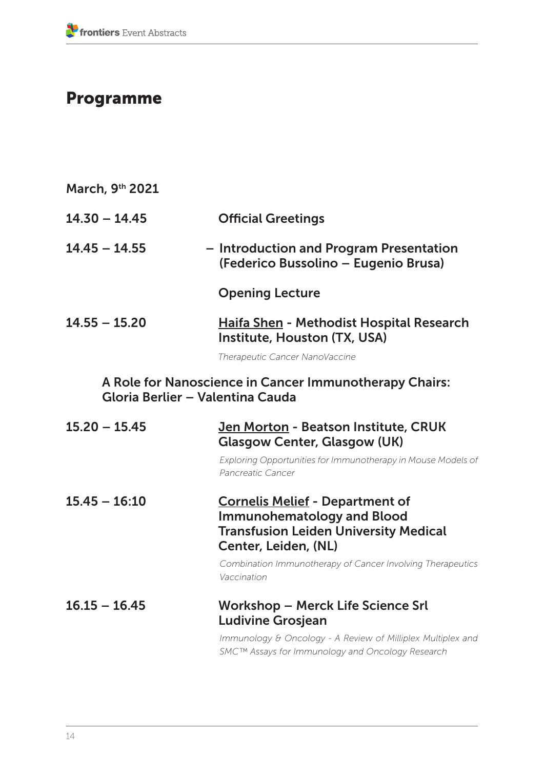## Programme

| March, 9th 2021                                                                            |                                                                                                                                                     |  |
|--------------------------------------------------------------------------------------------|-----------------------------------------------------------------------------------------------------------------------------------------------------|--|
| $14.30 - 14.45$                                                                            | <b>Official Greetings</b>                                                                                                                           |  |
| $14.45 - 14.55$                                                                            | - Introduction and Program Presentation<br>(Federico Bussolino - Eugenio Brusa)                                                                     |  |
|                                                                                            | <b>Opening Lecture</b>                                                                                                                              |  |
| $14.55 - 15.20$                                                                            | <b>Haifa Shen - Methodist Hospital Research</b><br>Institute, Houston (TX, USA)                                                                     |  |
|                                                                                            | Therapeutic Cancer NanoVaccine                                                                                                                      |  |
| A Role for Nanoscience in Cancer Immunotherapy Chairs:<br>Gloria Berlier - Valentina Cauda |                                                                                                                                                     |  |
| $15.20 - 15.45$                                                                            | Jen Morton - Beatson Institute, CRUK<br><b>Glasgow Center, Glasgow (UK)</b>                                                                         |  |
|                                                                                            | Exploring Opportunities for Immunotherapy in Mouse Models of<br>Pancreatic Cancer                                                                   |  |
|                                                                                            |                                                                                                                                                     |  |
| $15.45 - 16:10$                                                                            | <b>Cornelis Melief - Department of</b><br><b>Immunohematology and Blood</b><br><b>Transfusion Leiden University Medical</b><br>Center, Leiden, (NL) |  |
|                                                                                            | Combination Immunotherapy of Cancer Involving Therapeutics<br>Vaccination                                                                           |  |
| $16.15 - 16.45$                                                                            | <b>Workshop - Merck Life Science Srl</b><br><b>Ludivine Grosjean</b>                                                                                |  |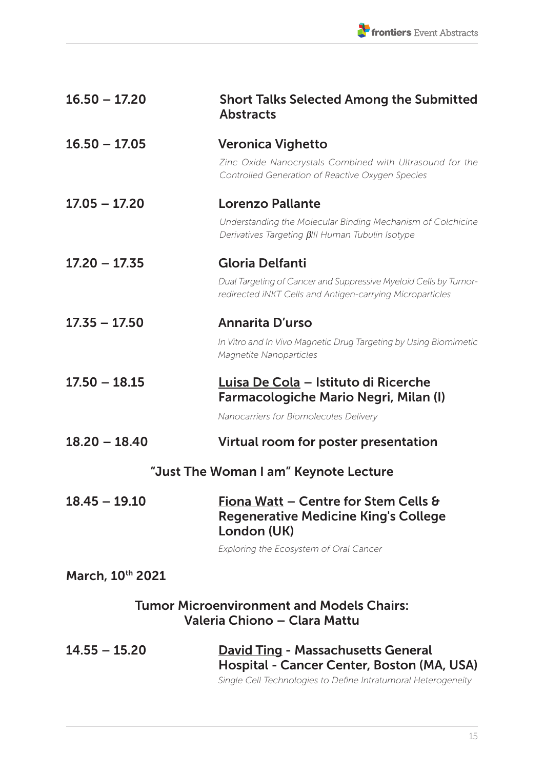| $16.50 - 17.20$                                                                  | <b>Short Talks Selected Among the Submitted</b><br><b>Abstracts</b>                                                                                      |  |
|----------------------------------------------------------------------------------|----------------------------------------------------------------------------------------------------------------------------------------------------------|--|
| $16.50 - 17.05$                                                                  | <b>Veronica Vighetto</b>                                                                                                                                 |  |
|                                                                                  | Zinc Oxide Nanocrystals Combined with Ultrasound for the<br>Controlled Generation of Reactive Oxygen Species                                             |  |
| $17.05 - 17.20$                                                                  | Lorenzo Pallante                                                                                                                                         |  |
|                                                                                  | Understanding the Molecular Binding Mechanism of Colchicine<br>Derivatives Targeting <i>BIII Human Tubulin Isotype</i>                                   |  |
| $17.20 - 17.35$                                                                  | Gloria Delfanti                                                                                                                                          |  |
|                                                                                  | Dual Targeting of Cancer and Suppressive Myeloid Cells by Tumor-<br>redirected iNKT Cells and Antigen-carrying Microparticles                            |  |
| $17.35 - 17.50$                                                                  | Annarita D'urso                                                                                                                                          |  |
|                                                                                  | In Vitro and In Vivo Magnetic Drug Targeting by Using Biomimetic<br>Magnetite Nanoparticles                                                              |  |
| $17.50 - 18.15$                                                                  | Luisa De Cola - Istituto di Ricerche<br>Farmacologiche Mario Negri, Milan (I)                                                                            |  |
|                                                                                  | Nanocarriers for Biomolecules Delivery                                                                                                                   |  |
| $18.20 - 18.40$                                                                  | Virtual room for poster presentation                                                                                                                     |  |
|                                                                                  | "Just The Woman I am" Keynote Lecture                                                                                                                    |  |
| $18.45 - 19.10$                                                                  | Fiona Watt - Centre for Stem Cells &<br><b>Regenerative Medicine King's College</b><br>London (UK)                                                       |  |
|                                                                                  | Exploring the Ecosystem of Oral Cancer                                                                                                                   |  |
| March, 10th 2021                                                                 |                                                                                                                                                          |  |
| <b>Tumor Microenvironment and Models Chairs:</b><br>Valeria Chiono - Clara Mattu |                                                                                                                                                          |  |
| $14.55 - 15.20$                                                                  | <b>David Ting - Massachusetts General</b><br>Hospital - Cancer Center, Boston (MA, USA)<br>Single Cell Technologies to Define Intratumoral Heterogeneity |  |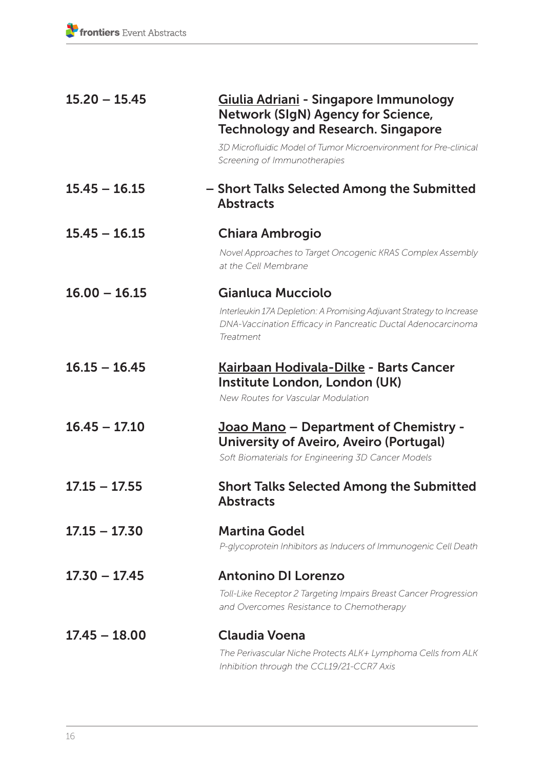| $15.20 - 15.45$ | Giulia Adriani - Singapore Immunology<br>Network (SIgN) Agency for Science,<br><b>Technology and Research. Singapore</b>                          |
|-----------------|---------------------------------------------------------------------------------------------------------------------------------------------------|
|                 | 3D Microfluidic Model of Tumor Microenvironment for Pre-clinical<br>Screening of Immunotherapies                                                  |
| $15.45 - 16.15$ | - Short Talks Selected Among the Submitted<br><b>Abstracts</b>                                                                                    |
| $15.45 - 16.15$ | Chiara Ambrogio                                                                                                                                   |
|                 | Novel Approaches to Target Oncogenic KRAS Complex Assembly<br>at the Cell Membrane                                                                |
| $16.00 - 16.15$ | Gianluca Mucciolo                                                                                                                                 |
|                 | Interleukin 17A Depletion: A Promising Adjuvant Strategy to Increase<br>DNA-Vaccination Efficacy in Pancreatic Ductal Adenocarcinoma<br>Treatment |
| $16.15 - 16.45$ | Kairbaan Hodivala-Dilke - Barts Cancer<br>Institute London, London (UK)<br>New Routes for Vascular Modulation                                     |
| $16.45 - 17.10$ | Joao Mano - Department of Chemistry -<br>University of Aveiro, Aveiro (Portugal)<br>Soft Biomaterials for Engineering 3D Cancer Models            |
| $17.15 - 17.55$ | <b>Short Talks Selected Among the Submitted</b><br><b>Abstracts</b>                                                                               |
| $17.15 - 17.30$ | <b>Martina Godel</b>                                                                                                                              |
|                 | P-glycoprotein Inhibitors as Inducers of Immunogenic Cell Death                                                                                   |
| $17.30 - 17.45$ | <b>Antonino DI Lorenzo</b>                                                                                                                        |
|                 | Toll-Like Receptor 2 Targeting Impairs Breast Cancer Progression<br>and Overcomes Resistance to Chemotherapy                                      |
| $17.45 - 18.00$ | <b>Claudia Voena</b>                                                                                                                              |
|                 | The Perivascular Niche Protects ALK+ Lymphoma Cells from ALK<br>Inhibition through the CCL19/21-CCR7 Axis                                         |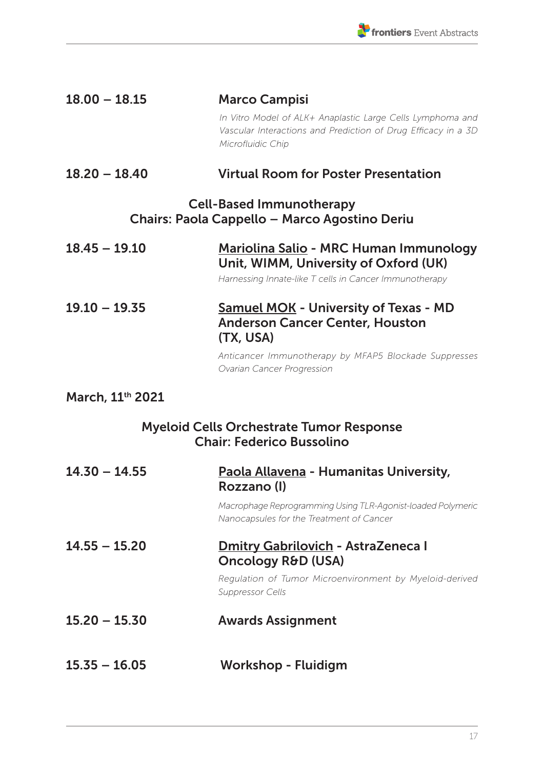| $18.00 - 18.15$                                                                     | <b>Marco Campisi</b>                                                                                                                                                                       |  |
|-------------------------------------------------------------------------------------|--------------------------------------------------------------------------------------------------------------------------------------------------------------------------------------------|--|
|                                                                                     | In Vitro Model of ALK+ Anaplastic Large Cells Lymphoma and<br>Vascular Interactions and Prediction of Drug Efficacy in a 3D<br>Microfluidic Chip                                           |  |
| $18.20 - 18.40$                                                                     | <b>Virtual Room for Poster Presentation</b>                                                                                                                                                |  |
| <b>Cell-Based Immunotherapy</b><br>Chairs: Paola Cappello - Marco Agostino Deriu    |                                                                                                                                                                                            |  |
| $18.45 - 19.10$                                                                     | Mariolina Salio - MRC Human Immunology<br>Unit, WIMM, University of Oxford (UK)<br>Harnessing Innate-like T cells in Cancer Immunotherapy                                                  |  |
| $19.10 - 19.35$                                                                     | <b>Samuel MOK - University of Texas - MD</b><br><b>Anderson Cancer Center, Houston</b><br>(TX, USA)<br>Anticancer Immunotherapy by MFAP5 Blockade Suppresses<br>Ovarian Cancer Progression |  |
| March, 11th 2021                                                                    |                                                                                                                                                                                            |  |
| <b>Myeloid Cells Orchestrate Tumor Response</b><br><b>Chair: Federico Bussolino</b> |                                                                                                                                                                                            |  |
| $14.30 - 14.55$                                                                     | Paola Allavena - Humanitas University,<br>Rozzano (I)                                                                                                                                      |  |
|                                                                                     | Macrophage Reprogramming Using TLR-Agonist-loaded Polymeric<br>Nanocapsules for the Treatment of Cancer                                                                                    |  |
| $14.55 - 15.20$                                                                     | <b>Dmitry Gabrilovich - AstraZeneca I</b><br>Oncology R&D (USA)<br>Regulation of Tumor Microenvironment by Myeloid-derived<br><b>Suppressor Cells</b>                                      |  |
| $15.20 - 15.30$                                                                     | <b>Awards Assignment</b>                                                                                                                                                                   |  |
|                                                                                     |                                                                                                                                                                                            |  |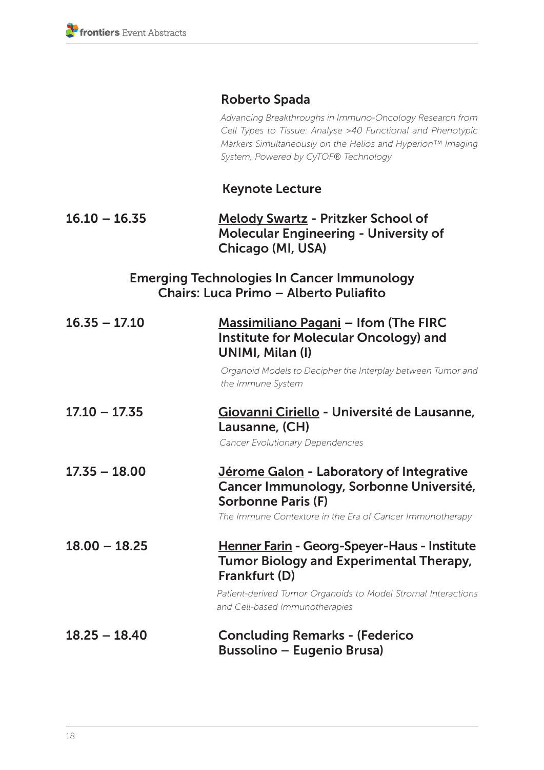#### Roberto Spada

*Advancing Breakthroughs in Immuno-Oncology Research from Cell Types to Tissue: Analyse >40 Functional and Phenotypic Markers Simultaneously on the Helios and Hyperion™ Imaging System, Powered by CyTOF® Technology*

#### Keynote Lecture

#### 16.10 – 16.35 Melody Swartz - Pritzker School of Molecular Engineering - University of Chicago (MI, USA)

#### Emerging Technologies In Cancer Immunology Chairs: Luca Primo – Alberto Puliafito

| $16.35 - 17.10$ | Massimiliano Pagani - Ifom (The FIRC<br>Institute for Molecular Oncology) and<br>UNIMI, Milan (I)<br>Organoid Models to Decipher the Interplay between Tumor and<br>the Immune System                              |
|-----------------|--------------------------------------------------------------------------------------------------------------------------------------------------------------------------------------------------------------------|
| $17.10 - 17.35$ | Giovanni Ciriello - Université de Lausanne,<br>Lausanne, (CH)<br>Cancer Evolutionary Dependencies                                                                                                                  |
| $17.35 - 18.00$ | Jérome Galon - Laboratory of Integrative<br>Cancer Immunology, Sorbonne Université,<br><b>Sorbonne Paris (F)</b><br>The Immune Contexture in the Era of Cancer Immunotherapy                                       |
| $18.00 - 18.25$ | Henner Farin - Georg-Speyer-Haus - Institute<br><b>Tumor Biology and Experimental Therapy,</b><br>Frankfurt (D)<br>Patient-derived Tumor Organoids to Model Stromal Interactions<br>and Cell-based Immunotherapies |
| $18.25 - 18.40$ | <b>Concluding Remarks - (Federico</b><br><b>Bussolino – Eugenio Brusa)</b>                                                                                                                                         |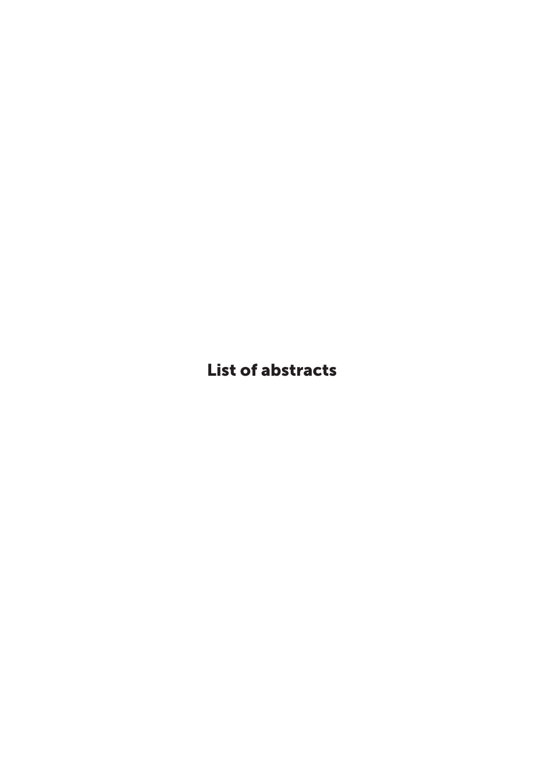List of abstracts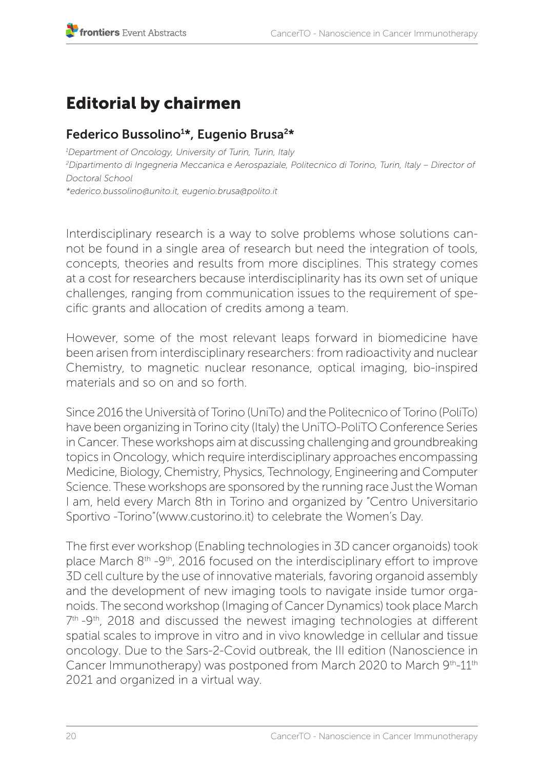# Editorial by chairmen

## Federico Bussolino1 \*, Eugenio Brusa2\*

*1 Department of Oncology, University of Turin, Turin, Italy 2 Dipartimento di Ingegneria Meccanica e Aerospaziale, Politecnico di Torino, Turin, Italy – Director of Doctoral School \*ederico.bussolino@unito.it, eugenio.brusa@polito.it*

Interdisciplinary research is a way to solve problems whose solutions cannot be found in a single area of research but need the integration of tools, concepts, theories and results from more disciplines. This strategy comes at a cost for researchers because interdisciplinarity has its own set of unique challenges, ranging from communication issues to the requirement of specific grants and allocation of credits among a team.

However, some of the most relevant leaps forward in biomedicine have been arisen from interdisciplinary researchers: from radioactivity and nuclear Chemistry, to magnetic nuclear resonance, optical imaging, bio-inspired materials and so on and so forth.

Since 2016 the Università of Torino (UniTo) and the Politecnico of Torino (PoliTo) have been organizing in Torino city (Italy) the UniTO-PoliTO Conference Series in Cancer. These workshops aim at discussing challenging and groundbreaking topics in Oncology, which require interdisciplinary approaches encompassing Medicine, Biology, Chemistry, Physics, Technology, Engineering and Computer Science. These workshops are sponsored by the running race Just the Woman I am, held every March 8th in Torino and organized by "Centro Universitario Sportivo -Torino"(www.custorino.it) to celebrate the Women's Day.

The first ever workshop (Enabling technologies in 3D cancer organoids) took place March 8th -9th, 2016 focused on the interdisciplinary effort to improve 3D cell culture by the use of innovative materials, favoring organoid assembly and the development of new imaging tools to navigate inside tumor organoids. The second workshop (Imaging of Cancer Dynamics) took place March 7<sup>th</sup> -9<sup>th</sup>, 2018 and discussed the newest imaging technologies at different spatial scales to improve in vitro and in vivo knowledge in cellular and tissue oncology. Due to the Sars-2-Covid outbreak, the III edition (Nanoscience in Cancer Immunotherapy) was postponed from March 2020 to March 9<sup>th</sup>-11<sup>th</sup> 2021 and organized in a virtual way.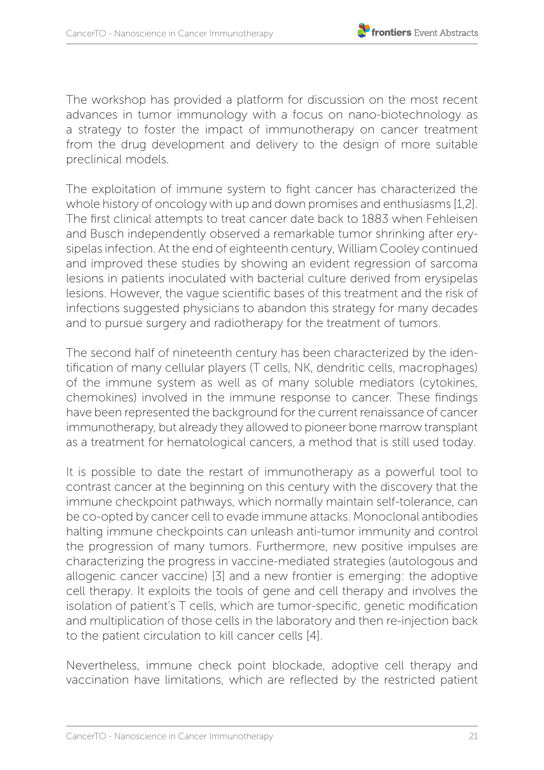The workshop has provided a platform for discussion on the most recent advances in tumor immunology with a focus on nano-biotechnology as a strategy to foster the impact of immunotherapy on cancer treatment from the drug development and delivery to the design of more suitable preclinical models.

The exploitation of immune system to fight cancer has characterized the whole history of oncology with up and down promises and enthusiasms [1,2]. The first clinical attempts to treat cancer date back to 1883 when Fehleisen and Busch independently observed a remarkable tumor shrinking after erysipelas infection. At the end of eighteenth century, William Cooley continued and improved these studies by showing an evident regression of sarcoma lesions in patients inoculated with bacterial culture derived from erysipelas lesions. However, the vague scientific bases of this treatment and the risk of infections suggested physicians to abandon this strategy for many decades and to pursue surgery and radiotherapy for the treatment of tumors.

The second half of nineteenth century has been characterized by the identification of many cellular players (T cells, NK, dendritic cells, macrophages) of the immune system as well as of many soluble mediators (cytokines, chemokines) involved in the immune response to cancer. These findings have been represented the background for the current renaissance of cancer immunotherapy, but already they allowed to pioneer bone marrow transplant as a treatment for hematological cancers, a method that is still used today.

It is possible to date the restart of immunotherapy as a powerful tool to contrast cancer at the beginning on this century with the discovery that the immune checkpoint pathways, which normally maintain self-tolerance, can be co-opted by cancer cell to evade immune attacks. Monoclonal antibodies halting immune checkpoints can unleash anti-tumor immunity and control the progression of many tumors. Furthermore, new positive impulses are characterizing the progress in vaccine-mediated strategies (autologous and allogenic cancer vaccine) [3] and a new frontier is emerging: the adoptive cell therapy. It exploits the tools of gene and cell therapy and involves the isolation of patient's T cells, which are tumor-specific, genetic modification and multiplication of those cells in the laboratory and then re-injection back to the patient circulation to kill cancer cells [4].

Nevertheless, immune check point blockade, adoptive cell therapy and vaccination have limitations, which are reflected by the restricted patient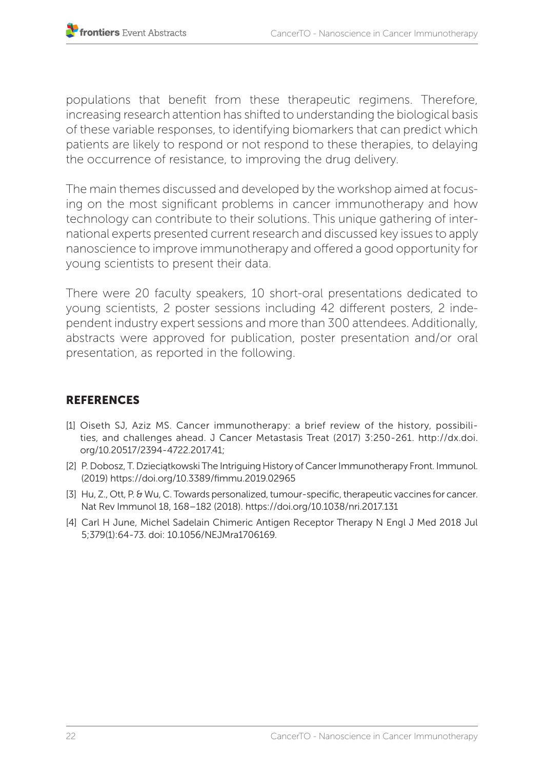populations that benefit from these therapeutic regimens. Therefore, increasing research attention has shifted to understanding the biological basis of these variable responses, to identifying biomarkers that can predict which patients are likely to respond or not respond to these therapies, to delaying the occurrence of resistance, to improving the drug delivery.

The main themes discussed and developed by the workshop aimed at focusing on the most significant problems in cancer immunotherapy and how technology can contribute to their solutions. This unique gathering of international experts presented current research and discussed key issues to apply nanoscience to improve immunotherapy and offered a good opportunity for young scientists to present their data.

There were 20 faculty speakers, 10 short-oral presentations dedicated to young scientists, 2 poster sessions including 42 different posters, 2 independent industry expert sessions and more than 300 attendees. Additionally, abstracts were approved for publication, poster presentation and/or oral presentation, as reported in the following.

#### REFERENCES

- [1] Oiseth SJ, Aziz MS. Cancer immunotherapy: a brief review of the history, possibilities, and challenges ahead. J Cancer Metastasis Treat (2017) 3:250-261. http://dx.doi. org/10.20517/2394-4722.2017.41;
- [2] P. Dobosz, T. Dzieciątkowski The Intriguing History of Cancer Immunotherapy Front. Immunol. (2019) https://doi.org/10.3389/fimmu.2019.02965
- [3] Hu, Z., Ott, P. & Wu, C. Towards personalized, tumour-specific, therapeutic vaccines for cancer. Nat Rev Immunol 18, 168–182 (2018). https://doi.org/10.1038/nri.2017.131
- [4] Carl H June, Michel Sadelain Chimeric Antigen Receptor Therapy N Engl J Med 2018 Jul 5;379(1):64-73. doi: 10.1056/NEJMra1706169.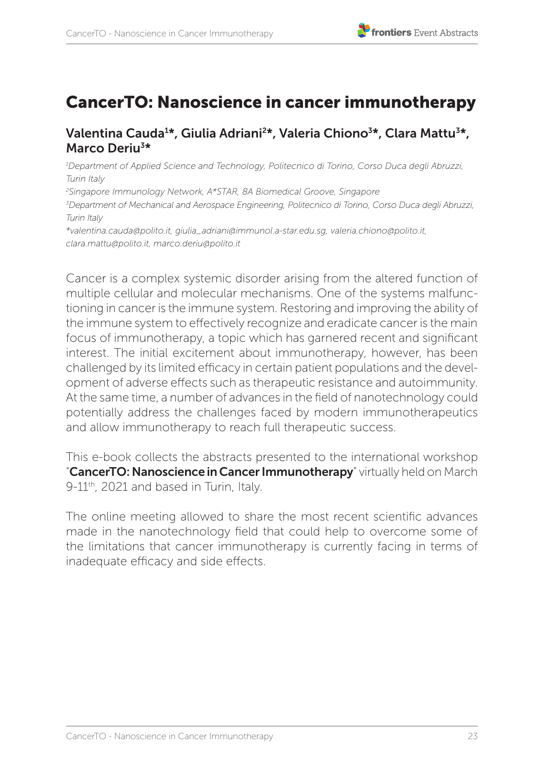## CancerTO: Nanoscience in cancer immunotherapy

#### Valentina Cauda<sup>1</sup>\*, Giulia Adriani<sup>2</sup>\*, Valeria Chiono<sup>3</sup>\*, Clara Mattu<sup>3</sup>\*, Marco Deriu3\*

*1 Department of Applied Science and Technology, Politecnico di Torino, Corso Duca degli Abruzzi, Turin Italy*

*2 Singapore Immunology Network, A\*STAR, 8A Biomedical Groove, Singapore*

*3 Department of Mechanical and Aerospace Engineering, Politecnico di Torino, Corso Duca degli Abruzzi, Turin Italy*

*\*valentina.cauda@polito.it, giulia\_adriani@immunol.a-star.edu.sg, valeria.chiono@polito.it, clara.mattu@polito.it, marco.deriu@polito.it* 

Cancer is a complex systemic disorder arising from the altered function of multiple cellular and molecular mechanisms. One of the systems malfunctioning in cancer is the immune system. Restoring and improving the ability of the immune system to effectively recognize and eradicate cancer is the main focus of immunotherapy, a topic which has garnered recent and significant interest. The initial excitement about immunotherapy, however, has been challenged by its limited efficacy in certain patient populations and the development of adverse effects such as therapeutic resistance and autoimmunity. At the same time, a number of advances in the field of nanotechnology could potentially address the challenges faced by modern immunotherapeutics and allow immunotherapy to reach full therapeutic success.

This e-book collects the abstracts presented to the international workshop "CancerTO: Nanoscience in Cancer Immunotherapy" virtually held on March 9-11<sup>th</sup>, 2021 and based in Turin, Italy.

The online meeting allowed to share the most recent scientific advances made in the nanotechnology field that could help to overcome some of the limitations that cancer immunotherapy is currently facing in terms of inadequate efficacy and side effects.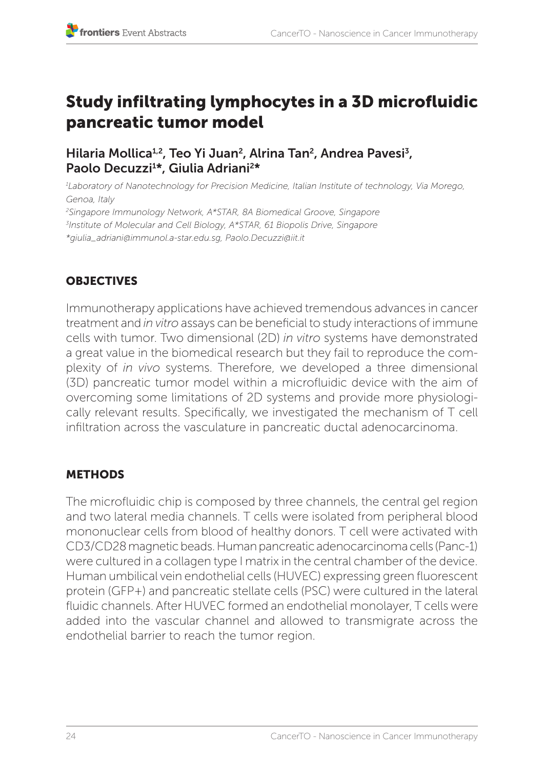## Study infiltrating lymphocytes in a 3D microfluidic pancreatic tumor model

#### Hilaria Mollica<sup>1,2</sup>, Teo Yi Juan<sup>2</sup>, Alrina Tan<sup>2</sup>, Andrea Pavesi<sup>3</sup>, Paolo Decuzzi<sup>1\*</sup>, Giulia Adriani<sup>2\*</sup>

*1 Laboratory of Nanotechnology for Precision Medicine, Italian Institute of technology, Via Morego, Genoa, Italy 2 Singapore Immunology Network, A\*STAR, 8A Biomedical Groove, Singapore 3 Institute of Molecular and Cell Biology, A\*STAR, 61 Biopolis Drive, Singapore \*giulia\_adriani@immunol.a-star.edu.sg, Paolo.Decuzzi@iit.it*

#### **OBJECTIVES**

Immunotherapy applications have achieved tremendous advances in cancer treatment and *in vitro* assays can be beneficial to study interactions of immune cells with tumor. Two dimensional (2D) *in vitro* systems have demonstrated a great value in the biomedical research but they fail to reproduce the complexity of *in vivo* systems. Therefore, we developed a three dimensional (3D) pancreatic tumor model within a microfluidic device with the aim of overcoming some limitations of 2D systems and provide more physiologically relevant results. Specifically, we investigated the mechanism of T cell infiltration across the vasculature in pancreatic ductal adenocarcinoma.

#### METHODS

The microfluidic chip is composed by three channels, the central gel region and two lateral media channels. T cells were isolated from peripheral blood mononuclear cells from blood of healthy donors. T cell were activated with CD3/CD28 magnetic beads. Human pancreatic adenocarcinoma cells (Panc-1) were cultured in a collagen type I matrix in the central chamber of the device. Human umbilical vein endothelial cells (HUVEC) expressing green fluorescent protein (GFP+) and pancreatic stellate cells (PSC) were cultured in the lateral fluidic channels. After HUVEC formed an endothelial monolayer, T cells were added into the vascular channel and allowed to transmigrate across the endothelial barrier to reach the tumor region.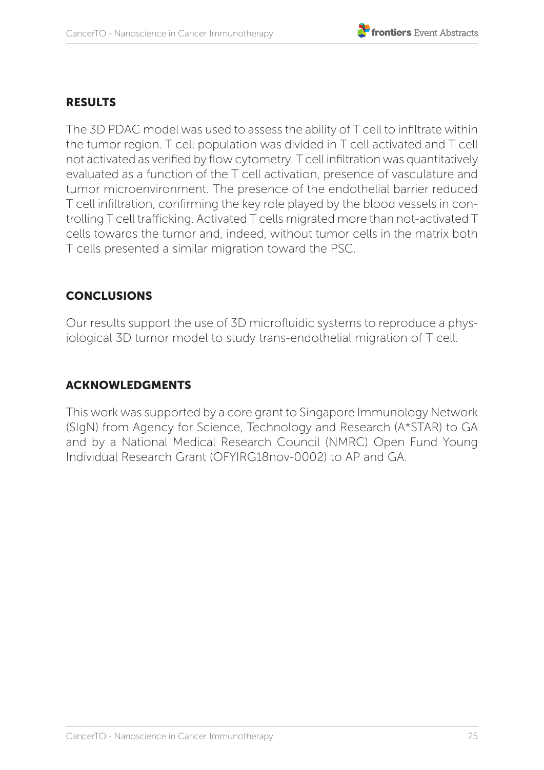#### RESULTS

The 3D PDAC model was used to assess the ability of T cell to infiltrate within the tumor region. T cell population was divided in T cell activated and T cell not activated as verified by flow cytometry. T cell infiltration was quantitatively evaluated as a function of the T cell activation, presence of vasculature and tumor microenvironment. The presence of the endothelial barrier reduced T cell infiltration, confirming the key role played by the blood vessels in controlling T cell trafficking. Activated T cells migrated more than not-activated T cells towards the tumor and, indeed, without tumor cells in the matrix both T cells presented a similar migration toward the PSC.

#### CONCLUSIONS

Our results support the use of 3D microfluidic systems to reproduce a physiological 3D tumor model to study trans-endothelial migration of T cell.

#### ACKNOWLEDGMENTS

This work was supported by a core grant to Singapore Immunology Network (SIgN) from Agency for Science, Technology and Research (A\*STAR) to GA and by a National Medical Research Council (NMRC) Open Fund Young Individual Research Grant (OFYIRG18nov-0002) to AP and GA.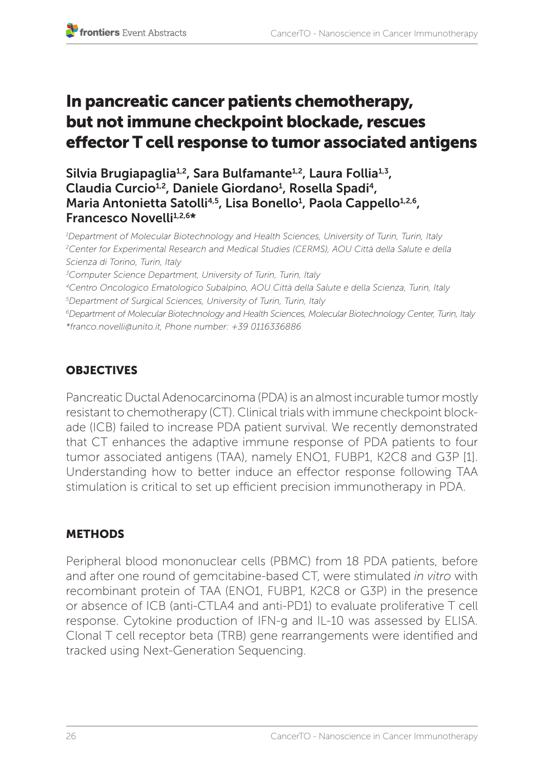## In pancreatic cancer patients chemotherapy, but not immune checkpoint blockade, rescues effector T cell response to tumor associated antigens

Silvia Brugiapaglia<sup>1,2</sup>, Sara Bulfamante<sup>1,2</sup>, Laura Follia<sup>1,3</sup>, Claudia Curcio<sup>1,2</sup>, Daniele Giordano<sup>1</sup>, Rosella Spadi<sup>4</sup>, Maria Antonietta Satolli<sup>4,5</sup>, Lisa Bonello<sup>1</sup>, Paola Cappello<sup>1,2,6</sup>, Francesco Novelli<sup>1,2,6\*</sup>

*1 Department of Molecular Biotechnology and Health Sciences, University of Turin, Turin, Italy 2 Center for Experimental Research and Medical Studies (CERMS), AOU Città della Salute e della Scienza di Torino, Turin, Italy*

*3 Computer Science Department, University of Turin, Turin, Italy*

*4Centro Oncologico Ematologico Subalpino, AOU Città della Salute e della Scienza, Turin, Italy 5 Department of Surgical Sciences, University of Turin, Turin, Italy*

*6 Department of Molecular Biotechnology and Health Sciences, Molecular Biotechnology Center, Turin, Italy \*franco.novelli@unito.it, Phone number: +39 0116336886*

## **OBJECTIVES**

Pancreatic Ductal Adenocarcinoma (PDA) is an almost incurable tumor mostly resistant to chemotherapy (CT). Clinical trials with immune checkpoint blockade (ICB) failed to increase PDA patient survival. We recently demonstrated that CT enhances the adaptive immune response of PDA patients to four tumor associated antigens (TAA), namely ENO1, FUBP1, K2C8 and G3P [1]. Understanding how to better induce an effector response following TAA stimulation is critical to set up efficient precision immunotherapy in PDA.

#### **METHODS**

Peripheral blood mononuclear cells (PBMC) from 18 PDA patients, before and after one round of gemcitabine-based CT, were stimulated *in vitro* with recombinant protein of TAA (ENO1, FUBP1, K2C8 or G3P) in the presence or absence of ICB (anti-CTLA4 and anti-PD1) to evaluate proliferative T cell response. Cytokine production of IFN-g and IL-10 was assessed by ELISA. Clonal T cell receptor beta (TRB) gene rearrangements were identified and tracked using Next-Generation Sequencing.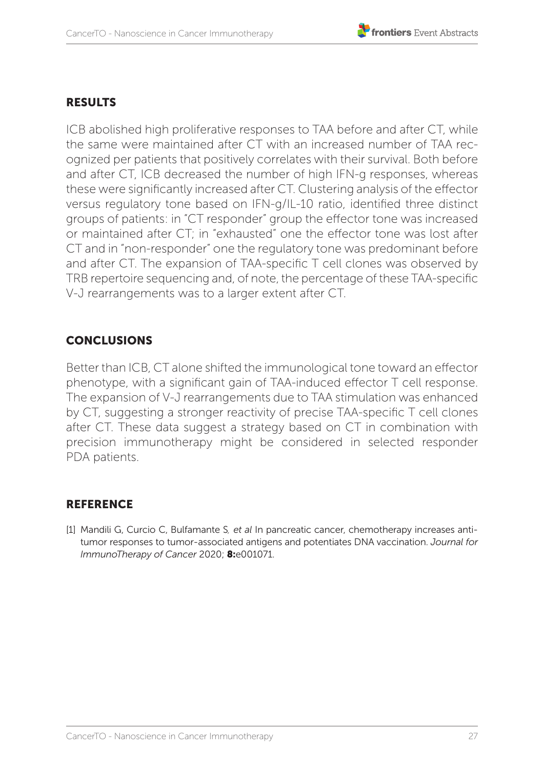#### **RESULTS**

ICB abolished high proliferative responses to TAA before and after CT, while the same were maintained after CT with an increased number of TAA recognized per patients that positively correlates with their survival. Both before and after CT, ICB decreased the number of high IFN-g responses, whereas these were significantly increased after CT. Clustering analysis of the effector versus regulatory tone based on IFN-g/IL-10 ratio, identified three distinct groups of patients: in "CT responder" group the effector tone was increased or maintained after CT; in "exhausted" one the effector tone was lost after CT and in "non-responder" one the regulatory tone was predominant before and after CT. The expansion of TAA-specific T cell clones was observed by TRB repertoire sequencing and, of note, the percentage of these TAA-specific V-J rearrangements was to a larger extent after CT.

#### **CONCLUSIONS**

Better than ICB, CT alone shifted the immunological tone toward an effector phenotype, with a significant gain of TAA-induced effector T cell response. The expansion of V-J rearrangements due to TAA stimulation was enhanced by CT, suggesting a stronger reactivity of precise TAA-specific T cell clones after CT. These data suggest a strategy based on CT in combination with precision immunotherapy might be considered in selected responder PDA patients.

#### REFERENCE

[1] Mandili G, Curcio C, Bulfamante S*, et al* In pancreatic cancer, chemotherapy increases antitumor responses to tumor-associated antigens and potentiates DNA vaccination. *Journal for ImmunoTherapy of Cancer* 2020; 8:e001071.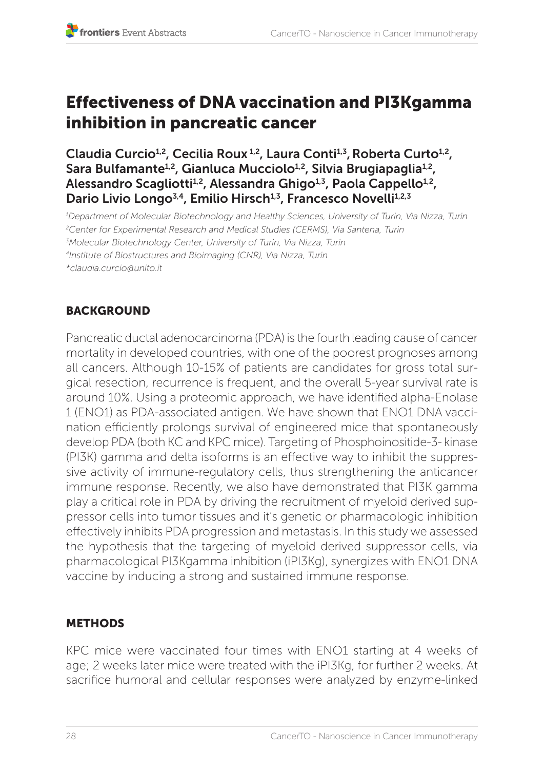## Effectiveness of DNA vaccination and PI3Kgamma inhibition in pancreatic cancer

Claudia Curcio<sup>1,2</sup>, Cecilia Roux<sup>1,2</sup>, Laura Conti<sup>1,3</sup>, Roberta Curto<sup>1,2</sup>, Sara Bulfamante<sup>1,2</sup>, Gianluca Mucciolo<sup>1,2</sup>, Silvia Brugiapaglia<sup>1,2</sup>, Alessandro Scagliotti<sup>1,2</sup>, Alessandra Ghigo<sup>1,3</sup>, Paola Cappello<sup>1,2</sup>, Dario Livio Longo<sup>3,4</sup>, Emilio Hirsch<sup>1,3</sup>, Francesco Novelli<sup>1,2,3</sup>

*1 Department of Molecular Biotechnology and Healthy Sciences, University of Turin, Via Nizza, Turin 2 Center for Experimental Research and Medical Studies (CERMS), Via Santena, Turin 3 Molecular Biotechnology Center, University of Turin, Via Nizza, Turin 4Institute of Biostructures and Bioimaging (CNR), Via Nizza, Turin \*claudia.curcio@unito.it* 

#### **BACKGROUND**

Pancreatic ductal adenocarcinoma (PDA) is the fourth leading cause of cancer mortality in developed countries, with one of the poorest prognoses among all cancers. Although 10-15% of patients are candidates for gross total surgical resection, recurrence is frequent, and the overall 5-year survival rate is around 10%. Using a proteomic approach, we have identified alpha-Enolase 1 (ENO1) as PDA-associated antigen. We have shown that ENO1 DNA vaccination efficiently prolongs survival of engineered mice that spontaneously develop PDA (both KC and KPC mice). Targeting of Phosphoinositide-3- kinase (PI3K) gamma and delta isoforms is an effective way to inhibit the suppressive activity of immune-regulatory cells, thus strengthening the anticancer immune response. Recently, we also have demonstrated that PI3K gamma play a critical role in PDA by driving the recruitment of myeloid derived suppressor cells into tumor tissues and it's genetic or pharmacologic inhibition effectively inhibits PDA progression and metastasis. In this study we assessed the hypothesis that the targeting of myeloid derived suppressor cells, via pharmacological PI3Kgamma inhibition (iPI3Kg), synergizes with ENO1 DNA vaccine by inducing a strong and sustained immune response.

#### **METHODS**

KPC mice were vaccinated four times with ENO1 starting at 4 weeks of age; 2 weeks later mice were treated with the iPI3Kg, for further 2 weeks. At sacrifice humoral and cellular responses were analyzed by enzyme-linked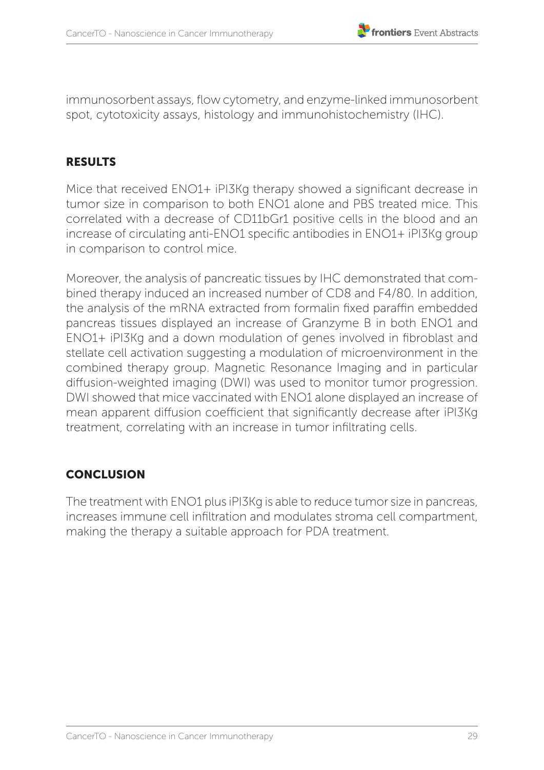immunosorbent assays, flow cytometry, and enzyme-linked immunosorbent spot, cytotoxicity assays, histology and immunohistochemistry (IHC).

#### **RESULTS**

Mice that received ENO1+ iPI3Kg therapy showed a significant decrease in tumor size in comparison to both ENO1 alone and PBS treated mice. This correlated with a decrease of CD11bGr1 positive cells in the blood and an increase of circulating anti-ENO1 specific antibodies in ENO1+ iPI3Kg group in comparison to control mice.

Moreover, the analysis of pancreatic tissues by IHC demonstrated that combined therapy induced an increased number of CD8 and F4/80. In addition, the analysis of the mRNA extracted from formalin fixed paraffin embedded pancreas tissues displayed an increase of Granzyme B in both ENO1 and ENO1+ iPI3Kg and a down modulation of genes involved in fibroblast and stellate cell activation suggesting a modulation of microenvironment in the combined therapy group. Magnetic Resonance Imaging and in particular diffusion-weighted imaging (DWI) was used to monitor tumor progression. DWI showed that mice vaccinated with ENO1 alone displayed an increase of mean apparent diffusion coefficient that significantly decrease after iPI3Kg treatment, correlating with an increase in tumor infiltrating cells.

#### **CONCLUSION**

The treatment with ENO1 plus iPI3Kg is able to reduce tumor size in pancreas, increases immune cell infiltration and modulates stroma cell compartment, making the therapy a suitable approach for PDA treatment.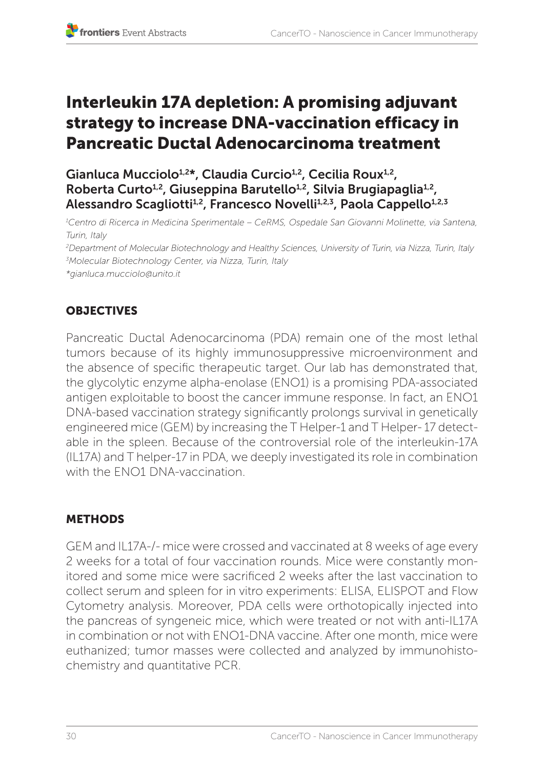## Interleukin 17A depletion: A promising adjuvant strategy to increase DNA-vaccination efficacy in Pancreatic Ductal Adenocarcinoma treatment

Gianluca Mucciolo<sup>1,2\*</sup>, Claudia Curcio<sup>1,2</sup>, Cecilia Roux<sup>1,2</sup>, Roberta Curto<sup>1,2</sup>, Giuseppina Barutello<sup>1,2</sup>, Silvia Brugiapaglia<sup>1,2</sup>, Alessandro Scagliotti<sup>1,2</sup>, Francesco Novelli<sup>1,2,3</sup>, Paola Cappello<sup>1,2,3</sup>

*1 Centro di Ricerca in Medicina Sperimentale – CeRMS, Ospedale San Giovanni Molinette, via Santena, Turin, Italy*

*2 Department of Molecular Biotechnology and Healthy Sciences, University of Turin, via Nizza, Turin, Italy 3 Molecular Biotechnology Center, via Nizza, Turin, Italy*

*\*gianluca.mucciolo@unito.it* 

#### **OBJECTIVES**

Pancreatic Ductal Adenocarcinoma (PDA) remain one of the most lethal tumors because of its highly immunosuppressive microenvironment and the absence of specific therapeutic target. Our lab has demonstrated that, the glycolytic enzyme alpha-enolase (ENO1) is a promising PDA-associated antigen exploitable to boost the cancer immune response. In fact, an ENO1 DNA-based vaccination strategy significantly prolongs survival in genetically engineered mice (GEM) by increasing the T Helper-1 and T Helper- 17 detectable in the spleen. Because of the controversial role of the interleukin-17A (IL17A) and T helper-17 in PDA, we deeply investigated its role in combination with the FNO1 DNA-vaccination

#### **METHODS**

GEM and IL17A-/- mice were crossed and vaccinated at 8 weeks of age every 2 weeks for a total of four vaccination rounds. Mice were constantly monitored and some mice were sacrificed 2 weeks after the last vaccination to collect serum and spleen for in vitro experiments: ELISA, ELISPOT and Flow Cytometry analysis. Moreover, PDA cells were orthotopically injected into the pancreas of syngeneic mice, which were treated or not with anti-IL17A in combination or not with ENO1-DNA vaccine. After one month, mice were euthanized; tumor masses were collected and analyzed by immunohistochemistry and quantitative PCR.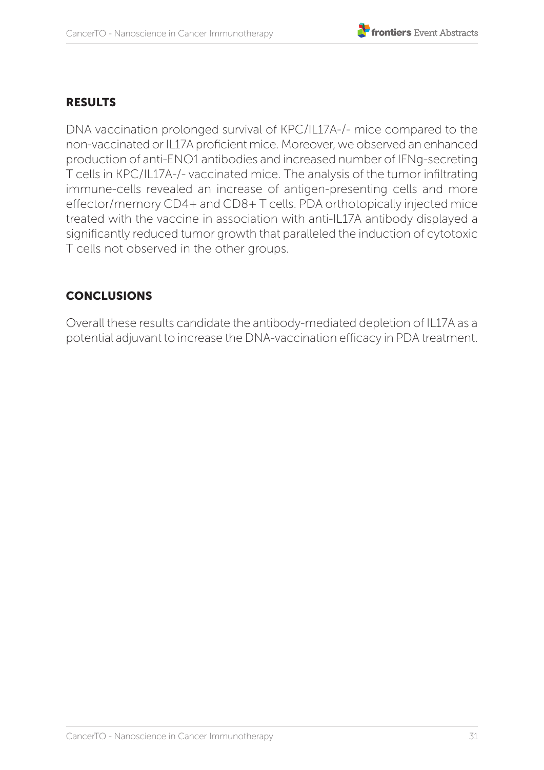#### RESULTS

DNA vaccination prolonged survival of KPC/IL17A-/- mice compared to the non-vaccinated or IL17A proficient mice. Moreover, we observed an enhanced production of anti-ENO1 antibodies and increased number of IFNg-secreting T cells in KPC/IL17A-/- vaccinated mice. The analysis of the tumor infiltrating immune-cells revealed an increase of antigen-presenting cells and more effector/memory CD4+ and CD8+ T cells. PDA orthotopically injected mice treated with the vaccine in association with anti-IL17A antibody displayed a significantly reduced tumor growth that paralleled the induction of cytotoxic T cells not observed in the other groups.

#### CONCLUSIONS

Overall these results candidate the antibody-mediated depletion of IL17A as a potential adjuvant to increase the DNA-vaccination efficacy in PDA treatment.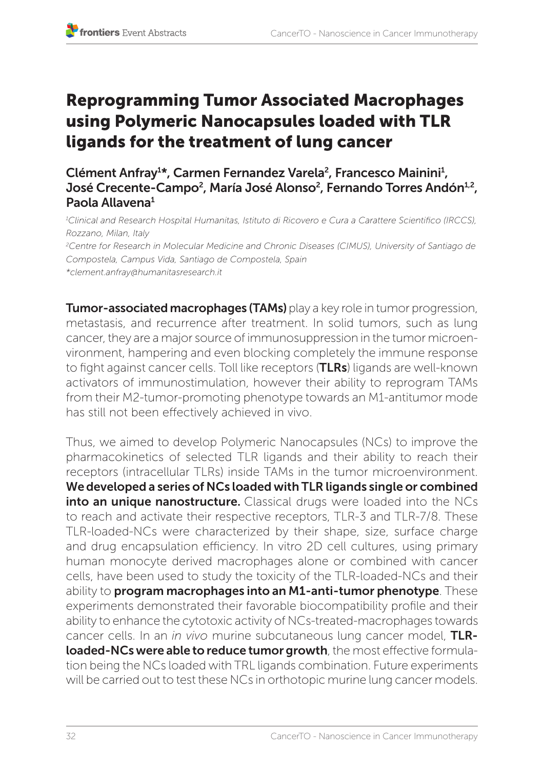## Reprogramming Tumor Associated Macrophages using Polymeric Nanocapsules loaded with TLR ligands for the treatment of lung cancer

Clément Anfray<sup>1\*</sup>, Carmen Fernandez Varela<sup>2</sup>, Francesco Mainini<sup>1</sup>, José Crecente-Campo<sup>2</sup>, María José Alonso<sup>2</sup>, Fernando Torres Andón<sup>1,2</sup>, Paola Allavena1

*1 Clinical and Research Hospital Humanitas, Istituto di Ricovero e Cura a Carattere Scientifico (IRCCS), Rozzano, Milan, Italy 2 Centre for Research in Molecular Medicine and Chronic Diseases (CIMUS), University of Santiago de Compostela, Campus Vida, Santiago de Compostela, Spain \*clement.anfray@humanitasresearch.it* 

Tumor-associated macrophages (TAMs) play a key role in tumor progression, metastasis, and recurrence after treatment. In solid tumors, such as lung cancer, they are a major source of immunosuppression in the tumor microenvironment, hampering and even blocking completely the immune response to fight against cancer cells. Toll like receptors (TLRs) ligands are well-known activators of immunostimulation, however their ability to reprogram TAMs from their M2-tumor-promoting phenotype towards an M1-antitumor mode has still not been effectively achieved in vivo.

Thus, we aimed to develop Polymeric Nanocapsules (NCs) to improve the pharmacokinetics of selected TLR ligands and their ability to reach their receptors (intracellular TLRs) inside TAMs in the tumor microenvironment. Wedeveloped a series of NCs loaded with TLR ligands single or combined into an unique nanostructure. Classical drugs were loaded into the NCs to reach and activate their respective receptors, TLR-3 and TLR-7/8. These TLR-loaded-NCs were characterized by their shape, size, surface charge and drug encapsulation efficiency. In vitro 2D cell cultures, using primary human monocyte derived macrophages alone or combined with cancer cells, have been used to study the toxicity of the TLR-loaded-NCs and their ability to program macrophages into an M1-anti-tumor phenotype. These experiments demonstrated their favorable biocompatibility profile and their ability to enhance the cytotoxic activity of NCs-treated-macrophages towards cancer cells. In an *in vivo* murine subcutaneous lung cancer model, TLRloaded-NCs were able to reduce tumor growth, the most effective formulation being the NCs loaded with TRL ligands combination. Future experiments will be carried out to test these NCs in orthotopic murine lung cancer models.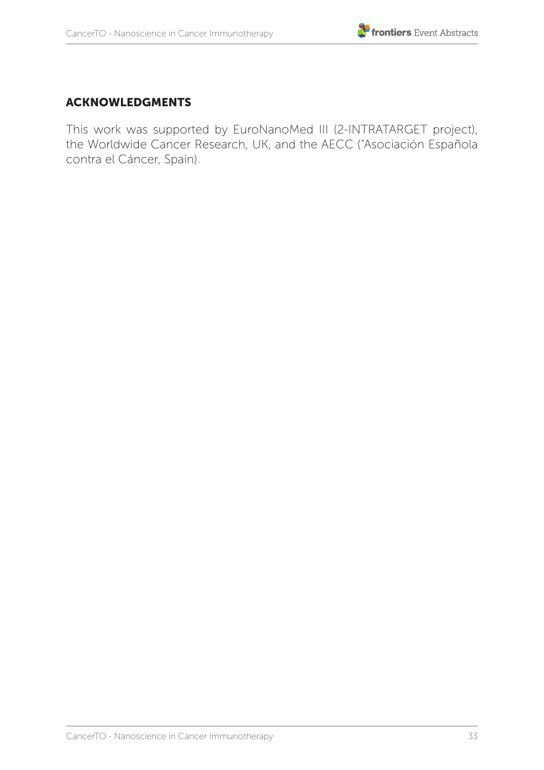#### ACKNOWLEDGMENTS

This work was supported by EuroNanoMed III (2-INTRATARGET project), the Worldwide Cancer Research, UK, and the AECC ("Asociación Española contra el Cáncer, Spain).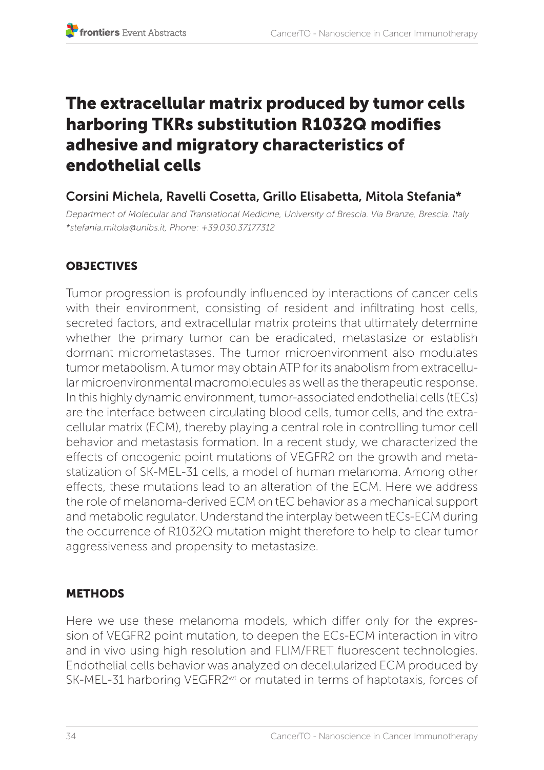## The extracellular matrix produced by tumor cells harboring TKRs substitution R1032Q modifies adhesive and migratory characteristics of endothelial cells

## Corsini Michela, Ravelli Cosetta, Grillo Elisabetta, Mitola Stefania\*

*Department of Molecular and Translational Medicine, University of Brescia. Via Branze, Brescia. Italy \*stefania.mitola@unibs.it, Phone: +39.030.37177312*

#### **OBJECTIVES**

Tumor progression is profoundly influenced by interactions of cancer cells with their environment, consisting of resident and infiltrating host cells, secreted factors, and extracellular matrix proteins that ultimately determine whether the primary tumor can be eradicated, metastasize or establish dormant micrometastases. The tumor microenvironment also modulates tumor metabolism. A tumor may obtain ATP for its anabolism from extracellular microenvironmental macromolecules as well as the therapeutic response. In this highly dynamic environment, tumor-associated endothelial cells (tECs) are the interface between circulating blood cells, tumor cells, and the extracellular matrix (ECM), thereby playing a central role in controlling tumor cell behavior and metastasis formation. In a recent study, we characterized the effects of oncogenic point mutations of VEGFR2 on the growth and metastatization of SK-MEL-31 cells, a model of human melanoma. Among other effects, these mutations lead to an alteration of the ECM. Here we address the role of melanoma-derived ECM on tEC behavior as a mechanical support and metabolic regulator. Understand the interplay between tECs-ECM during the occurrence of R1032Q mutation might therefore to help to clear tumor aggressiveness and propensity to metastasize.

#### **METHODS**

Here we use these melanoma models, which differ only for the expression of VEGFR2 point mutation, to deepen the ECs-ECM interaction in vitro and in vivo using high resolution and FLIM/FRET fluorescent technologies. Endothelial cells behavior was analyzed on decellularized ECM produced by SK-MEL-31 harboring VEGFR2wt or mutated in terms of haptotaxis, forces of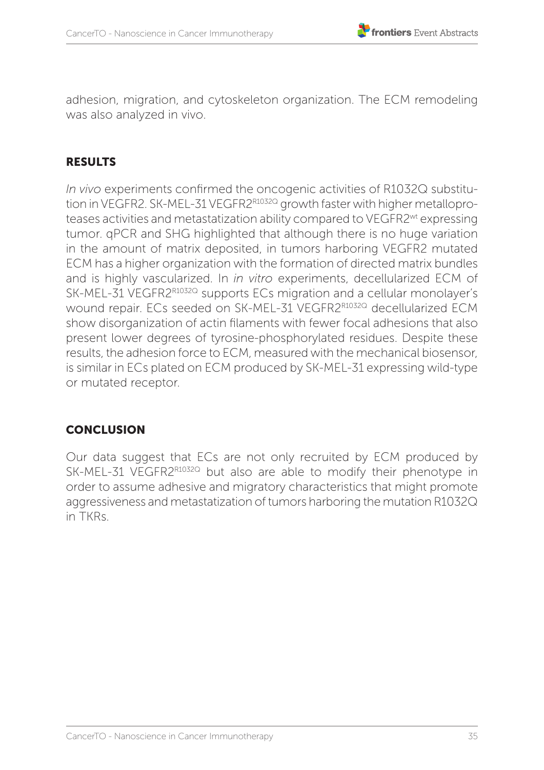adhesion, migration, and cytoskeleton organization. The ECM remodeling was also analyzed in vivo.

#### RESULTS

*In vivo* experiments confirmed the oncogenic activities of R1032Q substitution in VEGFR2. SK-MEL-31 VEGFR2R1032Q growth faster with higher metalloproteases activities and metastatization ability compared to VEGFR2wt expressing tumor. **aPCR** and SHG highlighted that although there is no huge variation in the amount of matrix deposited, in tumors harboring VEGFR2 mutated ECM has a higher organization with the formation of directed matrix bundles and is highly vascularized. In *in vitro* experiments, decellularized ECM of SK-MEL-31 VEGFR2R1032Q supports ECs migration and a cellular monolayer's wound repair. ECs seeded on SK-MEL-31 VEGFR2R1032Q decellularized ECM show disorganization of actin filaments with fewer focal adhesions that also present lower degrees of tyrosine-phosphorylated residues. Despite these results, the adhesion force to ECM, measured with the mechanical biosensor, is similar in ECs plated on ECM produced by SK-MEL-31 expressing wild-type or mutated receptor*.*

#### **CONCLUSION**

Our data suggest that ECs are not only recruited by ECM produced by SK-MEL-31 VEGFR2R1032Q but also are able to modify their phenotype in order to assume adhesive and migratory characteristics that might promote aggressiveness and metastatization of tumors harboring the mutation R1032Q in TKRs.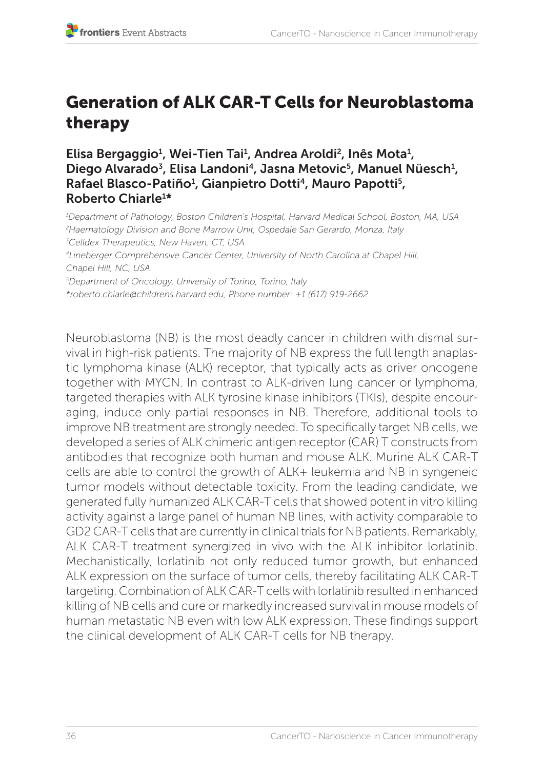# Generation of ALK CAR-T Cells for Neuroblastoma therapy

Elisa Bergaggio<sup>1</sup>, Wei-Tien Tai<sup>1</sup>, Andrea Aroldi<sup>2</sup>, Inês Mota<sup>1</sup>, Diego Alvarado<sup>3</sup>, Elisa Landoni<sup>4</sup>, Jasna Metovic<sup>5</sup>, Manuel Nüesch<sup>1</sup>, Rafael Blasco-Patiño<sup>1</sup>, Gianpietro Dotti<sup>4</sup>, Mauro Papotti<sup>5</sup>, Roberto Chiarle<sup>1\*</sup>

*1 Department of Pathology, Boston Children's Hospital, Harvard Medical School, Boston, MA, USA 2 Haematology Division and Bone Marrow Unit, Ospedale San Gerardo, Monza, Italy 3 Celldex Therapeutics, New Haven, CT, USA 4Lineberger Comprehensive Cancer Center, University of North Carolina at Chapel Hill, Chapel Hill, NC, USA 5 Department of Oncology, University of Torino, Torino, Italy \*roberto.chiarle@childrens.harvard.edu, Phone number: +1 (617) 919-2662*

Neuroblastoma (NB) is the most deadly cancer in children with dismal survival in high-risk patients. The majority of NB express the full length anaplastic lymphoma kinase (ALK) receptor, that typically acts as driver oncogene together with MYCN. In contrast to ALK-driven lung cancer or lymphoma, targeted therapies with ALK tyrosine kinase inhibitors (TKIs), despite encouraging, induce only partial responses in NB. Therefore, additional tools to improve NB treatment are strongly needed. To specifically target NB cells, we developed a series of ALK chimeric antigen receptor (CAR) T constructs from antibodies that recognize both human and mouse ALK. Murine ALK CAR-T cells are able to control the growth of ALK+ leukemia and NB in syngeneic tumor models without detectable toxicity. From the leading candidate, we generated fully humanized ALK CAR-T cells that showed potent in vitro killing activity against a large panel of human NB lines, with activity comparable to GD2 CAR-T cells that are currently in clinical trials for NB patients. Remarkably, ALK CAR-T treatment synergized in vivo with the ALK inhibitor lorlatinib. Mechanistically, lorlatinib not only reduced tumor growth, but enhanced ALK expression on the surface of tumor cells, thereby facilitating ALK CAR-T targeting. Combination of ALK CAR-T cells with lorlatinib resulted in enhanced killing of NB cells and cure or markedly increased survival in mouse models of human metastatic NB even with low ALK expression. These findings support the clinical development of ALK CAR-T cells for NB therapy.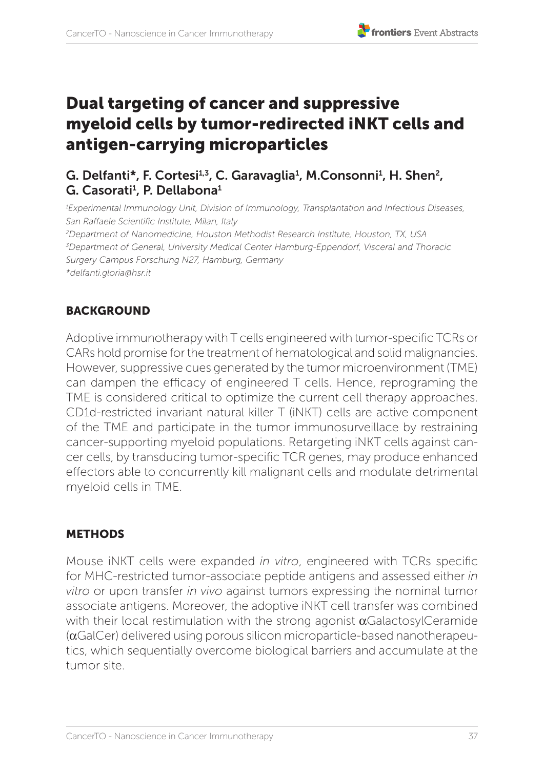# Dual targeting of cancer and suppressive myeloid cells by tumor-redirected iNKT cells and antigen-carrying microparticles

# G. Delfanti\*, F. Cortesi<sup>1,3</sup>, C. Garavaglia<sup>1</sup>, M.Consonni<sup>1</sup>, H. Shen<sup>2</sup>, G. Casorati<sup>1</sup>, P. Dellabona<sup>1</sup>

*1 Experimental Immunology Unit, Division of Immunology, Transplantation and Infectious Diseases, San Raffaele Scientific Institute, Milan, Italy 2 Department of Nanomedicine, Houston Methodist Research Institute, Houston, TX, USA 3 Department of General, University Medical Center Hamburg-Eppendorf, Visceral and Thoracic Surgery Campus Forschung N27, Hamburg, Germany*

*\*delfanti.gloria@hsr.it* 

## **BACKGROUND**

Adoptive immunotherapy with T cells engineered with tumor-specific TCRs or CARs hold promise for the treatment of hematological and solid malignancies. However, suppressive cues generated by the tumor microenvironment (TME) can dampen the efficacy of engineered T cells. Hence, reprograming the TME is considered critical to optimize the current cell therapy approaches. CD1d-restricted invariant natural killer T (iNKT) cells are active component of the TME and participate in the tumor immunosurveillace by restraining cancer-supporting myeloid populations. Retargeting iNKT cells against cancer cells, by transducing tumor-specific TCR genes, may produce enhanced effectors able to concurrently kill malignant cells and modulate detrimental myeloid cells in TME.

## **METHODS**

Mouse iNKT cells were expanded *in vitro*, engineered with TCRs specific for MHC-restricted tumor-associate peptide antigens and assessed either *in vitro* or upon transfer *in vivo* against tumors expressing the nominal tumor associate antigens. Moreover, the adoptive iNKT cell transfer was combined with their local restimulation with the strong agonist  $\alpha$ GalactosylCeramide (αGalCer) delivered using porous silicon microparticle-based nanotherapeutics, which sequentially overcome biological barriers and accumulate at the tumor site.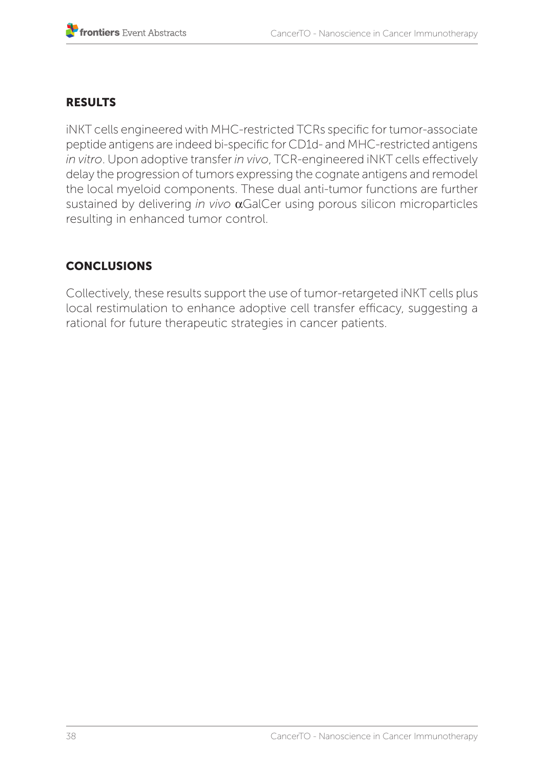# RESULTS

iNKT cells engineered with MHC-restricted TCRs specific for tumor-associate peptide antigens are indeed bi-specific for CD1d- and MHC-restricted antigens *in vitro*. Upon adoptive transfer *in vivo*, TCR-engineered iNKT cells effectively delay the progression of tumors expressing the cognate antigens and remodel the local myeloid components. These dual anti-tumor functions are further sustained by delivering *in vivo* αGalCer using porous silicon microparticles resulting in enhanced tumor control.

# **CONCLUSIONS**

Collectively, these results support the use of tumor-retargeted iNKT cells plus local restimulation to enhance adoptive cell transfer efficacy, suggesting a rational for future therapeutic strategies in cancer patients.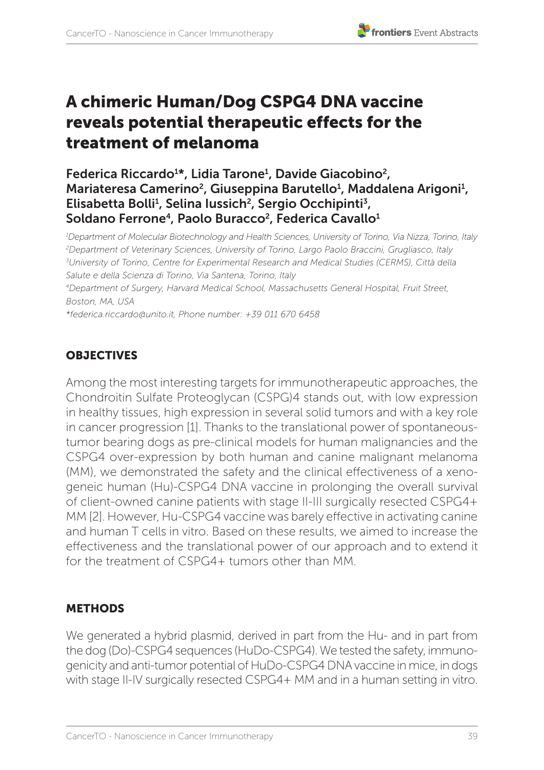# A chimeric Human/Dog CSPG4 DNA vaccine reveals potential therapeutic effects for the treatment of melanoma

## Federica Riccardo<sup>1\*</sup>, Lidia Tarone<sup>1</sup>, Davide Giacobino<sup>2</sup>, Mariateresa Camerino<sup>2</sup>, Giuseppina Barutello<sup>1</sup>, Maddalena Arigoni<sup>1</sup>, Elisabetta Bolli<sup>1</sup>, Selina Iussich<sup>2</sup>, Sergio Occhipinti<sup>3</sup>, Soldano Ferrone<sup>4</sup>, Paolo Buracco<sup>2</sup>, Federica Cavallo<sup>1</sup>

*1 Department of Molecular Biotechnology and Health Sciences, University of Torino, Via Nizza, Torino, Italy 2 Department of Veterinary Sciences, University of Torino, Largo Paolo Braccini, Grugliasco, Italy 3 University of Torino, Centre for Experimental Research and Medical Studies (CERMS), Città della Salute e della Scienza di Torino, Via Santena, Torino, Italy 4Department of Surgery, Harvard Medical School, Massachusetts General Hospital, Fruit Street,* 

*Boston, MA, USA* 

*\*federica.riccardo@unito.it, Phone number: +39 011 670 6458*

# **OBJECTIVES**

Among the most interesting targets for immunotherapeutic approaches, the Chondroitin Sulfate Proteoglycan (CSPG)4 stands out, with low expression in healthy tissues, high expression in several solid tumors and with a key role in cancer progression [1]. Thanks to the translational power of spontaneoustumor bearing dogs as pre-clinical models for human malignancies and the CSPG4 over-expression by both human and canine malignant melanoma (MM), we demonstrated the safety and the clinical effectiveness of a xenogeneic human (Hu)-CSPG4 DNA vaccine in prolonging the overall survival of client-owned canine patients with stage II-III surgically resected CSPG4+ MM [2]. However, Hu-CSPG4 vaccine was barely effective in activating canine and human T cells in vitro. Based on these results, we aimed to increase the effectiveness and the translational power of our approach and to extend it for the treatment of CSPG4+ tumors other than MM.

## METHODS

We generated a hybrid plasmid, derived in part from the Hu- and in part from the dog (Do)-CSPG4 sequences (HuDo-CSPG4). We tested the safety, immunogenicity and anti-tumor potential of HuDo-CSPG4 DNA vaccine in mice, in dogs with stage II-IV surgically resected CSPG4+ MM and in a human setting in vitro.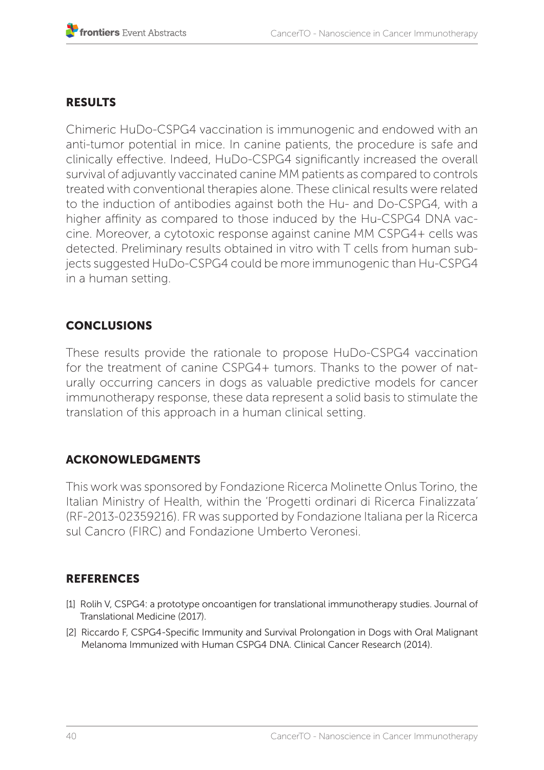## RESULTS

Chimeric HuDo-CSPG4 vaccination is immunogenic and endowed with an anti-tumor potential in mice. In canine patients, the procedure is safe and clinically effective. Indeed, HuDo-CSPG4 significantly increased the overall survival of adjuvantly vaccinated canine MM patients as compared to controls treated with conventional therapies alone. These clinical results were related to the induction of antibodies against both the Hu- and Do-CSPG4, with a higher affinity as compared to those induced by the Hu-CSPG4 DNA vaccine. Moreover, a cytotoxic response against canine MM CSPG4+ cells was detected. Preliminary results obtained in vitro with T cells from human subjects suggested HuDo-CSPG4 could be more immunogenic than Hu-CSPG4 in a human setting.

# **CONCLUSIONS**

These results provide the rationale to propose HuDo-CSPG4 vaccination for the treatment of canine CSPG4+ tumors. Thanks to the power of naturally occurring cancers in dogs as valuable predictive models for cancer immunotherapy response, these data represent a solid basis to stimulate the translation of this approach in a human clinical setting.

## ACKONOWLEDGMENTS

This work was sponsored by Fondazione Ricerca Molinette Onlus Torino, the Italian Ministry of Health, within the 'Progetti ordinari di Ricerca Finalizzata' (RF-2013-02359216). FR was supported by Fondazione Italiana per la Ricerca sul Cancro (FIRC) and Fondazione Umberto Veronesi.

- [1] Rolih V, CSPG4: a prototype oncoantigen for translational immunotherapy studies. Journal of Translational Medicine (2017).
- [2] Riccardo F, CSPG4-Specific Immunity and Survival Prolongation in Dogs with Oral Malignant Melanoma Immunized with Human CSPG4 DNA. Clinical Cancer Research (2014).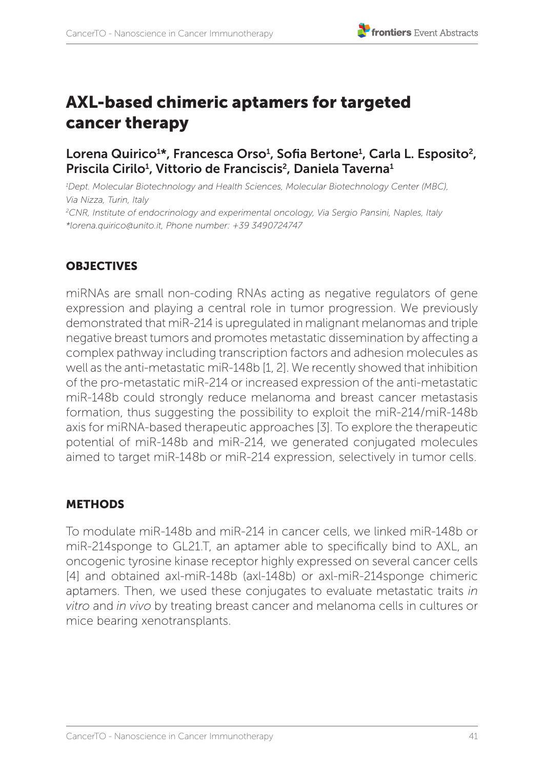# AXL-based chimeric aptamers for targeted cancer therapy

# Lorena Quirico<sup>1\*</sup>, Francesca Orso<sup>1</sup>, Sofia Bertone<sup>1</sup>, Carla L. Esposito<sup>2</sup>, Priscila Cirilo<sup>1</sup>, Vittorio de Franciscis<sup>2</sup>, Daniela Taverna<sup>1</sup>

*1 Dept. Molecular Biotechnology and Health Sciences, Molecular Biotechnology Center (MBC), Via Nizza, Turin, Italy 2 CNR, Institute of endocrinology and experimental oncology, Via Sergio Pansini, Naples, Italy*

*\*lorena.quirico@unito.it, Phone number: +39 3490724747*

### **OBJECTIVES**

miRNAs are small non-coding RNAs acting as negative regulators of gene expression and playing a central role in tumor progression. We previously demonstrated that miR-214 is upregulated in malignant melanomas and triple negative breast tumors and promotes metastatic dissemination by affecting a complex pathway including transcription factors and adhesion molecules as well as the anti-metastatic miR-148b [1, 2]. We recently showed that inhibition of the pro-metastatic miR-214 or increased expression of the anti-metastatic miR-148b could strongly reduce melanoma and breast cancer metastasis formation, thus suggesting the possibility to exploit the miR-214/miR-148b axis for miRNA-based therapeutic approaches [3]. To explore the therapeutic potential of miR-148b and miR-214, we generated conjugated molecules aimed to target miR-148b or miR-214 expression, selectively in tumor cells.

#### METHODS

To modulate miR-148b and miR-214 in cancer cells, we linked miR-148b or miR-214sponge to GL21.T, an aptamer able to specifically bind to AXL, an oncogenic tyrosine kinase receptor highly expressed on several cancer cells [4] and obtained axl-miR-148b (axl-148b) or axl-miR-214sponge chimeric aptamers. Then, we used these conjugates to evaluate metastatic traits *in vitro* and *in vivo* by treating breast cancer and melanoma cells in cultures or mice bearing xenotransplants.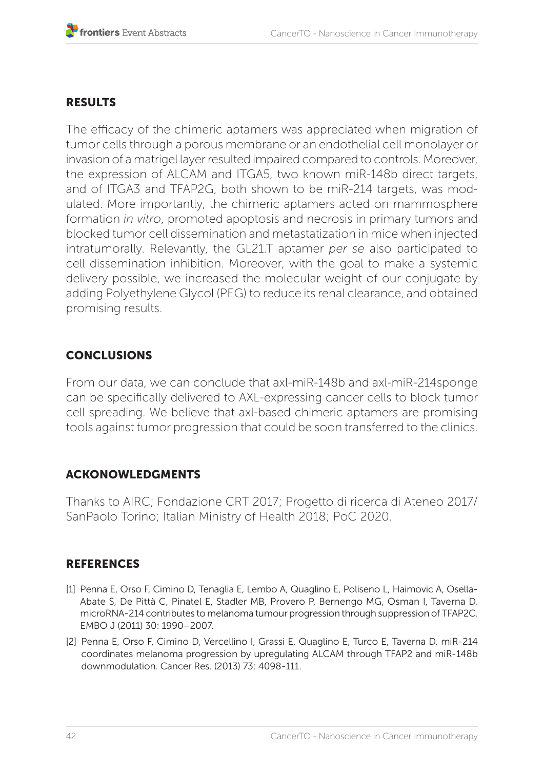## RESULTS

The efficacy of the chimeric aptamers was appreciated when migration of tumor cells through a porous membrane or an endothelial cell monolayer or invasion of a matrigel layer resulted impaired compared to controls. Moreover, the expression of ALCAM and ITGA5, two known miR-148b direct targets, and of ITGA3 and TFAP2G, both shown to be miR-214 targets, was modulated. More importantly, the chimeric aptamers acted on mammosphere formation *in vitro*, promoted apoptosis and necrosis in primary tumors and blocked tumor cell dissemination and metastatization in mice when injected intratumorally. Relevantly, the GL21.T aptamer *per se* also participated to cell dissemination inhibition. Moreover, with the goal to make a systemic delivery possible, we increased the molecular weight of our conjugate by adding Polyethylene Glycol (PEG) to reduce its renal clearance, and obtained promising results.

## **CONCLUSIONS**

From our data, we can conclude that axl-miR-148b and axl-miR-214sponge can be specifically delivered to AXL-expressing cancer cells to block tumor cell spreading. We believe that axl-based chimeric aptamers are promising tools against tumor progression that could be soon transferred to the clinics.

## ACKONOWLEDGMENTS

Thanks to AIRC; Fondazione CRT 2017; Progetto di ricerca di Ateneo 2017/ SanPaolo Torino; Italian Ministry of Health 2018; PoC 2020.

- [1] Penna E, Orso F, Cimino D, Tenaglia E, Lembo A, Quaglino E, Poliseno L, Haimovic A, Osella-Abate S, De Pittà C, Pinatel E, Stadler MB, Provero P, Bernengo MG, Osman I, Taverna D. microRNA-214 contributes to melanoma tumour progression through suppression of TFAP2C. EMBO J (2011) 30: 1990–2007.
- [2] Penna E, Orso F, Cimino D, Vercellino I, Grassi E, Quaglino E, Turco E, Taverna D. miR-214 coordinates melanoma progression by upregulating ALCAM through TFAP2 and miR-148b downmodulation. Cancer Res. (2013) 73: 4098-111.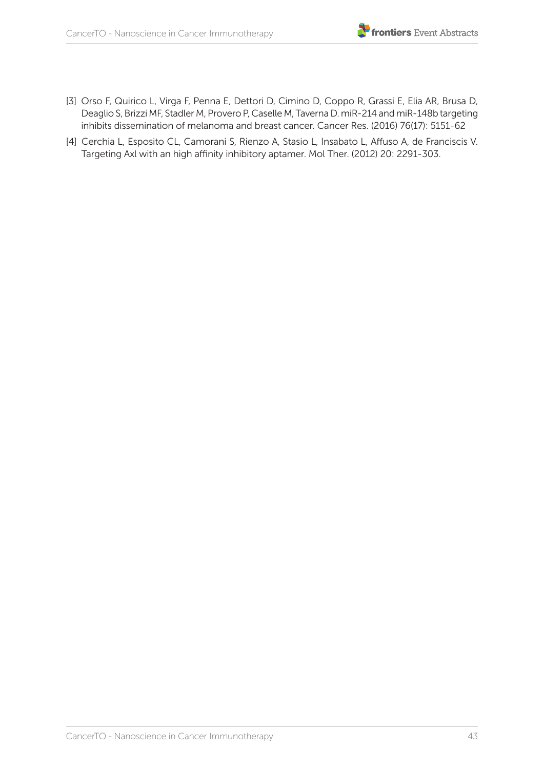- [3] Orso F, Quirico L, Virga F, Penna E, Dettori D, Cimino D, Coppo R, Grassi E, Elia AR, Brusa D, Deaglio S, Brizzi MF, Stadler M, Provero P, Caselle M, Taverna D. miR-214 and miR-148b targeting inhibits dissemination of melanoma and breast cancer. Cancer Res. (2016) 76(17): 5151-62
- [4] Cerchia L, Esposito CL, Camorani S, Rienzo A, Stasio L, Insabato L, Affuso A, de Franciscis V. Targeting Axl with an high affinity inhibitory aptamer. Mol Ther. (2012) 20: 2291-303.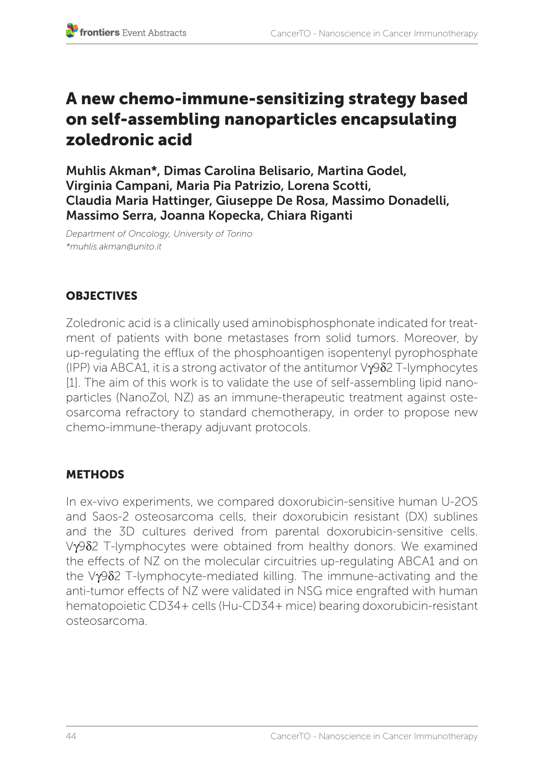# A new chemo-immune-sensitizing strategy based on self-assembling nanoparticles encapsulating zoledronic acid

Muhlis Akman\*, Dimas Carolina Belisario, Martina Godel, Virginia Campani, Maria Pia Patrizio, Lorena Scotti, Claudia Maria Hattinger, Giuseppe De Rosa, Massimo Donadelli, Massimo Serra, Joanna Kopecka, Chiara Riganti

*Department of Oncology, University of Torino \*muhlis.akman@unito.it*

# **OBJECTIVES**

Zoledronic acid is a clinically used aminobisphosphonate indicated for treatment of patients with bone metastases from solid tumors. Moreover, by up-regulating the efflux of the phosphoantigen isopentenyl pyrophosphate (IPP) via ABCA1, it is a strong activator of the antitumor Vγ9δ2 T-lymphocytes [1]. The aim of this work is to validate the use of self-assembling lipid nanoparticles (NanoZol, NZ) as an immune-therapeutic treatment against osteosarcoma refractory to standard chemotherapy, in order to propose new chemo-immune-therapy adjuvant protocols.

## **METHODS**

In ex-vivo experiments, we compared doxorubicin-sensitive human U-2OS and Saos-2 osteosarcoma cells, their doxorubicin resistant (DX) sublines and the 3D cultures derived from parental doxorubicin-sensitive cells. Vγ9δ2 T-lymphocytes were obtained from healthy donors. We examined the effects of NZ on the molecular circuitries up-regulating ABCA1 and on the Vγ9δ2 T-lymphocyte-mediated killing. The immune-activating and the anti-tumor effects of NZ were validated in NSG mice engrafted with human hematopoietic CD34+ cells (Hu-CD34+ mice) bearing doxorubicin-resistant osteosarcoma.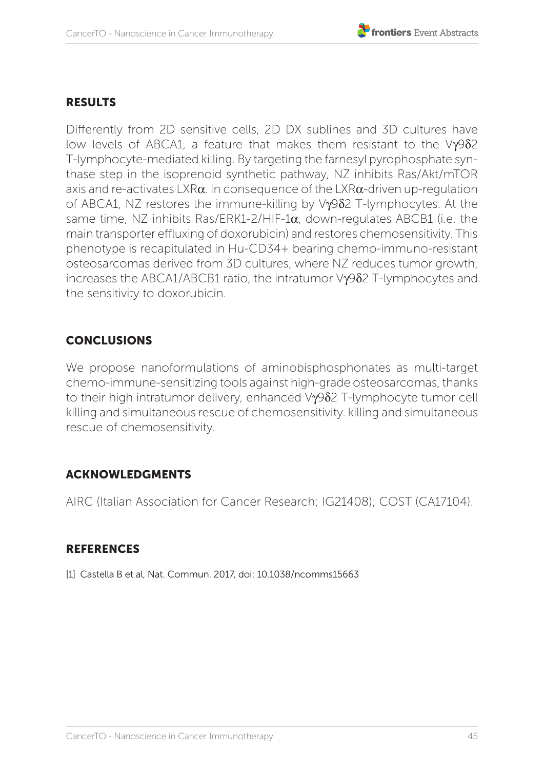## RESULTS

Differently from 2D sensitive cells, 2D DX sublines and 3D cultures have low levels of ABCA1, a feature that makes them resistant to the Vγ9δ2 T-lymphocyte-mediated killing. By targeting the farnesyl pyrophosphate synthase step in the isoprenoid synthetic pathway, NZ inhibits Ras/Akt/mTOR axis and re-activates LXR $\alpha$ . In consequence of the LXR $\alpha$ -driven up-regulation of ABCA1, NZ restores the immune-killing by Vγ9δ2 T-lymphocytes. At the same time, NZ inhibits Ras/ERK1-2/HIF-1α, down-regulates ABCB1 (i.e. the main transporter effluxing of doxorubicin) and restores chemosensitivity. This phenotype is recapitulated in Hu-CD34+ bearing chemo-immuno-resistant osteosarcomas derived from 3D cultures, where NZ reduces tumor growth, increases the ABCA1/ABCB1 ratio, the intratumor Vγ9δ2 T-lymphocytes and the sensitivity to doxorubicin.

# **CONCLUSIONS**

We propose nanoformulations of aminobisphosphonates as multi-target chemo-immune-sensitizing tools against high-grade osteosarcomas, thanks to their high intratumor delivery, enhanced Vγ9δ2 T-lymphocyte tumor cell killing and simultaneous rescue of chemosensitivity. killing and simultaneous rescue of chemosensitivity.

## ACKNOWLEDGMENTS

AIRC (Italian Association for Cancer Research; IG21408); COST (CA17104).

## **REFERENCES**

[1] Castella B et al, Nat. Commun. 2017, doi: 10.1038/ncomms15663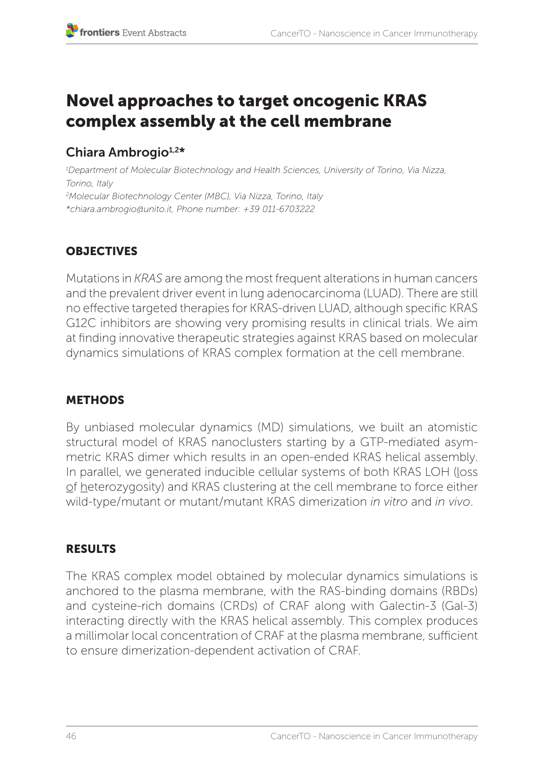# Novel approaches to target oncogenic KRAS complex assembly at the cell membrane

# Chiara Ambrogio<sup>1,2\*</sup>

*1 Department of Molecular Biotechnology and Health Sciences, University of Torino, Via Nizza, Torino, Italy 2 Molecular Biotechnology Center (MBC), Via Nizza, Torino, Italy \*chiara.ambrogio@unito.it, Phone number: +39 011-6703222* 

# **OBJECTIVES**

Mutations in *KRAS* are among the most frequent alterations in human cancers and the prevalent driver event in lung adenocarcinoma (LUAD). There are still no effective targeted therapies for KRAS-driven LUAD, although specific KRAS G12C inhibitors are showing very promising results in clinical trials. We aim at finding innovative therapeutic strategies against KRAS based on molecular dynamics simulations of KRAS complex formation at the cell membrane.

# METHODS

By unbiased molecular dynamics (MD) simulations, we built an atomistic structural model of KRAS nanoclusters starting by a GTP-mediated asymmetric KRAS dimer which results in an open-ended KRAS helical assembly. In parallel, we generated inducible cellular systems of both KRAS LOH (loss of heterozygosity) and KRAS clustering at the cell membrane to force either wild-type/mutant or mutant/mutant KRAS dimerization *in vitro* and *in vivo*.

# RESULTS

The KRAS complex model obtained by molecular dynamics simulations is anchored to the plasma membrane, with the RAS-binding domains (RBDs) and cysteine-rich domains (CRDs) of CRAF along with Galectin-3 (Gal-3) interacting directly with the KRAS helical assembly. This complex produces a millimolar local concentration of CRAF at the plasma membrane, sufficient to ensure dimerization-dependent activation of CRAF.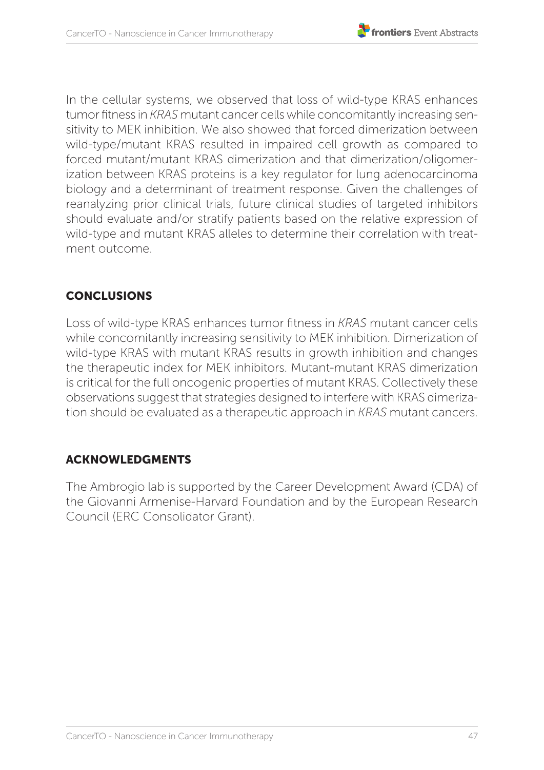

In the cellular systems, we observed that loss of wild-type KRAS enhances tumor fitness in *KRAS* mutant cancer cells while concomitantly increasing sensitivity to MEK inhibition. We also showed that forced dimerization between wild-type/mutant KRAS resulted in impaired cell growth as compared to forced mutant/mutant KRAS dimerization and that dimerization/oligomerization between KRAS proteins is a key regulator for lung adenocarcinoma biology and a determinant of treatment response. Given the challenges of reanalyzing prior clinical trials, future clinical studies of targeted inhibitors should evaluate and/or stratify patients based on the relative expression of wild-type and mutant KRAS alleles to determine their correlation with treatment outcome.

# CONCLUSIONS

Loss of wild-type KRAS enhances tumor fitness in *KRAS* mutant cancer cells while concomitantly increasing sensitivity to MEK inhibition. Dimerization of wild-type KRAS with mutant KRAS results in growth inhibition and changes the therapeutic index for MEK inhibitors. Mutant-mutant KRAS dimerization is critical for the full oncogenic properties of mutant KRAS. Collectively these observations suggest that strategies designed to interfere with KRAS dimerization should be evaluated as a therapeutic approach in *KRAS* mutant cancers.

# ACKNOWLEDGMENTS

The Ambrogio lab is supported by the Career Development Award (CDA) of the Giovanni Armenise-Harvard Foundation and by the European Research Council (ERC Consolidator Grant).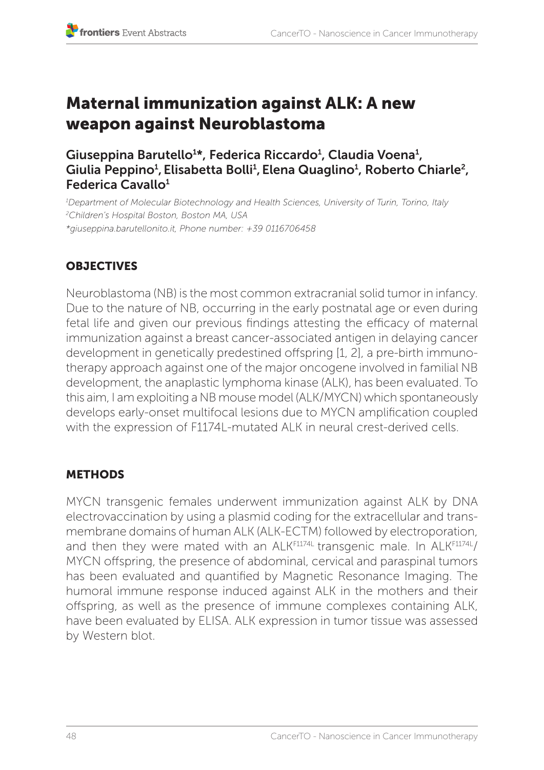# Maternal immunization against ALK: A new weapon against Neuroblastoma

Giuseppina Barutello<sup>1</sup>\*, Federica Riccardo<sup>1</sup>, Claudia Voena<sup>1</sup>, Giulia Peppino<del>'</del>, Elisabetta Bolli<del>'</del>, Elena Quaglino<del>'</del>, Roberto Chiarle<sup>2</sup>, Federica Cavallo<sup>1</sup>

*1 Department of Molecular Biotechnology and Health Sciences, University of Turin, Torino, Italy 2 Children's Hospital Boston, Boston MA, USA \*giuseppina.barutellonito.it, Phone number: +39 0116706458*

# **OBJECTIVES**

Neuroblastoma (NB) is the most common extracranial solid tumor in infancy. Due to the nature of NB, occurring in the early postnatal age or even during fetal life and given our previous findings attesting the efficacy of maternal immunization against a breast cancer-associated antigen in delaying cancer development in genetically predestined offspring [1, 2], a pre-birth immunotherapy approach against one of the major oncogene involved in familial NB development, the anaplastic lymphoma kinase (ALK), has been evaluated. To this aim, I am exploiting a NB mouse model (ALK/MYCN) which spontaneously develops early-onset multifocal lesions due to MYCN amplification coupled with the expression of F1174L-mutated ALK in neural crest-derived cells.

## METHODS

MYCN transgenic females underwent immunization against ALK by DNA electrovaccination by using a plasmid coding for the extracellular and transmembrane domains of human ALK (ALK-ECTM) followed by electroporation, and then they were mated with an ALKF1174L transgenic male. In ALKF1174L/ MYCN offspring, the presence of abdominal, cervical and paraspinal tumors has been evaluated and quantified by Magnetic Resonance Imaging. The humoral immune response induced against ALK in the mothers and their offspring, as well as the presence of immune complexes containing ALK, have been evaluated by ELISA. ALK expression in tumor tissue was assessed by Western blot.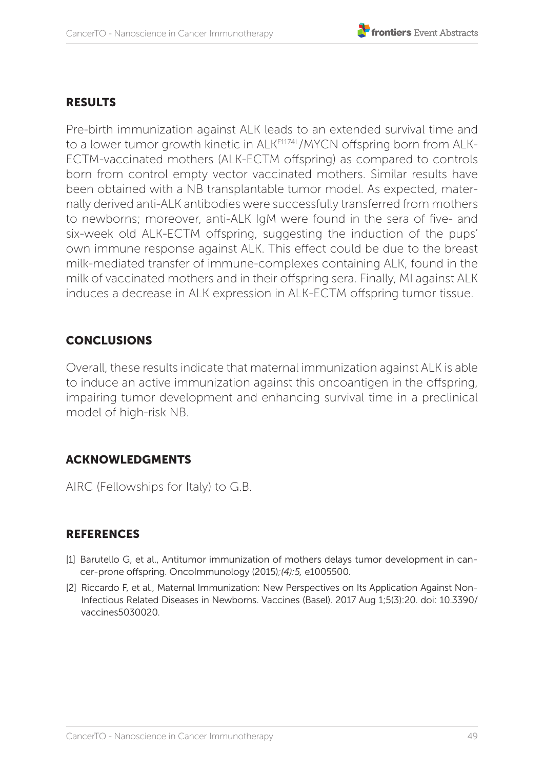# RESULTS

Pre-birth immunization against ALK leads to an extended survival time and to a lower tumor growth kinetic in ALK<sup>F1174L</sup>/MYCN offspring born from ALK-ECTM-vaccinated mothers (ALK-ECTM offspring) as compared to controls born from control empty vector vaccinated mothers. Similar results have been obtained with a NB transplantable tumor model. As expected, maternally derived anti-ALK antibodies were successfully transferred from mothers to newborns; moreover, anti-ALK IgM were found in the sera of five- and six-week old ALK-ECTM offspring, suggesting the induction of the pups' own immune response against ALK. This effect could be due to the breast milk-mediated transfer of immune-complexes containing ALK, found in the milk of vaccinated mothers and in their offspring sera. Finally, MI against ALK induces a decrease in ALK expression in ALK-ECTM offspring tumor tissue.

# **CONCLUSIONS**

Overall, these results indicate that maternal immunization against ALK is able to induce an active immunization against this oncoantigen in the offspring, impairing tumor development and enhancing survival time in a preclinical model of high-risk NB.

## ACKNOWLEDGMENTS

AIRC (Fellowships for Italy) to G.B.

- [1] Barutello G, et al., Antitumor immunization of mothers delays tumor development in cancer-prone offspring. OncoImmunology (2015)*;(4):5,* e1005500.
- [2] Riccardo F, et al., Maternal Immunization: New Perspectives on Its Application Against Non-Infectious Related Diseases in Newborns. Vaccines (Basel). 2017 Aug 1;5(3):20. doi: 10.3390/ vaccines5030020.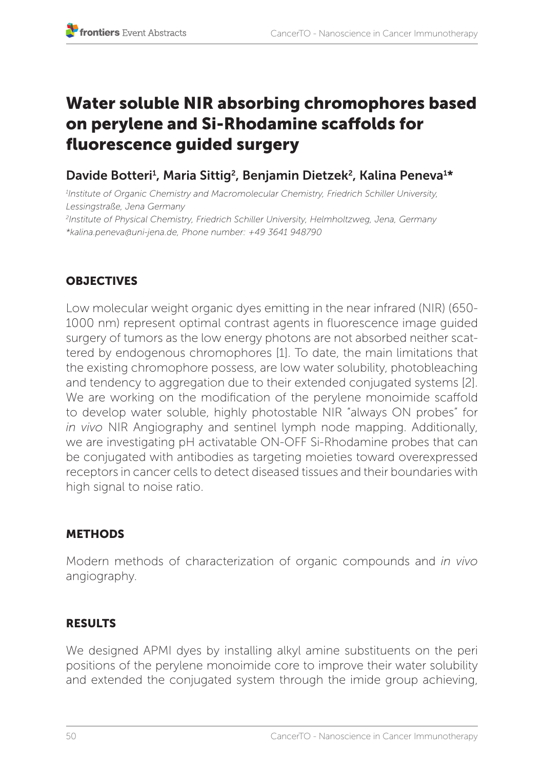# Water soluble NIR absorbing chromophores based on perylene and Si-Rhodamine scaffolds for fluorescence guided surgery

# Davide Botteri<sup>1</sup>, Maria Sittig<sup>2</sup>, Benjamin Dietzek<sup>2</sup>, Kalina Peneva<sup>1\*</sup>

*1 Institute of Organic Chemistry and Macromolecular Chemistry, Friedrich Schiller University, Lessingstraße, Jena Germany 2 Institute of Physical Chemistry, Friedrich Schiller University, Helmholtzweg, Jena, Germany \*kalina.peneva@uni-jena.de, Phone number: +49 3641 948790*

# **OBJECTIVES**

Low molecular weight organic dyes emitting in the near infrared (NIR) (650- 1000 nm) represent optimal contrast agents in fluorescence image guided surgery of tumors as the low energy photons are not absorbed neither scattered by endogenous chromophores [1]. To date, the main limitations that the existing chromophore possess, are low water solubility, photobleaching and tendency to aggregation due to their extended conjugated systems [2]. We are working on the modification of the perylene monoimide scaffold to develop water soluble, highly photostable NIR "always ON probes" for *in vivo* NIR Angiography and sentinel lymph node mapping. Additionally, we are investigating pH activatable ON-OFF Si-Rhodamine probes that can be conjugated with antibodies as targeting moieties toward overexpressed receptors in cancer cells to detect diseased tissues and their boundaries with high signal to noise ratio.

# **METHODS**

Modern methods of characterization of organic compounds and *in vivo*  angiography.

## RESULTS

We designed APMI dyes by installing alkyl amine substituents on the peri positions of the perylene monoimide core to improve their water solubility and extended the conjugated system through the imide group achieving,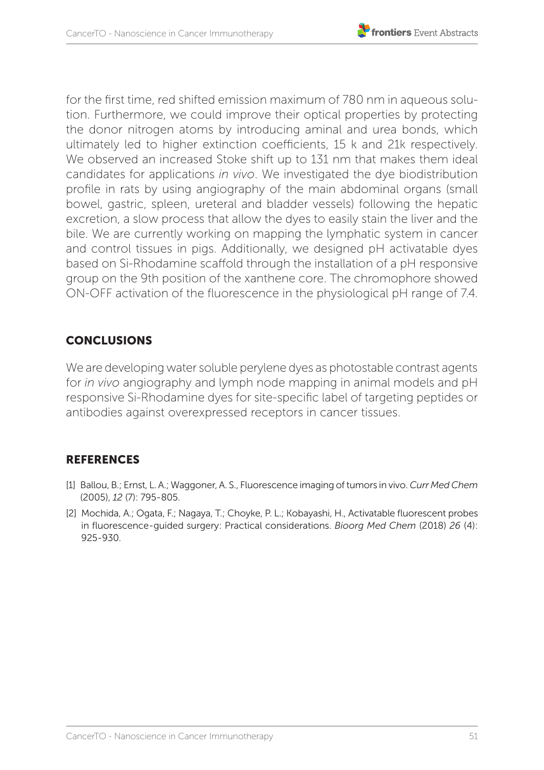

for the first time, red shifted emission maximum of 780 nm in aqueous solution. Furthermore, we could improve their optical properties by protecting the donor nitrogen atoms by introducing aminal and urea bonds, which ultimately led to higher extinction coefficients, 15 k and 21k respectively. We observed an increased Stoke shift up to 131 nm that makes them ideal candidates for applications *in vivo*. We investigated the dye biodistribution profile in rats by using angiography of the main abdominal organs (small bowel, gastric, spleen, ureteral and bladder vessels) following the hepatic excretion, a slow process that allow the dyes to easily stain the liver and the bile. We are currently working on mapping the lymphatic system in cancer and control tissues in pigs. Additionally, we designed pH activatable dyes based on Si-Rhodamine scaffold through the installation of a pH responsive group on the 9th position of the xanthene core. The chromophore showed ON-OFF activation of the fluorescence in the physiological pH range of 7.4.

# **CONCLUSIONS**

We are developing water soluble perylene dyes as photostable contrast agents for *in vivo* angiography and lymph node mapping in animal models and pH responsive Si-Rhodamine dyes for site-specific label of targeting peptides or antibodies against overexpressed receptors in cancer tissues.

- [1] Ballou, B.; Ernst, L. A.; Waggoner, A. S., Fluorescence imaging of tumors in vivo. *Curr Med Chem*  (2005), *12* (7): 795-805.
- [2] Mochida, A.; Ogata, F.; Nagaya, T.; Choyke, P. L.; Kobayashi, H., Activatable fluorescent probes in fluorescence-guided surgery: Practical considerations. *Bioorg Med Chem* (2018) *26* (4): 925-930.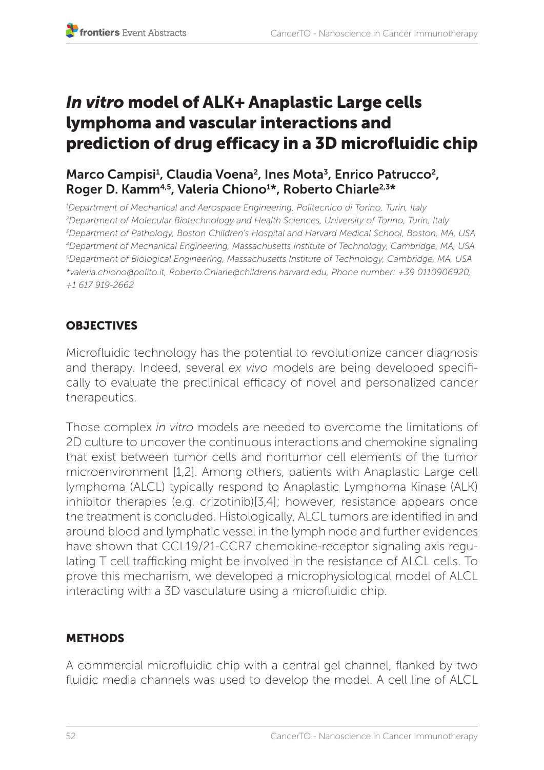# *In vitro* model of ALK+ Anaplastic Large cells lymphoma and vascular interactions and prediction of drug efficacy in a 3D microfluidic chip

# Marco Campisi<sup>1</sup>, Claudia Voena<sup>2</sup>, Ines Mota<sup>3</sup>, Enrico Patrucco<sup>2</sup>, Roger D. Kamm<sup>4,5</sup>, Valeria Chiono<sup>1\*</sup>, Roberto Chiarle<sup>2,3\*</sup>

*1 Department of Mechanical and Aerospace Engineering, Politecnico di Torino, Turin, Italy 2 Department of Molecular Biotechnology and Health Sciences, University of Torino, Turin, Italy 3 Department of Pathology, Boston Children's Hospital and Harvard Medical School, Boston, MA, USA 4Department of Mechanical Engineering, Massachusetts Institute of Technology, Cambridge, MA, USA 5 Department of Biological Engineering, Massachusetts Institute of Technology, Cambridge, MA, USA \*valeria.chiono@polito.it, Roberto.Chiarle@childrens.harvard.edu, Phone number: +39 0110906920, +1 617 919-2662*

# **OBJECTIVES**

Microfluidic technology has the potential to revolutionize cancer diagnosis and therapy. Indeed, several *ex vivo* models are being developed specifically to evaluate the preclinical efficacy of novel and personalized cancer therapeutics.

Those complex *in vitro* models are needed to overcome the limitations of 2D culture to uncover the continuous interactions and chemokine signaling that exist between tumor cells and nontumor cell elements of the tumor microenvironment [1,2]. Among others, patients with Anaplastic Large cell lymphoma (ALCL) typically respond to Anaplastic Lymphoma Kinase (ALK) inhibitor therapies (e.g. crizotinib)[3,4]; however, resistance appears once the treatment is concluded. Histologically, ALCL tumors are identified in and around blood and lymphatic vessel in the lymph node and further evidences have shown that CCL19/21-CCR7 chemokine-receptor signaling axis regulating T cell trafficking might be involved in the resistance of ALCL cells. To prove this mechanism, we developed a microphysiological model of ALCL interacting with a 3D vasculature using a microfluidic chip.

# METHODS

A commercial microfluidic chip with a central gel channel, flanked by two fluidic media channels was used to develop the model. A cell line of ALCL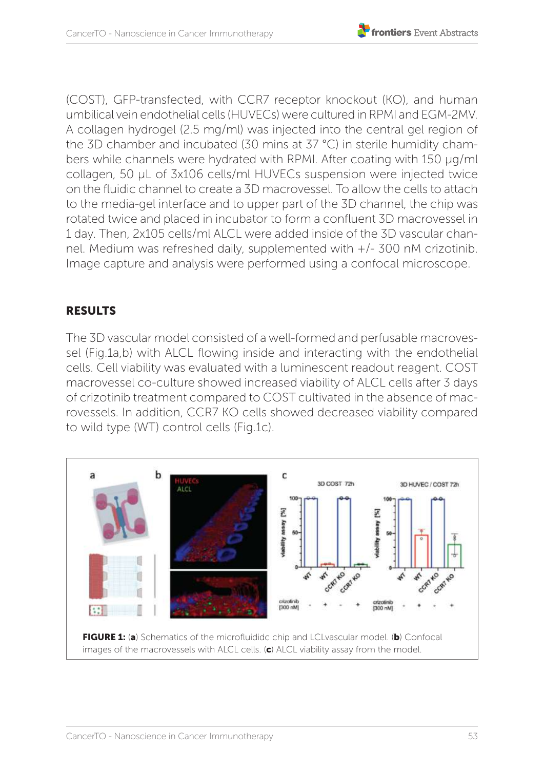

(COST), GFP-transfected, with CCR7 receptor knockout (KO), and human umbilical vein endothelial cells (HUVECs) were cultured in RPMI and EGM-2MV. A collagen hydrogel (2.5 mg/ml) was injected into the central gel region of the 3D chamber and incubated (30 mins at 37 °C) in sterile humidity chambers while channels were hydrated with RPMI. After coating with 150 μg/ml collagen, 50 μL of 3x106 cells/ml HUVECs suspension were injected twice on the fluidic channel to create a 3D macrovessel. To allow the cells to attach to the media-gel interface and to upper part of the 3D channel, the chip was rotated twice and placed in incubator to form a confluent 3D macrovessel in 1 day. Then, 2x105 cells/ml ALCL were added inside of the 3D vascular channel. Medium was refreshed daily, supplemented with +/- 300 nM crizotinib. Image capture and analysis were performed using a confocal microscope.

# RESULTS

The 3D vascular model consisted of a well-formed and perfusable macrovessel (Fig.1a,b) with ALCL flowing inside and interacting with the endothelial cells. Cell viability was evaluated with a luminescent readout reagent. COST macrovessel co-culture showed increased viability of ALCL cells after 3 days of crizotinib treatment compared to COST cultivated in the absence of macrovessels. In addition, CCR7 KO cells showed decreased viability compared to wild type (WT) control cells (Fig.1c).

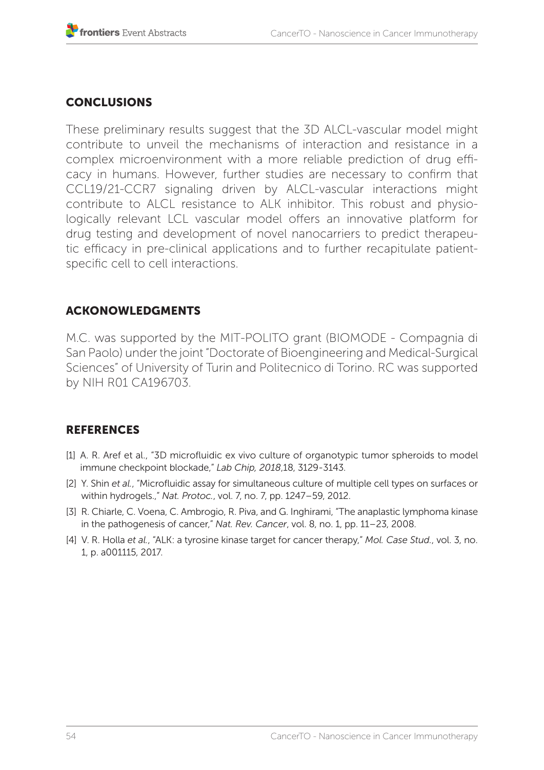## **CONCLUSIONS**

These preliminary results suggest that the 3D ALCL-vascular model might contribute to unveil the mechanisms of interaction and resistance in a complex microenvironment with a more reliable prediction of drug efficacy in humans. However, further studies are necessary to confirm that CCL19/21-CCR7 signaling driven by ALCL-vascular interactions might contribute to ALCL resistance to ALK inhibitor. This robust and physiologically relevant LCL vascular model offers an innovative platform for drug testing and development of novel nanocarriers to predict therapeutic efficacy in pre-clinical applications and to further recapitulate patientspecific cell to cell interactions.

### ACKONOWLEDGMENTS

M.C. was supported by the MIT-POLITO grant (BIOMODE - Compagnia di San Paolo) under the joint "Doctorate of Bioengineering and Medical-Surgical Sciences" of University of Turin and Politecnico di Torino. RC was supported by NIH R01 CA196703.

- [1] A. R. Aref et al., "3D microfluidic ex vivo culture of organotypic tumor spheroids to model immune checkpoint blockade," *Lab Chip, 2018*,18, 3129-3143.
- [2] Y. Shin *et al.*, "Microfluidic assay for simultaneous culture of multiple cell types on surfaces or within hydrogels.," *Nat. Protoc.*, vol. 7, no. 7, pp. 1247–59, 2012.
- [3] R. Chiarle, C. Voena, C. Ambrogio, R. Piva, and G. Inghirami, "The anaplastic lymphoma kinase in the pathogenesis of cancer," *Nat. Rev. Cancer*, vol. 8, no. 1, pp. 11–23, 2008.
- [4] V. R. Holla *et al.*, "ALK: a tyrosine kinase target for cancer therapy," *Mol. Case Stud.*, vol. 3, no. 1, p. a001115, 2017.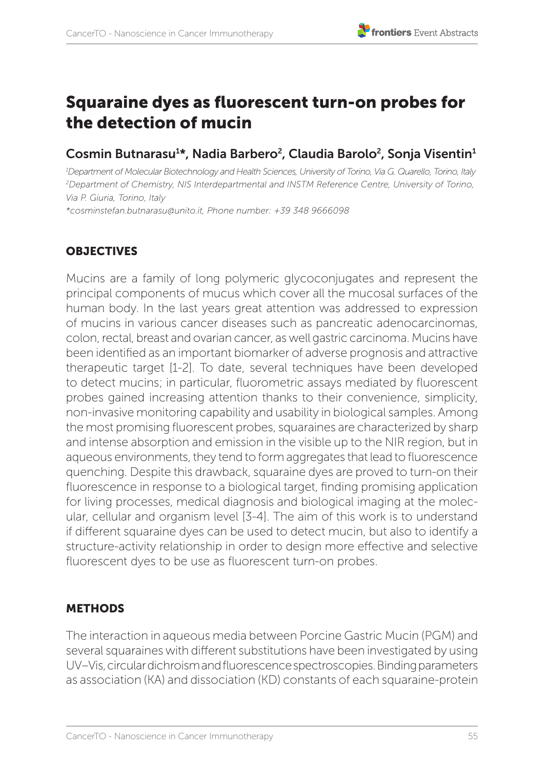# Squaraine dyes as fluorescent turn-on probes for the detection of mucin

# Cosmin Butnarasu<sup>1\*</sup>, Nadia Barbero<sup>2</sup>, Claudia Barolo<sup>2</sup>, Sonja Visentin<sup>1</sup>

*1 Department of Molecular Biotechnology and Health Sciences, University of Torino, Via G. Quarello, Torino, Italy 2 Department of Chemistry, NIS Interdepartmental and INSTM Reference Centre, University of Torino, Via P. Giuria, Torino, Italy*

*\*cosminstefan.butnarasu@unito.it, Phone number: +39 348 9666098*

## **OBJECTIVES**

Mucins are a family of long polymeric glycoconjugates and represent the principal components of mucus which cover all the mucosal surfaces of the human body. In the last years great attention was addressed to expression of mucins in various cancer diseases such as pancreatic adenocarcinomas, colon, rectal, breast and ovarian cancer, as well gastric carcinoma. Mucins have been identified as an important biomarker of adverse prognosis and attractive therapeutic target [1-2]. To date, several techniques have been developed to detect mucins; in particular, fluorometric assays mediated by fluorescent probes gained increasing attention thanks to their convenience, simplicity, non-invasive monitoring capability and usability in biological samples. Among the most promising fluorescent probes, squaraines are characterized by sharp and intense absorption and emission in the visible up to the NIR region, but in aqueous environments, they tend to form aggregates that lead to fluorescence quenching. Despite this drawback, squaraine dyes are proved to turn-on their fluorescence in response to a biological target, finding promising application for living processes, medical diagnosis and biological imaging at the molecular, cellular and organism level [3-4]. The aim of this work is to understand if different squaraine dyes can be used to detect mucin, but also to identify a structure-activity relationship in order to design more effective and selective fluorescent dyes to be use as fluorescent turn-on probes.

## METHODS

The interaction in aqueous media between Porcine Gastric Mucin (PGM) and several squaraines with different substitutions have been investigated by using UV–Vis, circular dichroism and fluorescence spectroscopies. Binding parameters as association (KA) and dissociation (KD) constants of each squaraine-protein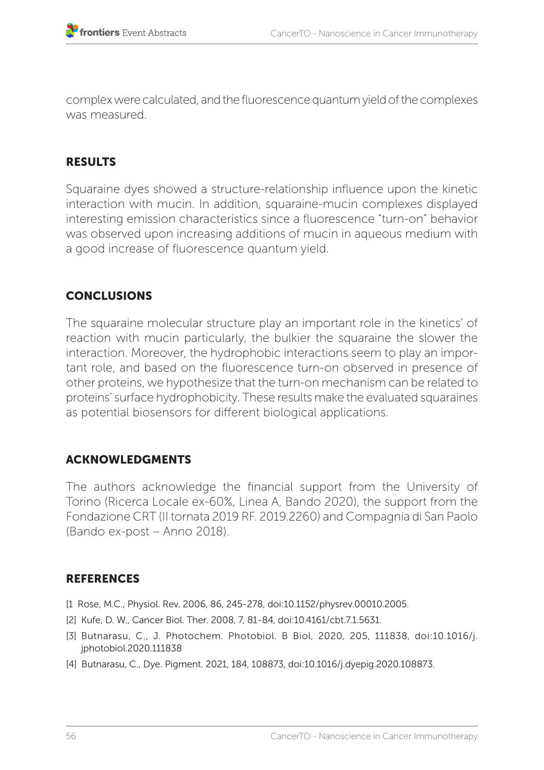complex were calculated, and the fluorescence quantum yield of the complexes was measured.

# **RESULTS**

Squaraine dyes showed a structure-relationship influence upon the kinetic interaction with mucin. In addition, squaraine-mucin complexes displayed interesting emission characteristics since a fluorescence "turn-on" behavior was observed upon increasing additions of mucin in aqueous medium with a good increase of fluorescence quantum yield.

# CONCLUSIONS

The squaraine molecular structure play an important role in the kinetics' of reaction with mucin particularly, the bulkier the squaraine the slower the interaction. Moreover, the hydrophobic interactions seem to play an important role, and based on the fluorescence turn-on observed in presence of other proteins, we hypothesize that the turn-on mechanism can be related to proteins' surface hydrophobicity. These results make the evaluated squaraines as potential biosensors for different biological applications.

## ACKNOWLEDGMENTS

The authors acknowledge the financial support from the University of Torino (Ricerca Locale ex-60%, Linea A, Bando 2020), the support from the Fondazione CRT (II tornata 2019 RF. 2019.2260) and Compagnia di San Paolo (Bando ex-post – Anno 2018).

- [1 Rose, M.C., Physiol. Rev. 2006, 86, 245-278, doi:10.1152/physrev.00010.2005.
- [2] Kufe, D. W., Cancer Biol. Ther. 2008, 7, 81-84, doi:10.4161/cbt.7.1.5631.
- [3] Butnarasu, C., J. Photochem. Photobiol. B Biol, 2020, 205, 111838, doi:10.1016/j. jphotobiol.2020.111838
- [4] Butnarasu, C., Dye. Pigment. 2021, 184, 108873, doi:10.1016/j.dyepig.2020.108873.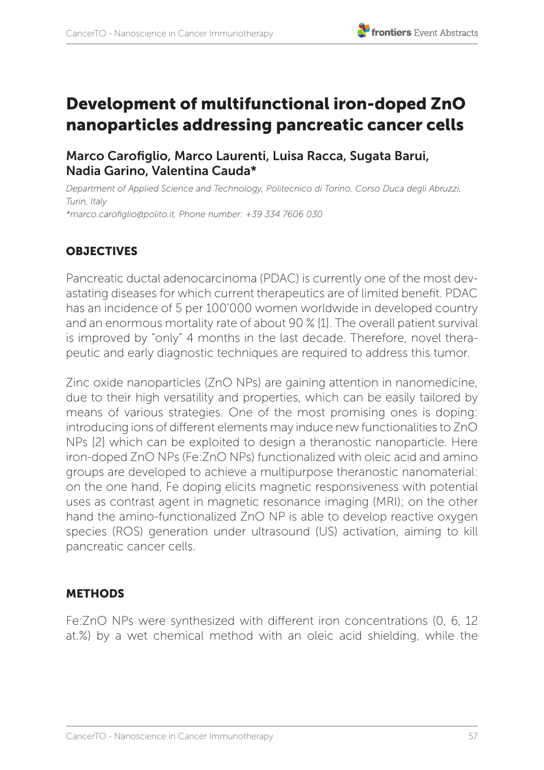

# Development of multifunctional iron-doped ZnO nanoparticles addressing pancreatic cancer cells

Marco Carofiglio, Marco Laurenti, Luisa Racca, Sugata Barui, Nadia Garino, Valentina Cauda\*

*Department of Applied Science and Technology, Politecnico di Torino, Corso Duca degli Abruzzi, Turin, Italy \*marco.carofiglio@polito.it, Phone number: +39 334 7606 030*

# **OBJECTIVES**

Pancreatic ductal adenocarcinoma (PDAC) is currently one of the most devastating diseases for which current therapeutics are of limited benefit. PDAC has an incidence of 5 per 100'000 women worldwide in developed country and an enormous mortality rate of about 90 % [1]. The overall patient survival is improved by "only" 4 months in the last decade. Therefore, novel therapeutic and early diagnostic techniques are required to address this tumor.

Zinc oxide nanoparticles (ZnO NPs) are gaining attention in nanomedicine, due to their high versatility and properties, which can be easily tailored by means of various strategies. One of the most promising ones is doping: introducing ions of different elements may induce new functionalities to ZnO NPs [2] which can be exploited to design a theranostic nanoparticle. Here iron-doped ZnO NPs (Fe:ZnO NPs) functionalized with oleic acid and amino groups are developed to achieve a multipurpose theranostic nanomaterial: on the one hand, Fe doping elicits magnetic responsiveness with potential uses as contrast agent in magnetic resonance imaging (MRI); on the other hand the amino-functionalized ZnO NP is able to develop reactive oxygen species (ROS) generation under ultrasound (US) activation, aiming to kill pancreatic cancer cells.

#### **METHODS**

Fe:ZnO NPs were synthesized with different iron concentrations (0, 6, 12 at.%) by a wet chemical method with an oleic acid shielding, while the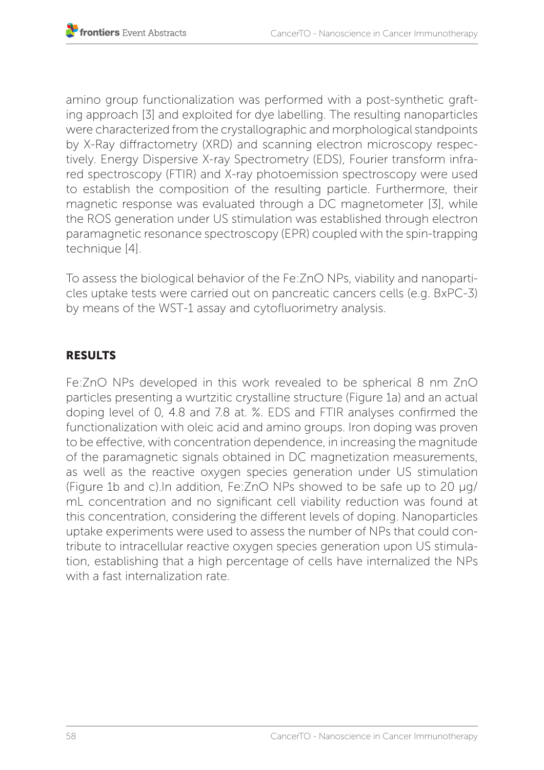amino group functionalization was performed with a post-synthetic grafting approach [3] and exploited for dye labelling. The resulting nanoparticles were characterized from the crystallographic and morphological standpoints by X-Ray diffractometry (XRD) and scanning electron microscopy respectively. Energy Dispersive X-ray Spectrometry (EDS), Fourier transform infrared spectroscopy (FTIR) and X-ray photoemission spectroscopy were used to establish the composition of the resulting particle. Furthermore, their magnetic response was evaluated through a DC magnetometer [3], while the ROS generation under US stimulation was established through electron paramagnetic resonance spectroscopy (EPR) coupled with the spin-trapping technique [4].

To assess the biological behavior of the Fe:ZnO NPs, viability and nanoparticles uptake tests were carried out on pancreatic cancers cells (e.g. BxPC-3) by means of the WST-1 assay and cytofluorimetry analysis.

# **RESULTS**

Fe:ZnO NPs developed in this work revealed to be spherical 8 nm ZnO particles presenting a wurtzitic crystalline structure (Figure 1a) and an actual doping level of 0, 4.8 and 7.8 at. %. EDS and FTIR analyses confirmed the functionalization with oleic acid and amino groups. Iron doping was proven to be effective, with concentration dependence, in increasing the magnitude of the paramagnetic signals obtained in DC magnetization measurements, as well as the reactive oxygen species generation under US stimulation (Figure 1b and c).In addition, Fe:ZnO NPs showed to be safe up to 20 µg/ mL concentration and no significant cell viability reduction was found at this concentration, considering the different levels of doping. Nanoparticles uptake experiments were used to assess the number of NPs that could contribute to intracellular reactive oxygen species generation upon US stimulation, establishing that a high percentage of cells have internalized the NPs with a fast internalization rate.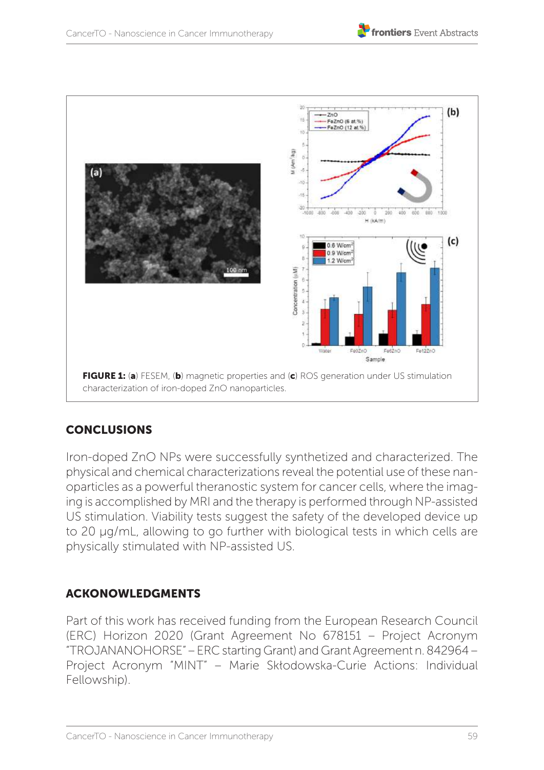

# **CONCLUSIONS**

Iron-doped ZnO NPs were successfully synthetized and characterized. The physical and chemical characterizations reveal the potential use of these nanoparticles as a powerful theranostic system for cancer cells, where the imaging is accomplished by MRI and the therapy is performed through NP-assisted US stimulation. Viability tests suggest the safety of the developed device up to 20 µg/mL, allowing to go further with biological tests in which cells are physically stimulated with NP-assisted US.

# ACKONOWLEDGMENTS

Part of this work has received funding from the European Research Council (ERC) Horizon 2020 (Grant Agreement No 678151 – Project Acronym "TROJANANOHORSE" – ERC starting Grant) and Grant Agreement n. 842964 – Project Acronym "MINT" – Marie Skłodowska-Curie Actions: Individual Fellowship).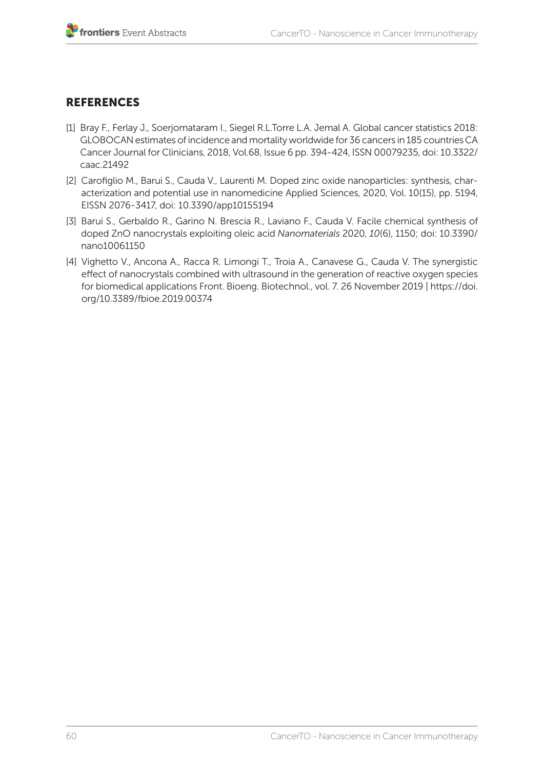- [1] Bray F., Ferlay J., Soerjomataram I., Siegel R.L.Torre L.A. Jemal A. Global cancer statistics 2018: GLOBOCAN estimates of incidence and mortality worldwide for 36 cancers in 185 countriesCA Cancer Journal for Clinicians, 2018, Vol.68, Issue 6 pp. 394-424, ISSN 00079235, doi: 10.3322/ caac.21492
- [2] Carofiglio M., Barui S., Cauda V., Laurenti M. Doped zinc oxide nanoparticles: synthesis, characterization and potential use in nanomedicine Applied Sciences, 2020, Vol. 10(15), pp. 5194, EISSN 2076-3417, doi: 10.3390/app10155194
- [3] Barui S., Gerbaldo R., Garino N. Brescia R., Laviano F., Cauda V. Facile chemical synthesis of doped ZnO nanocrystals exploiting oleic acid *Nanomaterials* 2020, *10*(6), 1150; doi: 10.3390/ nano10061150
- [4] Vighetto V., Ancona A., Racca R. Limongi T., Troia A., Canavese G., Cauda V. The synergistic effect of nanocrystals combined with ultrasound in the generation of reactive oxygen species for biomedical applications Front. Bioeng. Biotechnol., vol. 7. 26 November 2019 | https://doi. org/10.3389/fbioe.2019.00374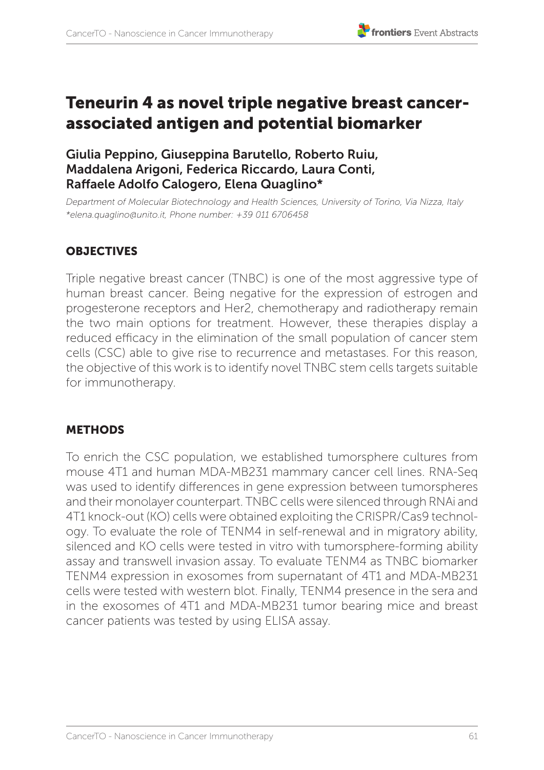

# Teneurin 4 as novel triple negative breast cancerassociated antigen and potential biomarker

## Giulia Peppino, Giuseppina Barutello, Roberto Ruiu, Maddalena Arigoni, Federica Riccardo, Laura Conti, Raffaele Adolfo Calogero, Elena Quaglino\*

*Department of Molecular Biotechnology and Health Sciences, University of Torino, Via Nizza, Italy \*elena.quaglino@unito.it, Phone number: +39 011 6706458*

### **OBJECTIVES**

Triple negative breast cancer (TNBC) is one of the most aggressive type of human breast cancer. Being negative for the expression of estrogen and progesterone receptors and Her2, chemotherapy and radiotherapy remain the two main options for treatment. However, these therapies display a reduced efficacy in the elimination of the small population of cancer stem cells (CSC) able to give rise to recurrence and metastases. For this reason, the objective of this work is to identify novel TNBC stem cells targets suitable for immunotherapy.

#### METHODS

To enrich the CSC population, we established tumorsphere cultures from mouse 4T1 and human MDA-MB231 mammary cancer cell lines. RNA-Seq was used to identify differences in gene expression between tumorspheres and their monolayer counterpart. TNBC cells were silenced through RNAi and 4T1 knock-out (KO) cells were obtained exploiting the CRISPR/Cas9 technology. To evaluate the role of TENM4 in self-renewal and in migratory ability, silenced and KO cells were tested in vitro with tumorsphere-forming ability assay and transwell invasion assay. To evaluate TENM4 as TNBC biomarker TENM4 expression in exosomes from supernatant of 4T1 and MDA-MB231 cells were tested with western blot. Finally, TENM4 presence in the sera and in the exosomes of 4T1 and MDA-MB231 tumor bearing mice and breast cancer patients was tested by using ELISA assay.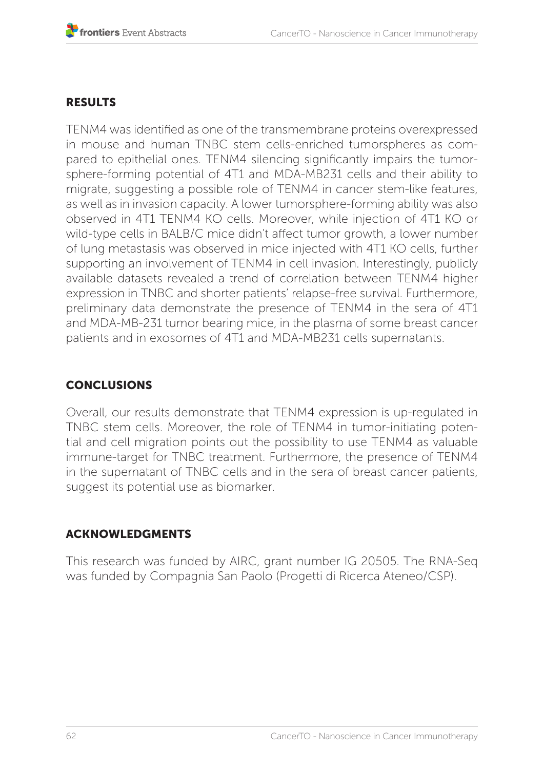## RESULTS

TENM4 was identified as one of the transmembrane proteins overexpressed in mouse and human TNBC stem cells-enriched tumorspheres as compared to epithelial ones. TENM4 silencing significantly impairs the tumorsphere-forming potential of 4T1 and MDA-MB231 cells and their ability to migrate, suggesting a possible role of TENM4 in cancer stem-like features, as well as in invasion capacity. A lower tumorsphere-forming ability was also observed in 4T1 TENM4 KO cells. Moreover, while injection of 4T1 KO or wild-type cells in BALB/C mice didn't affect tumor growth, a lower number of lung metastasis was observed in mice injected with 4T1 KO cells, further supporting an involvement of TENM4 in cell invasion. Interestingly, publicly available datasets revealed a trend of correlation between TENM4 higher expression in TNBC and shorter patients' relapse-free survival. Furthermore, preliminary data demonstrate the presence of TENM4 in the sera of 4T1 and MDA-MB-231 tumor bearing mice, in the plasma of some breast cancer patients and in exosomes of 4T1 and MDA-MB231 cells supernatants.

# CONCLUSIONS

Overall, our results demonstrate that TENM4 expression is up-regulated in TNBC stem cells. Moreover, the role of TENM4 in tumor-initiating potential and cell migration points out the possibility to use TENM4 as valuable immune-target for TNBC treatment. Furthermore, the presence of TENM4 in the supernatant of TNBC cells and in the sera of breast cancer patients, suggest its potential use as biomarker.

## ACKNOWLEDGMENTS

This research was funded by AIRC, grant number IG 20505. The RNA-Seq was funded by Compagnia San Paolo (Progetti di Ricerca Ateneo/CSP).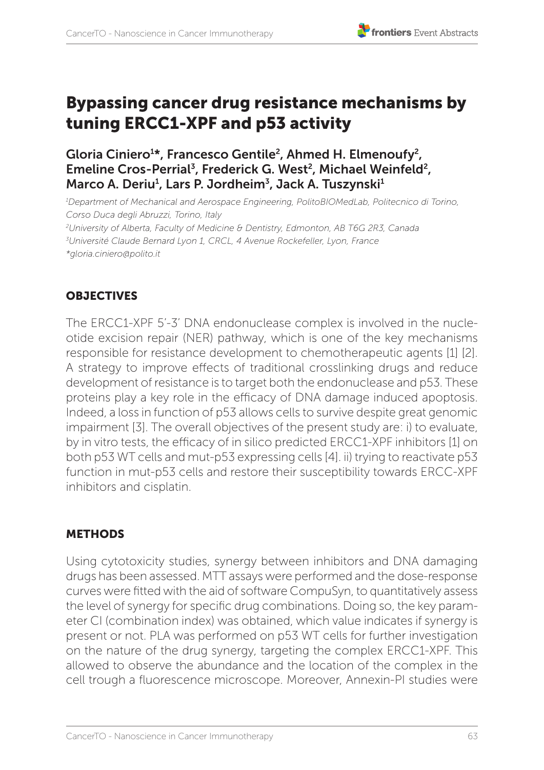# Bypassing cancer drug resistance mechanisms by tuning ERCC1-XPF and p53 activity

# Gloria Ciniero1 \*, Francesco Gentile2, Ahmed H. Elmenoufy2, Emeline Cros-Perrial<sup>3</sup>, Frederick G. West<sup>2</sup>, Michael Weinfeld<sup>2</sup>, Marco A. Deriu<sup>1</sup>, Lars P. Jordheim<sup>3</sup>, Jack A. Tuszynski<sup>1</sup>

*1 Department of Mechanical and Aerospace Engineering, PolitoBIOMedLab, Politecnico di Torino, Corso Duca degli Abruzzi, Torino, Italy 2 University of Alberta, Faculty of Medicine & Dentistry, Edmonton, AB T6G 2R3, Canada 3 Université Claude Bernard Lyon 1, CRCL, 4 Avenue Rockefeller, Lyon, France \*gloria.ciniero@polito.it* 

# **OBJECTIVES**

The ERCC1-XPF 5'-3' DNA endonuclease complex is involved in the nucleotide excision repair (NER) pathway, which is one of the key mechanisms responsible for resistance development to chemotherapeutic agents [1] [2]. A strategy to improve effects of traditional crosslinking drugs and reduce development of resistance is to target both the endonuclease and p53. These proteins play a key role in the efficacy of DNA damage induced apoptosis. Indeed, a loss in function of p53 allows cells to survive despite great genomic impairment [3]. The overall objectives of the present study are: i) to evaluate, by in vitro tests, the efficacy of in silico predicted ERCC1-XPF inhibitors [1] on both p53 WT cells and mut-p53 expressing cells [4]. ii) trying to reactivate p53 function in mut-p53 cells and restore their susceptibility towards ERCC-XPF inhibitors and cisplatin.

# **METHODS**

Using cytotoxicity studies, synergy between inhibitors and DNA damaging drugs has been assessed. MTT assays were performed and the dose-response curves were fitted with the aid of software CompuSyn, to quantitatively assess the level of synergy for specific drug combinations. Doing so, the key parameter CI (combination index) was obtained, which value indicates if synergy is present or not. PLA was performed on p53 WT cells for further investigation on the nature of the drug synergy, targeting the complex ERCC1-XPF. This allowed to observe the abundance and the location of the complex in the cell trough a fluorescence microscope. Moreover, Annexin-PI studies were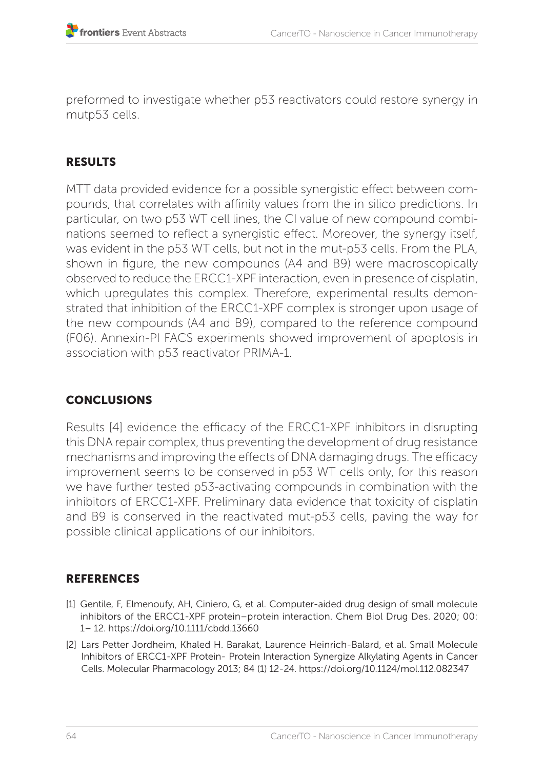preformed to investigate whether p53 reactivators could restore synergy in mutp53 cells.

# **RESULTS**

MTT data provided evidence for a possible synergistic effect between compounds, that correlates with affinity values from the in silico predictions. In particular, on two p53 WT cell lines, the CI value of new compound combinations seemed to reflect a synergistic effect. Moreover, the synergy itself, was evident in the p53 WT cells, but not in the mut-p53 cells. From the PLA, shown in figure, the new compounds (A4 and B9) were macroscopically observed to reduce the ERCC1-XPF interaction, even in presence of cisplatin, which upregulates this complex. Therefore, experimental results demonstrated that inhibition of the ERCC1-XPF complex is stronger upon usage of the new compounds (A4 and B9), compared to the reference compound (F06). Annexin-PI FACS experiments showed improvement of apoptosis in association with p53 reactivator PRIMA-1.

# **CONCLUSIONS**

Results [4] evidence the efficacy of the ERCC1-XPF inhibitors in disrupting this DNA repair complex, thus preventing the development of drug resistance mechanisms and improving the effects of DNA damaging drugs. The efficacy improvement seems to be conserved in p53 WT cells only, for this reason we have further tested p53-activating compounds in combination with the inhibitors of ERCC1-XPF. Preliminary data evidence that toxicity of cisplatin and B9 is conserved in the reactivated mut-p53 cells, paving the way for possible clinical applications of our inhibitors.

- [1] Gentile, F, Elmenoufy, AH, Ciniero, G, et al. Computer-aided drug design of small molecule inhibitors of the ERCC1-XPF protein–protein interaction. Chem Biol Drug Des. 2020; 00: 1– 12. https://doi.org/10.1111/cbdd.13660
- [2] Lars Petter Jordheim, Khaled H. Barakat, Laurence Heinrich-Balard, et al. Small Molecule Inhibitors of ERCC1-XPF Protein- Protein Interaction Synergize Alkylating Agents in Cancer Cells. Molecular Pharmacology 2013; 84 (1) 12-24. https://doi.org/10.1124/mol.112.082347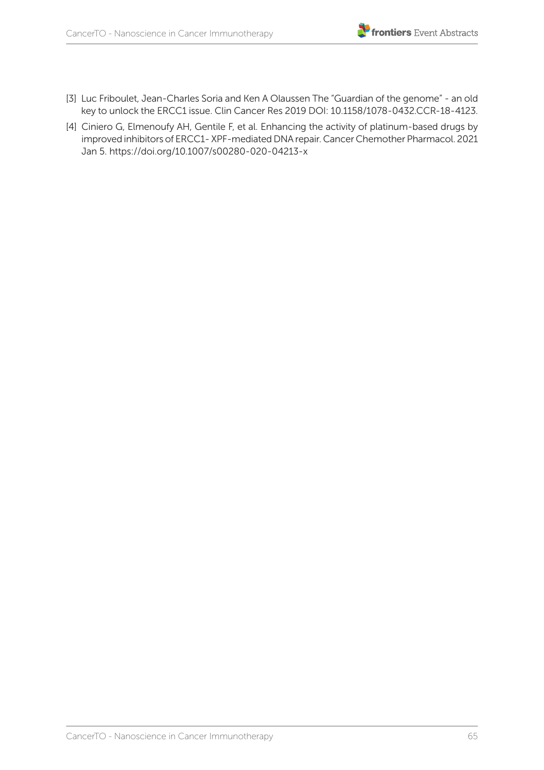

- [3] Luc Friboulet, Jean-Charles Soria and Ken A Olaussen The "Guardian of the genome" an old key to unlock the ERCC1 issue. Clin Cancer Res 2019 DOI: 10.1158/1078-0432.CCR-18-4123.
- [4] Ciniero G, Elmenoufy AH, Gentile F, et al. Enhancing the activity of platinum-based drugs by improved inhibitors of ERCC1- XPF-mediated DNA repair. Cancer Chemother Pharmacol. 2021 Jan 5. https://doi.org/10.1007/s00280-020-04213-x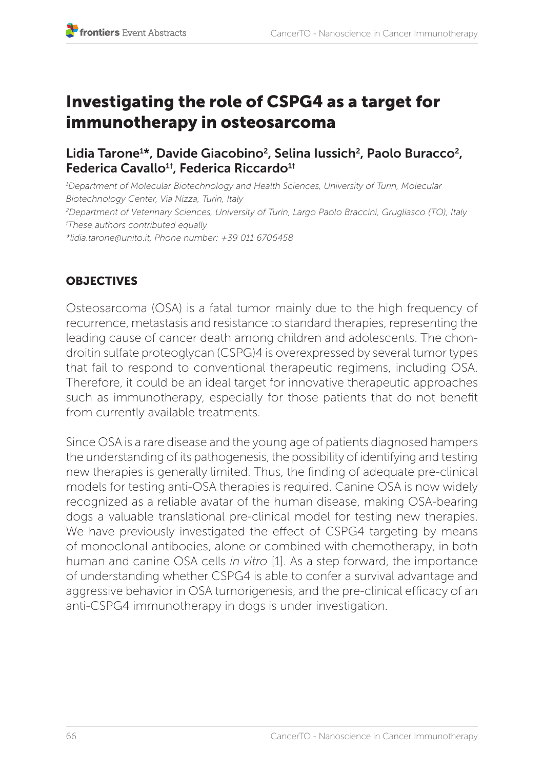# Investigating the role of CSPG4 as a target for immunotherapy in osteosarcoma

Lidia Tarone<sup>1\*</sup>, Davide Giacobino<sup>2</sup>, Selina Iussich<sup>2</sup>, Paolo Buracco<sup>2</sup>, Federica Cavallo<sup>1†</sup>, Federica Riccardo<sup>1†</sup>

*1 Department of Molecular Biotechnology and Health Sciences, University of Turin, Molecular Biotechnology Center, Via Nizza, Turin, Italy 2 Department of Veterinary Sciences, University of Turin, Largo Paolo Braccini, Grugliasco (TO), Italy † These authors contributed equally \*lidia.tarone@unito.it, Phone number: +39 011 6706458* 

# **OBJECTIVES**

Osteosarcoma (OSA) is a fatal tumor mainly due to the high frequency of recurrence, metastasis and resistance to standard therapies, representing the leading cause of cancer death among children and adolescents. The chondroitin sulfate proteoglycan (CSPG)4 is overexpressed by several tumor types that fail to respond to conventional therapeutic regimens, including OSA. Therefore, it could be an ideal target for innovative therapeutic approaches such as immunotherapy, especially for those patients that do not benefit from currently available treatments.

Since OSA is a rare disease and the young age of patients diagnosed hampers the understanding of its pathogenesis, the possibility of identifying and testing new therapies is generally limited. Thus, the finding of adequate pre-clinical models for testing anti-OSA therapies is required. Canine OSA is now widely recognized as a reliable avatar of the human disease, making OSA-bearing dogs a valuable translational pre-clinical model for testing new therapies. We have previously investigated the effect of CSPG4 targeting by means of monoclonal antibodies, alone or combined with chemotherapy, in both human and canine OSA cells *in vitro* [1]. As a step forward, the importance of understanding whether CSPG4 is able to confer a survival advantage and aggressive behavior in OSA tumorigenesis, and the pre-clinical efficacy of an anti-CSPG4 immunotherapy in dogs is under investigation.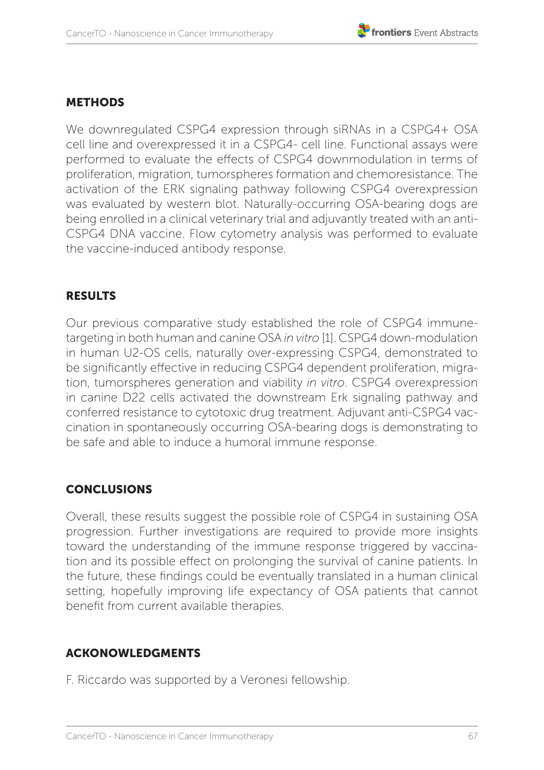### METHODS

We downregulated CSPG4 expression through siRNAs in a CSPG4+ OSA cell line and overexpressed it in a CSPG4- cell line. Functional assays were performed to evaluate the effects of CSPG4 downmodulation in terms of proliferation, migration, tumorspheres formation and chemoresistance. The activation of the ERK signaling pathway following CSPG4 overexpression was evaluated by western blot. Naturally-occurring OSA-bearing dogs are being enrolled in a clinical veterinary trial and adjuvantly treated with an anti-CSPG4 DNA vaccine. Flow cytometry analysis was performed to evaluate the vaccine-induced antibody response.

### RESULTS

Our previous comparative study established the role of CSPG4 immunetargeting in both human and canine OSA *in vitro* [1]. CSPG4 down-modulation in human U2-OS cells, naturally over-expressing CSPG4, demonstrated to be significantly effective in reducing CSPG4 dependent proliferation, migration, tumorspheres generation and viability *in vitro*. CSPG4 overexpression in canine D22 cells activated the downstream Erk signaling pathway and conferred resistance to cytotoxic drug treatment. Adjuvant anti-CSPG4 vaccination in spontaneously occurring OSA-bearing dogs is demonstrating to be safe and able to induce a humoral immune response.

## **CONCLUSIONS**

Overall, these results suggest the possible role of CSPG4 in sustaining OSA progression. Further investigations are required to provide more insights toward the understanding of the immune response triggered by vaccination and its possible effect on prolonging the survival of canine patients. In the future, these findings could be eventually translated in a human clinical setting, hopefully improving life expectancy of OSA patients that cannot benefit from current available therapies.

## ACKONOWLEDGMENTS

F. Riccardo was supported by a Veronesi fellowship.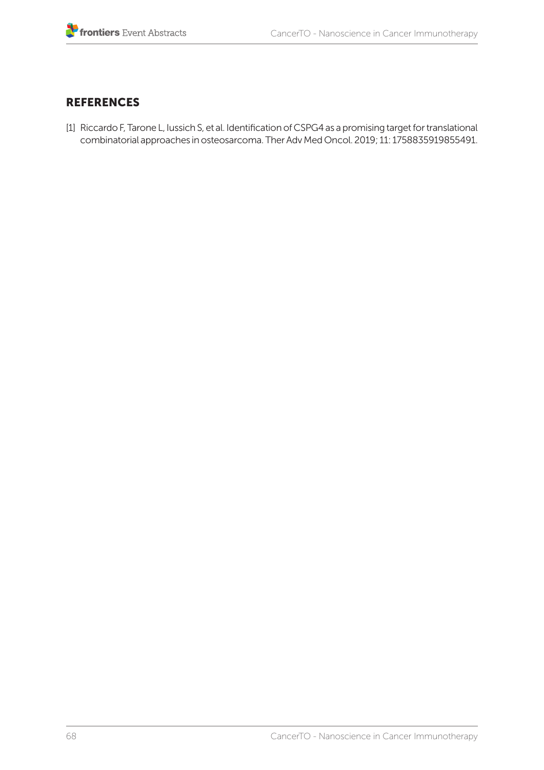#### **REFERENCES**

[1] Riccardo F, Tarone L, Iussich S, et al. Identification of CSPG4 as a promising target for translational combinatorial approaches in osteosarcoma. Ther Adv Med Oncol. 2019; 11: 1758835919855491.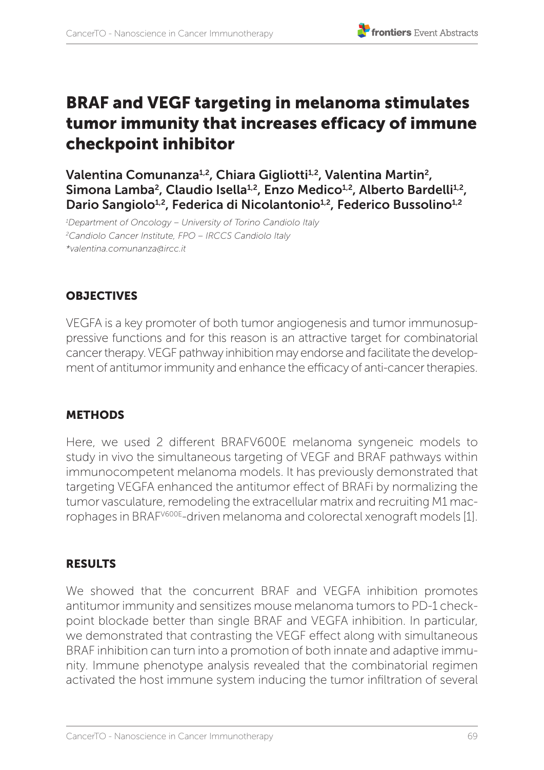

# BRAF and VEGF targeting in melanoma stimulates tumor immunity that increases efficacy of immune checkpoint inhibitor

Valentina Comunanza<sup>1,2</sup>, Chiara Gigliotti<sup>1,2</sup>, Valentina Martin<sup>2</sup>, Simona Lamba<sup>2</sup>, Claudio Isella<sup>1,2</sup>, Enzo Medico<sup>1,2</sup>, Alberto Bardelli<sup>1,2</sup>, Dario Sangiolo<sup>1,2</sup>, Federica di Nicolantonio<sup>1,2</sup>, Federico Bussolino<sup>1,2</sup>

*1 Department of Oncology – University of Torino Candiolo Italy 2 Candiolo Cancer Institute, FPO – IRCCS Candiolo Italy \*valentina.comunanza@ircc.it*

# **OBJECTIVES**

VEGFA is a key promoter of both tumor angiogenesis and tumor immunosuppressive functions and for this reason is an attractive target for combinatorial cancer therapy. VEGF pathway inhibition may endorse and facilitate the development of antitumor immunity and enhance the efficacy of anti-cancer therapies.

## METHODS

Here, we used 2 different BRAFV600E melanoma syngeneic models to study in vivo the simultaneous targeting of VEGF and BRAF pathways within immunocompetent melanoma models. It has previously demonstrated that targeting VEGFA enhanced the antitumor effect of BRAFi by normalizing the tumor vasculature, remodeling the extracellular matrix and recruiting M1 macrophages in BRAFV600E-driven melanoma and colorectal xenograft models [1].

## RESULTS

We showed that the concurrent BRAF and VEGFA inhibition promotes antitumor immunity and sensitizes mouse melanoma tumors to PD-1 checkpoint blockade better than single BRAF and VEGFA inhibition. In particular, we demonstrated that contrasting the VEGF effect along with simultaneous BRAF inhibition can turn into a promotion of both innate and adaptive immunity. Immune phenotype analysis revealed that the combinatorial regimen activated the host immune system inducing the tumor infiltration of several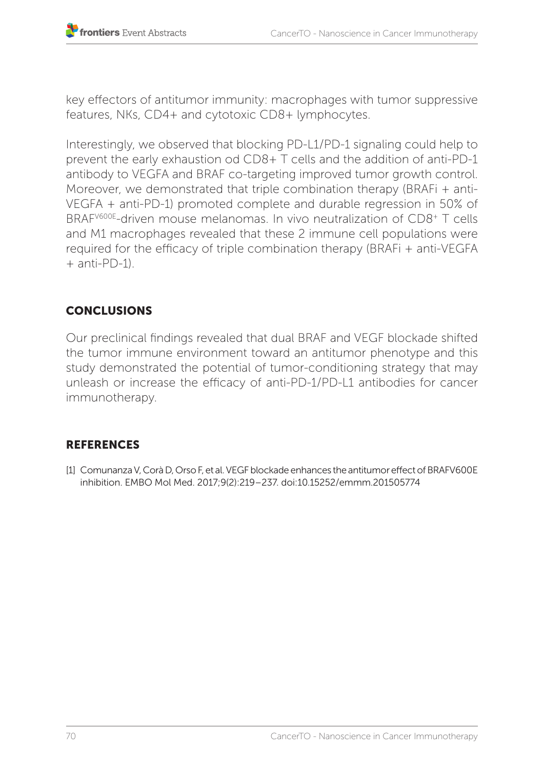key effectors of antitumor immunity: macrophages with tumor suppressive features, NKs, CD4+ and cytotoxic CD8+ lymphocytes.

Interestingly, we observed that blocking PD-L1/PD-1 signaling could help to prevent the early exhaustion od CD8+ T cells and the addition of anti-PD-1 antibody to VEGFA and BRAF co-targeting improved tumor growth control. Moreover, we demonstrated that triple combination therapy (BRAFi + anti-VEGFA + anti-PD-1) promoted complete and durable regression in 50% of BRAFV600E-driven mouse melanomas. In vivo neutralization of CD8+ T cells and M1 macrophages revealed that these 2 immune cell populations were required for the efficacy of triple combination therapy (BRAFi + anti-VEGFA  $+$  anti-PD-1).

# **CONCLUSIONS**

Our preclinical findings revealed that dual BRAF and VEGF blockade shifted the tumor immune environment toward an antitumor phenotype and this study demonstrated the potential of tumor-conditioning strategy that may unleash or increase the efficacy of anti-PD-1/PD-L1 antibodies for cancer immunotherapy.

## **REFERENCES**

[1] Comunanza V, Corà D, Orso F, et al. VEGF blockade enhances the antitumor effect of BRAFV600E inhibition. EMBO Mol Med. 2017;9(2):219–237. doi:10.15252/emmm.201505774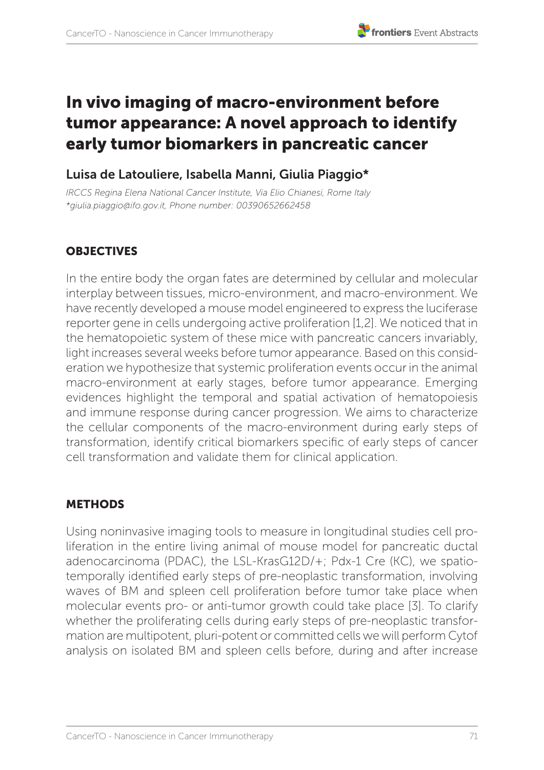# In vivo imaging of macro-environment before tumor appearance: A novel approach to identify early tumor biomarkers in pancreatic cancer

## Luisa de Latouliere, Isabella Manni, Giulia Piaggio\*

*IRCCS Regina Elena National Cancer Institute, Via Elio Chianesi, Rome Italy \*giulia.piaggio@ifo.gov.it, Phone number: 00390652662458*

## **OBJECTIVES**

In the entire body the organ fates are determined by cellular and molecular interplay between tissues, micro-environment, and macro-environment. We have recently developed a mouse model engineered to express the luciferase reporter gene in cells undergoing active proliferation [1,2]. We noticed that in the hematopoietic system of these mice with pancreatic cancers invariably, light increases several weeks before tumor appearance. Based on this consideration we hypothesize that systemic proliferation events occur in the animal macro-environment at early stages, before tumor appearance. Emerging evidences highlight the temporal and spatial activation of hematopoiesis and immune response during cancer progression. We aims to characterize the cellular components of the macro-environment during early steps of transformation, identify critical biomarkers specific of early steps of cancer cell transformation and validate them for clinical application.

#### **METHODS**

Using noninvasive imaging tools to measure in longitudinal studies cell proliferation in the entire living animal of mouse model for pancreatic ductal adenocarcinoma (PDAC), the LSL-KrasG12D/+; Pdx-1 Cre (KC), we spatiotemporally identified early steps of pre-neoplastic transformation, involving waves of BM and spleen cell proliferation before tumor take place when molecular events pro- or anti-tumor growth could take place [3]. To clarify whether the proliferating cells during early steps of pre-neoplastic transformation are multipotent, pluri-potent or committed cells we will perform Cytof analysis on isolated BM and spleen cells before, during and after increase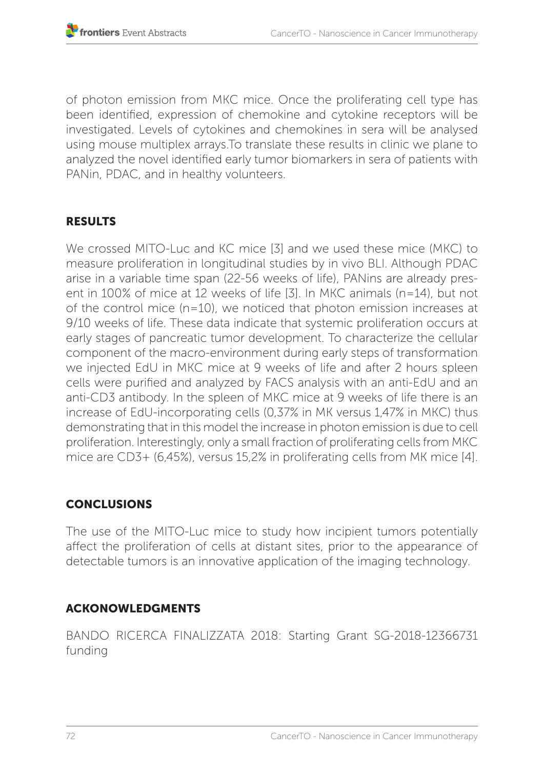of photon emission from MKC mice. Once the proliferating cell type has been identified, expression of chemokine and cytokine receptors will be investigated. Levels of cytokines and chemokines in sera will be analysed using mouse multiplex arrays.To translate these results in clinic we plane to analyzed the novel identified early tumor biomarkers in sera of patients with PANin, PDAC, and in healthy volunteers.

### RESULTS

We crossed MITO-Luc and KC mice [3] and we used these mice (MKC) to measure proliferation in longitudinal studies by in vivo BLI. Although PDAC arise in a variable time span (22-56 weeks of life), PANins are already present in 100% of mice at 12 weeks of life [3]. In MKC animals (n=14), but not of the control mice (n=10), we noticed that photon emission increases at 9/10 weeks of life. These data indicate that systemic proliferation occurs at early stages of pancreatic tumor development. To characterize the cellular component of the macro-environment during early steps of transformation we injected EdU in MKC mice at 9 weeks of life and after 2 hours spleen cells were purified and analyzed by FACS analysis with an anti-EdU and an anti-CD3 antibody. In the spleen of MKC mice at 9 weeks of life there is an increase of EdU-incorporating cells (0,37% in MK versus 1,47% in MKC) thus demonstrating that in this model the increase in photon emission is due to cell proliferation. Interestingly, only a small fraction of proliferating cells from MKC mice are CD3+ (6,45%), versus 15,2% in proliferating cells from MK mice [4].

# **CONCLUSIONS**

The use of the MITO-Luc mice to study how incipient tumors potentially affect the proliferation of cells at distant sites, prior to the appearance of detectable tumors is an innovative application of the imaging technology.

# ACKONOWLEDGMENTS

BANDO RICERCA FINALIZZATA 2018: Starting Grant SG-2018-12366731 funding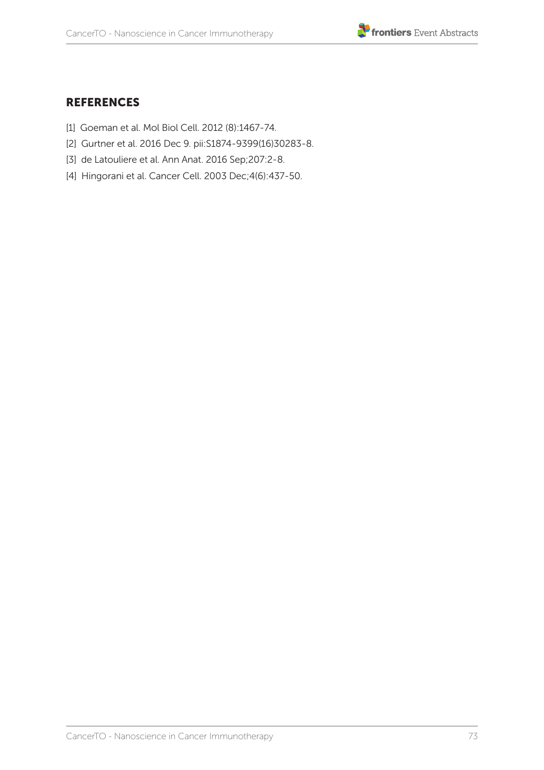

- [1] Goeman et al. Mol Biol Cell. 2012 (8):1467-74.
- [2] Gurtner et al. 2016 Dec 9. pii:S1874-9399(16)30283-8.
- [3] de Latouliere et al. Ann Anat. 2016 Sep;207:2-8.
- [4] Hingorani et al. Cancer Cell. 2003 Dec;4(6):437-50.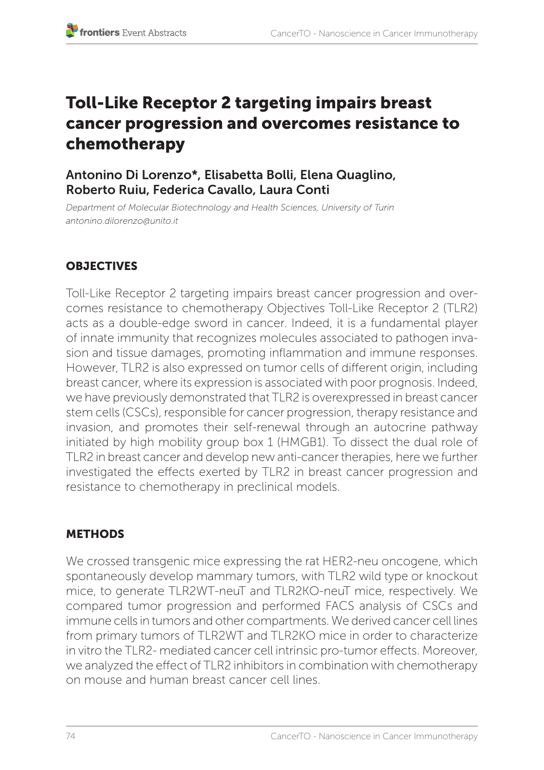# Toll-Like Receptor 2 targeting impairs breast cancer progression and overcomes resistance to chemotherapy

### Antonino Di Lorenzo\*, Elisabetta Bolli, Elena Quaglino, Roberto Ruiu, Federica Cavallo, Laura Conti

*Department of Molecular Biotechnology and Health Sciences, University of Turin antonino.dilorenzo@unito.it*

# **OBJECTIVES**

Toll-Like Receptor 2 targeting impairs breast cancer progression and overcomes resistance to chemotherapy Objectives Toll-Like Receptor 2 (TLR2) acts as a double-edge sword in cancer. Indeed, it is a fundamental player of innate immunity that recognizes molecules associated to pathogen invasion and tissue damages, promoting inflammation and immune responses. However, TLR2 is also expressed on tumor cells of different origin, including breast cancer, where its expression is associated with poor prognosis. Indeed, we have previously demonstrated that TLR2 is overexpressed in breast cancer stem cells (CSCs), responsible for cancer progression, therapy resistance and invasion, and promotes their self-renewal through an autocrine pathway initiated by high mobility group box 1 (HMGB1). To dissect the dual role of TLR2 in breast cancer and develop new anti-cancer therapies, here we further investigated the effects exerted by TLR2 in breast cancer progression and resistance to chemotherapy in preclinical models.

# **METHODS**

We crossed transgenic mice expressing the rat HER2-neu oncogene, which spontaneously develop mammary tumors, with TLR2 wild type or knockout mice, to generate TLR2WT-neuT and TLR2KO-neuT mice, respectively. We compared tumor progression and performed FACS analysis of CSCs and immune cells in tumors and other compartments. We derived cancer cell lines from primary tumors of TLR2WT and TLR2KO mice in order to characterize in vitro the TLR2- mediated cancer cell intrinsic pro-tumor effects. Moreover, we analyzed the effect of TLR2 inhibitors in combination with chemotherapy on mouse and human breast cancer cell lines.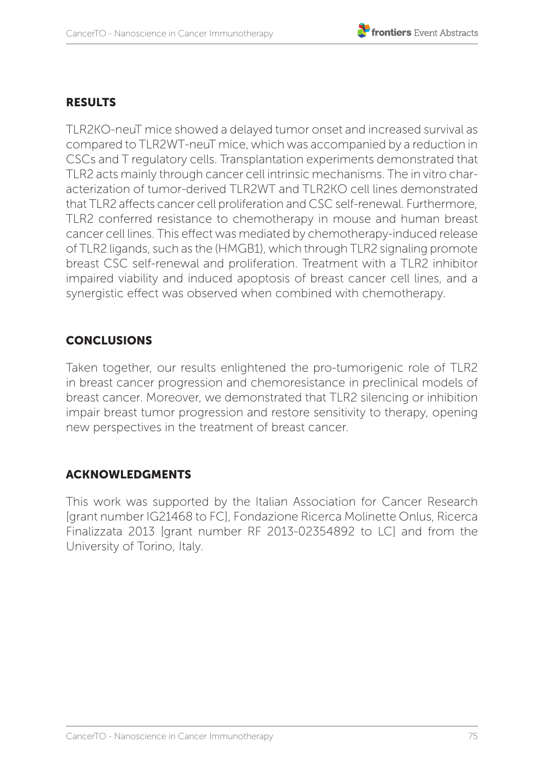# RESULTS

TLR2KO-neuT mice showed a delayed tumor onset and increased survival as compared to TLR2WT-neuT mice, which was accompanied by a reduction in CSCs and T regulatory cells. Transplantation experiments demonstrated that TLR2 acts mainly through cancer cell intrinsic mechanisms. The in vitro characterization of tumor-derived TLR2WT and TLR2KO cell lines demonstrated that TLR2 affects cancer cell proliferation and CSC self-renewal. Furthermore, TLR2 conferred resistance to chemotherapy in mouse and human breast cancer cell lines. This effect was mediated by chemotherapy-induced release of TLR2 ligands, such as the (HMGB1), which through TLR2 signaling promote breast CSC self-renewal and proliferation. Treatment with a TLR2 inhibitor impaired viability and induced apoptosis of breast cancer cell lines, and a synergistic effect was observed when combined with chemotherapy.

### **CONCLUSIONS**

Taken together, our results enlightened the pro-tumorigenic role of TLR2 in breast cancer progression and chemoresistance in preclinical models of breast cancer. Moreover, we demonstrated that TLR2 silencing or inhibition impair breast tumor progression and restore sensitivity to therapy, opening new perspectives in the treatment of breast cancer.

#### ACKNOWLEDGMENTS

This work was supported by the Italian Association for Cancer Research [grant number IG21468 to FC], Fondazione Ricerca Molinette Onlus, Ricerca Finalizzata 2013 [grant number RF 2013-02354892 to LC] and from the University of Torino, Italy.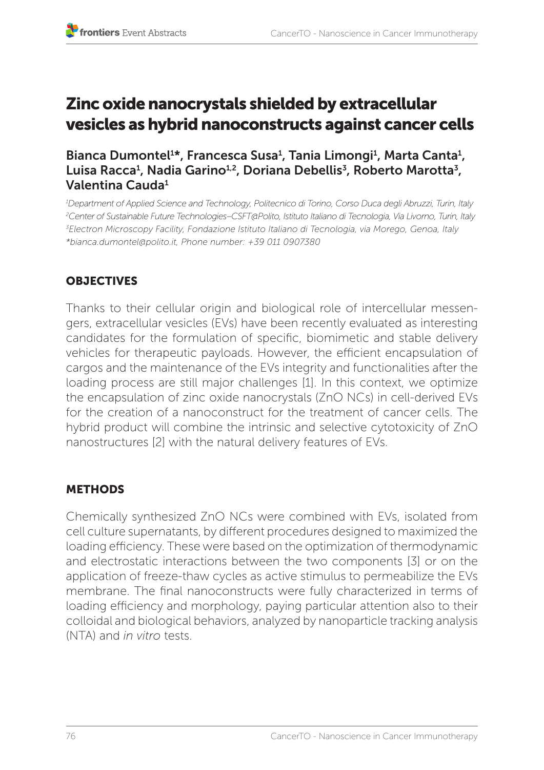# Zinc oxide nanocrystals shielded by extracellular vesicles as hybrid nanoconstructs against cancer cells

Bianca Dumontel<sup>1\*</sup>, Francesca Susa<sup>1</sup>, Tania Limongi<sup>1</sup>, Marta Canta<sup>1</sup>, Luisa Racca<sup>1</sup>, Nadia Garino<sup>1,2</sup>, Doriana Debellis<sup>3</sup>, Roberto Marotta<sup>3</sup>, Valentina Cauda1

 *Department of Applied Science and Technology, Politecnico di Torino, Corso Duca degli Abruzzi, Turin, Italy Center of Sustainable Future Technologies–CSFT@Polito, Istituto Italiano di Tecnologia, Via Livorno, Turin, Italy Electron Microscopy Facility, Fondazione Istituto Italiano di Tecnologia, via Morego, Genoa, Italy \*bianca.dumontel@polito.it, Phone number: +39 011 0907380*

# **OBJECTIVES**

Thanks to their cellular origin and biological role of intercellular messengers, extracellular vesicles (EVs) have been recently evaluated as interesting candidates for the formulation of specific, biomimetic and stable delivery vehicles for therapeutic payloads. However, the efficient encapsulation of cargos and the maintenance of the EVs integrity and functionalities after the loading process are still major challenges [1]. In this context, we optimize the encapsulation of zinc oxide nanocrystals (ZnO NCs) in cell-derived EVs for the creation of a nanoconstruct for the treatment of cancer cells. The hybrid product will combine the intrinsic and selective cytotoxicity of ZnO nanostructures [2] with the natural delivery features of EVs.

# **METHODS**

Chemically synthesized ZnO NCs were combined with EVs, isolated from cell culture supernatants, by different procedures designed to maximized the loading efficiency. These were based on the optimization of thermodynamic and electrostatic interactions between the two components [3] or on the application of freeze-thaw cycles as active stimulus to permeabilize the EVs membrane. The final nanoconstructs were fully characterized in terms of loading efficiency and morphology, paying particular attention also to their colloidal and biological behaviors, analyzed by nanoparticle tracking analysis (NTA) and *in vitro* tests.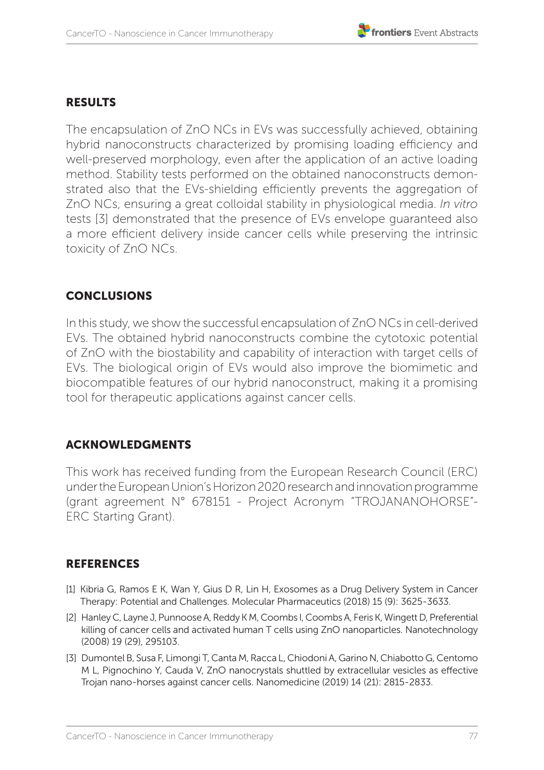#### RESULTS

The encapsulation of ZnO NCs in EVs was successfully achieved, obtaining hybrid nanoconstructs characterized by promising loading efficiency and well-preserved morphology, even after the application of an active loading method. Stability tests performed on the obtained nanoconstructs demonstrated also that the EVs-shielding efficiently prevents the aggregation of ZnO NCs, ensuring a great colloidal stability in physiological media. *In vitro* tests [3] demonstrated that the presence of EVs envelope guaranteed also a more efficient delivery inside cancer cells while preserving the intrinsic toxicity of ZnO NCs.

#### CONCLUSIONS

In this study, we show the successful encapsulation of ZnO NCs in cell-derived EVs. The obtained hybrid nanoconstructs combine the cytotoxic potential of ZnO with the biostability and capability of interaction with target cells of EVs. The biological origin of EVs would also improve the biomimetic and biocompatible features of our hybrid nanoconstruct, making it a promising tool for therapeutic applications against cancer cells.

#### ACKNOWLEDGMENTS

This work has received funding from the European Research Council (ERC) under the European Union's Horizon 2020 research and innovation programme (grant agreement N° 678151 - Project Acronym "TROJANANOHORSE"- ERC Starting Grant).

- [1] Kibria G, Ramos E K, Wan Y, Gius D R, Lin H, Exosomes as a Drug Delivery System in Cancer Therapy: Potential and Challenges. Molecular Pharmaceutics (2018) 15 (9): 3625-3633.
- [2] Hanley C, Layne J, Punnoose A, Reddy K M, Coombs I, Coombs A, Feris K, Wingett D, Preferential killing of cancer cells and activated human T cells using ZnO nanoparticles. Nanotechnology (2008) 19 (29), 295103.
- [3] Dumontel B, Susa F, Limongi T, Canta M, Racca L, Chiodoni A, Garino N, Chiabotto G, Centomo M L, Pignochino Y, Cauda V, ZnO nanocrystals shuttled by extracellular vesicles as effective Trojan nano-horses against cancer cells. Nanomedicine (2019) 14 (21): 2815-2833.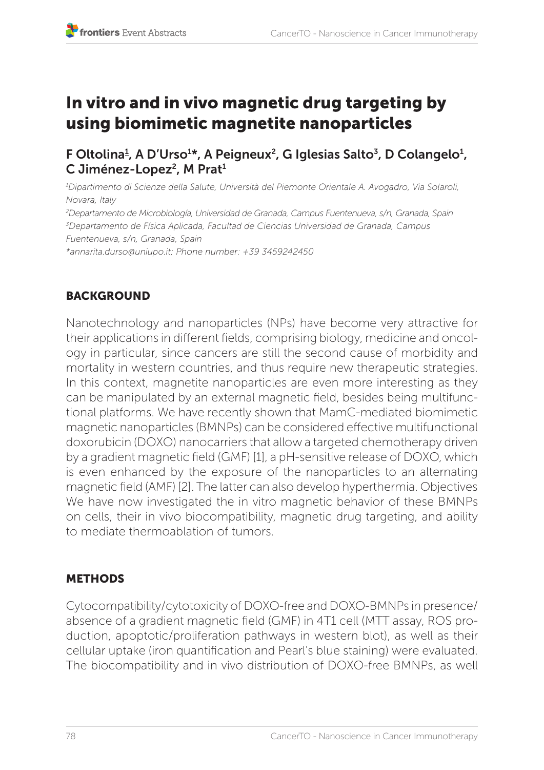# In vitro and in vivo magnetic drug targeting by using biomimetic magnetite nanoparticles

# F Oltolina<del>1</del>, A D'Urso<sup>1</sup>\*, A Peigneux<sup>2</sup>, G Iglesias Salto<sup>3</sup>, D Colangelo<sup>1</sup>, C Jiménez-Lopez<sup>2</sup>, M Prat<sup>1</sup>

*1 Dipartimento di Scienze della Salute, Università del Piemonte Orientale A. Avogadro, Via Solaroli, Novara, Italy 2 Departamento de Microbiología, Universidad de Granada, Campus Fuentenueva, s/n, Granada, Spain 3 Departamento de Física Aplicada, Facultad de Ciencias Universidad de Granada, Campus Fuentenueva, s/n, Granada, Spain \*annarita.durso@uniupo.it; Phone number: +39 3459242450*

# **BACKGROUND**

Nanotechnology and nanoparticles (NPs) have become very attractive for their applications in different fields, comprising biology, medicine and oncology in particular, since cancers are still the second cause of morbidity and mortality in western countries, and thus require new therapeutic strategies. In this context, magnetite nanoparticles are even more interesting as they can be manipulated by an external magnetic field, besides being multifunctional platforms. We have recently shown that MamC-mediated biomimetic magnetic nanoparticles (BMNPs) can be considered effective multifunctional doxorubicin (DOXO) nanocarriers that allow a targeted chemotherapy driven by a gradient magnetic field (GMF) [1], a pH-sensitive release of DOXO, which is even enhanced by the exposure of the nanoparticles to an alternating magnetic field (AMF) [2]. The latter can also develop hyperthermia. Objectives We have now investigated the in vitro magnetic behavior of these BMNPs on cells, their in vivo biocompatibility, magnetic drug targeting, and ability to mediate thermoablation of tumors.

# METHODS

Cytocompatibility/cytotoxicity of DOXO-free and DOXO-BMNPs in presence/ absence of a gradient magnetic field (GMF) in 4T1 cell (MTT assay, ROS production, apoptotic/proliferation pathways in western blot), as well as their cellular uptake (iron quantification and Pearl's blue staining) were evaluated. The biocompatibility and in vivo distribution of DOXO-free BMNPs, as well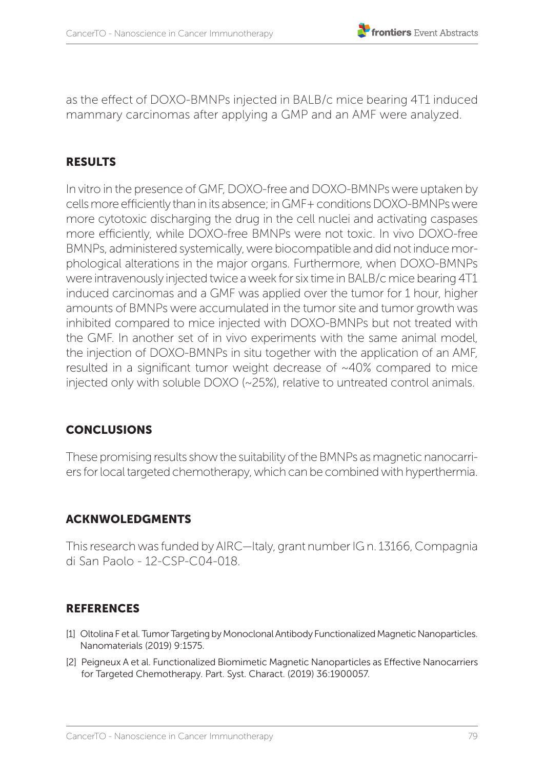as the effect of DOXO-BMNPs injected in BALB/c mice bearing 4T1 induced mammary carcinomas after applying a GMP and an AMF were analyzed.

### **RESULTS**

In vitro in the presence of GMF, DOXO-free and DOXO-BMNPs were uptaken by cells more efficiently than in its absence; in GMF+ conditions DOXO-BMNPs were more cytotoxic discharging the drug in the cell nuclei and activating caspases more efficiently, while DOXO-free BMNPs were not toxic. In vivo DOXO-free BMNPs, administered systemically, were biocompatible and did not induce morphological alterations in the major organs. Furthermore, when DOXO-BMNPs were intravenously injected twice a week for six time in BALB/c mice bearing 4T1 induced carcinomas and a GMF was applied over the tumor for 1 hour, higher amounts of BMNPs were accumulated in the tumor site and tumor growth was inhibited compared to mice injected with DOXO-BMNPs but not treated with the GMF. In another set of in vivo experiments with the same animal model, the injection of DOXO-BMNPs in situ together with the application of an AMF, resulted in a significant tumor weight decrease of ~40% compared to mice injected only with soluble DOXO (~25%), relative to untreated control animals.

# **CONCLUSIONS**

These promising results show the suitability of the BMNPs as magnetic nanocarriers for local targeted chemotherapy, which can be combined with hyperthermia.

#### ACKNWOLEDGMENTS

This research was funded by AIRC—Italy, grant number IG n. 13166, Compagnia di San Paolo - 12-CSP-C04-018.

- [1] Oltolina Fet al. Tumor Targeting by Monoclonal Antibody Functionalized Magnetic Nanoparticles. Nanomaterials (2019) 9:1575.
- [2] Peigneux A et al. Functionalized Biomimetic Magnetic Nanoparticles as Effective Nanocarriers for Targeted Chemotherapy. Part. Syst. Charact. (2019) 36:1900057.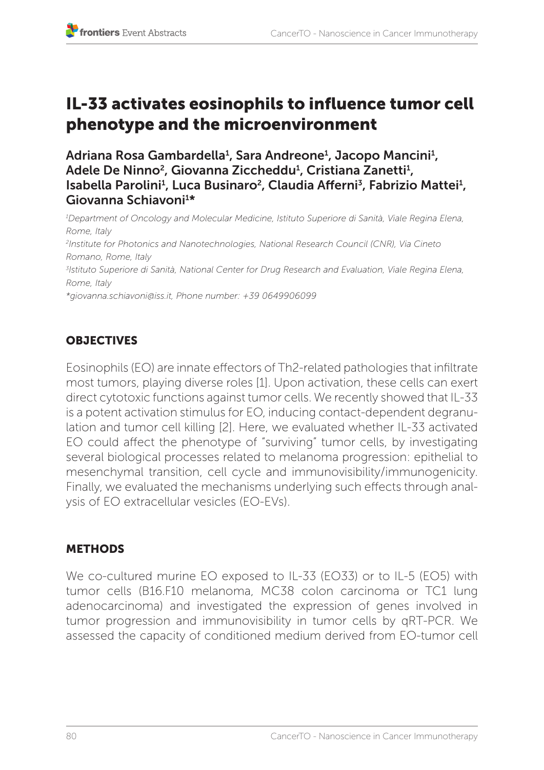# IL-33 activates eosinophils to influence tumor cell phenotype and the microenvironment

Adriana Rosa Gambardella<sup>1</sup>, Sara Andreone<sup>1</sup>, Jacopo Mancini<sup>1</sup>, Adele De Ninno<sup>2</sup>, Giovanna Ziccheddu<sup>1</sup>, Cristiana Zanetti<sup>1</sup>, Isabella Parolini<sup>1</sup>, Luca Businaro<sup>2</sup>, Claudia Afferni<sup>3</sup>, Fabrizio Mattei<sup>1</sup>, Giovanna Schiavoni<sup>1\*</sup>

*1 Department of Oncology and Molecular Medicine, Istituto Superiore di Sanità, Viale Regina Elena, Rome, Italy 2 Institute for Photonics and Nanotechnologies, National Research Council (CNR), Via Cineto Romano, Rome, Italy 3 Istituto Superiore di Sanità, National Center for Drug Research and Evaluation, Viale Regina Elena, Rome, Italy \*giovanna.schiavoni@iss.it, Phone number: +39 0649906099* 

# **OBJECTIVES**

Eosinophils (EO) are innate effectors of Th2-related pathologies that infiltrate most tumors, playing diverse roles [1]. Upon activation, these cells can exert direct cytotoxic functions against tumor cells. We recently showed that IL-33 is a potent activation stimulus for EO, inducing contact-dependent degranulation and tumor cell killing [2]. Here, we evaluated whether IL-33 activated EO could affect the phenotype of "surviving" tumor cells, by investigating several biological processes related to melanoma progression: epithelial to mesenchymal transition, cell cycle and immunovisibility/immunogenicity. Finally, we evaluated the mechanisms underlying such effects through analysis of EO extracellular vesicles (EO-EVs).

# METHODS

We co-cultured murine EO exposed to IL-33 (EO33) or to IL-5 (EO5) with tumor cells (B16.F10 melanoma, MC38 colon carcinoma or TC1 lung adenocarcinoma) and investigated the expression of genes involved in tumor progression and immunovisibility in tumor cells by qRT-PCR. We assessed the capacity of conditioned medium derived from EO-tumor cell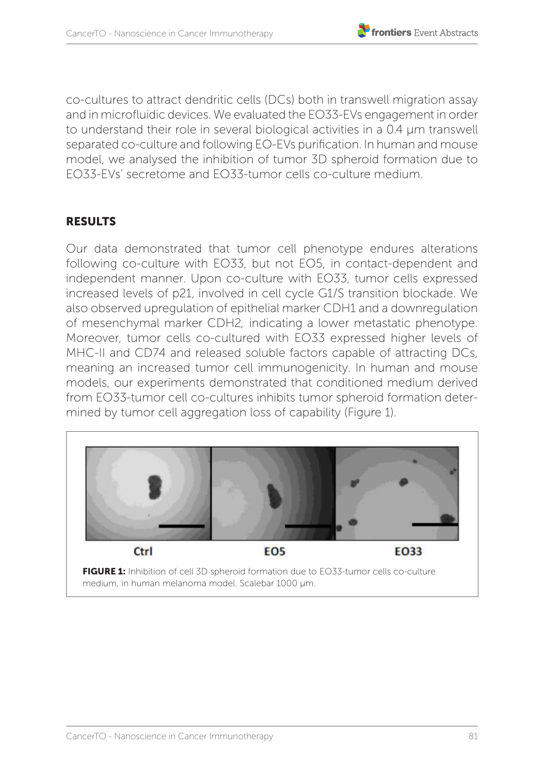co-cultures to attract dendritic cells (DCs) both in transwell migration assay and in microfluidic devices. We evaluated the EO33-EVs engagement in order to understand their role in several biological activities in a 0.4 μm transwell separated co-culture and following EO-EVs purification. In human and mouse model, we analysed the inhibition of tumor 3D spheroid formation due to EO33-EVs' secretome and EO33-tumor cells co-culture medium.

#### RESULTS

Our data demonstrated that tumor cell phenotype endures alterations following co-culture with EO33, but not EO5, in contact-dependent and independent manner. Upon co-culture with EO33, tumor cells expressed increased levels of p21, involved in cell cycle G1/S transition blockade. We also observed upregulation of epithelial marker CDH1 and a downregulation of mesenchymal marker CDH2*,* indicating a lower metastatic phenotype. Moreover, tumor cells co-cultured with EO33 expressed higher levels of MHC-II and CD74 and released soluble factors capable of attracting DCs, meaning an increased tumor cell immunogenicity. In human and mouse models, our experiments demonstrated that conditioned medium derived from EO33-tumor cell co-cultures inhibits tumor spheroid formation determined by tumor cell aggregation loss of capability (Figure 1).

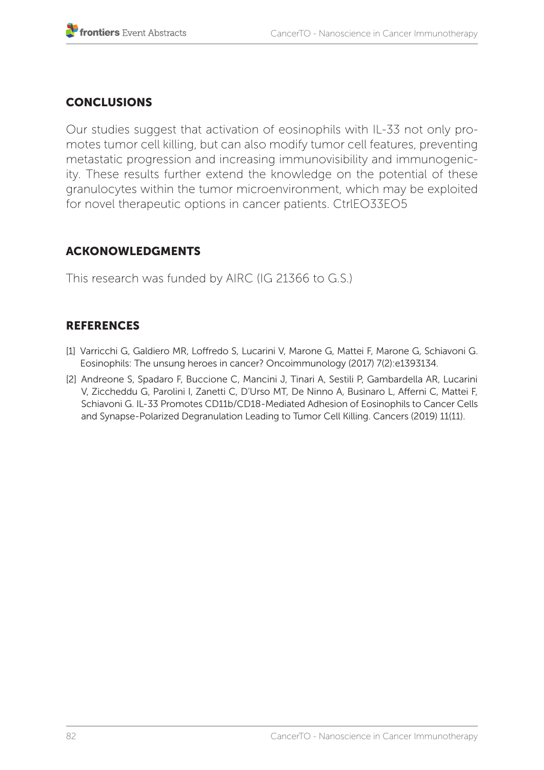#### **CONCLUSIONS**

Our studies suggest that activation of eosinophils with IL-33 not only promotes tumor cell killing, but can also modify tumor cell features, preventing metastatic progression and increasing immunovisibility and immunogenicity. These results further extend the knowledge on the potential of these granulocytes within the tumor microenvironment, which may be exploited for novel therapeutic options in cancer patients. CtrlEO33EO5

#### ACKONOWLEDGMENTS

This research was funded by AIRC (IG 21366 to G.S.)

- [1] Varricchi G, Galdiero MR, Loffredo S, Lucarini V, Marone G, Mattei F, Marone G, Schiavoni G. Eosinophils: The unsung heroes in cancer? Oncoimmunology (2017) 7(2):e1393134.
- [2] Andreone S, Spadaro F, Buccione C, Mancini J, Tinari A, Sestili P, Gambardella AR, Lucarini V, Ziccheddu G, Parolini I, Zanetti C, D'Urso MT, De Ninno A, Businaro L, Afferni C, Mattei F, Schiavoni G. IL-33 Promotes CD11b/CD18-Mediated Adhesion of Eosinophils to Cancer Cells and Synapse-Polarized Degranulation Leading to Tumor Cell Killing. Cancers (2019) 11(11).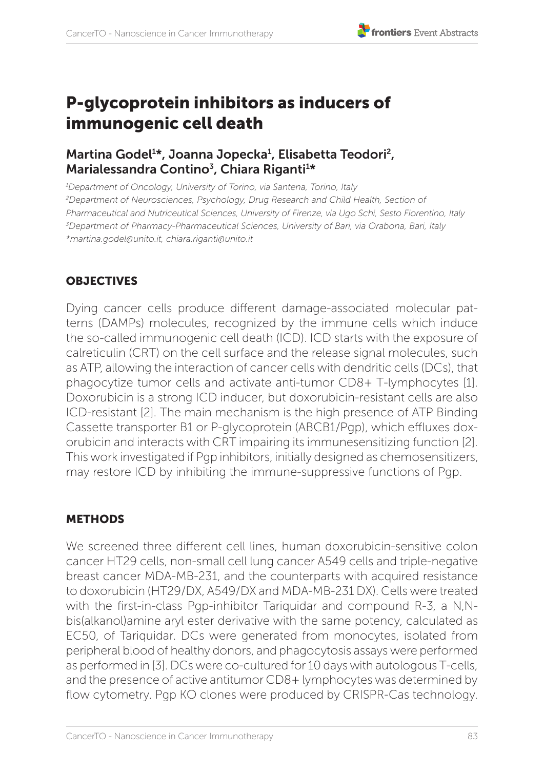#### **T** frontiers Event Abstracts

# P-glycoprotein inhibitors as inducers of immunogenic cell death

# Martina Godel<sup>1</sup>\*, Joanna Jopecka<sup>1</sup>, Elisabetta Teodori<sup>2</sup>, Marialessandra Contino<sup>3</sup>, Chiara Riganti<sup>1\*</sup>

*1 Department of Oncology, University of Torino, via Santena, Torino, Italy 2 Department of Neurosciences, Psychology, Drug Research and Child Health, Section of Pharmaceutical and Nutriceutical Sciences, University of Firenze, via Ugo Schi, Sesto Fiorentino, Italy 3 Department of Pharmacy-Pharmaceutical Sciences, University of Bari, via Orabona, Bari, Italy \*martina.godel@unito.it, chiara.riganti@unito.it* 

#### **OBJECTIVES**

Dying cancer cells produce different damage-associated molecular patterns (DAMPs) molecules, recognized by the immune cells which induce the so-called immunogenic cell death (ICD). ICD starts with the exposure of calreticulin (CRT) on the cell surface and the release signal molecules, such as ATP, allowing the interaction of cancer cells with dendritic cells (DCs), that phagocytize tumor cells and activate anti-tumor CD8+ T-lymphocytes [1]. Doxorubicin is a strong ICD inducer, but doxorubicin-resistant cells are also ICD-resistant [2]. The main mechanism is the high presence of ATP Binding Cassette transporter B1 or P-glycoprotein (ABCB1/Pgp), which effluxes doxorubicin and interacts with CRT impairing its immunesensitizing function [2]. This work investigated if Pgp inhibitors, initially designed as chemosensitizers, may restore ICD by inhibiting the immune-suppressive functions of Pgp.

#### METHODS

We screened three different cell lines, human doxorubicin-sensitive colon cancer HT29 cells, non-small cell lung cancer A549 cells and triple-negative breast cancer MDA-MB-231, and the counterparts with acquired resistance to doxorubicin (HT29/DX, A549/DX and MDA-MB-231 DX). Cells were treated with the first-in-class Pgp-inhibitor Tariquidar and compound R-3, a N,Nbis(alkanol)amine aryl ester derivative with the same potency, calculated as EC50, of Tariquidar. DCs were generated from monocytes, isolated from peripheral blood of healthy donors, and phagocytosis assays were performed as performed in [3]. DCs were co-cultured for 10 days with autologous T-cells, and the presence of active antitumor CD8+ lymphocytes was determined by flow cytometry. Pgp KO clones were produced by CRISPR-Cas technology.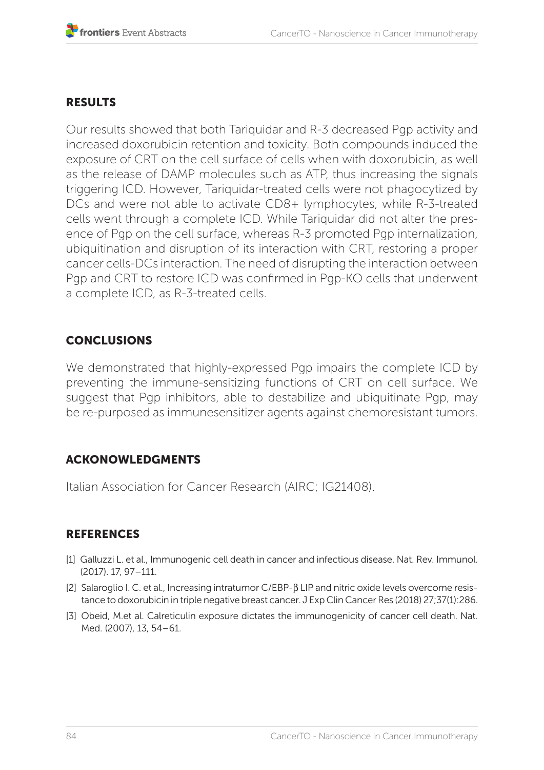#### RESULTS

Our results showed that both Tariquidar and R-3 decreased Pgp activity and increased doxorubicin retention and toxicity. Both compounds induced the exposure of CRT on the cell surface of cells when with doxorubicin, as well as the release of DAMP molecules such as ATP, thus increasing the signals triggering ICD. However, Tariquidar-treated cells were not phagocytized by DCs and were not able to activate CD8+ lymphocytes, while R-3-treated cells went through a complete ICD. While Tariquidar did not alter the presence of Pap on the cell surface, whereas R-3 promoted Pap internalization, ubiquitination and disruption of its interaction with CRT, restoring a proper cancer cells-DCs interaction. The need of disrupting the interaction between Pgp and CRT to restore ICD was confirmed in Pgp-KO cells that underwent a complete ICD, as R-3-treated cells.

### **CONCLUSIONS**

We demonstrated that highly-expressed Pgp impairs the complete ICD by preventing the immune-sensitizing functions of CRT on cell surface. We suggest that Pgp inhibitors, able to destabilize and ubiquitinate Pgp, may be re-purposed as immunesensitizer agents against chemoresistant tumors.

#### ACKONOWLEDGMENTS

Italian Association for Cancer Research (AIRC; IG21408).

- [1] Galluzzi L. et al., Immunogenic cell death in cancer and infectious disease. Nat. Rev. Immunol. (2017). 17, 97–111.
- [2] Salaroglio I. C. et al., Increasing intratumor C/EBP-β LIP and nitric oxide levels overcome resistance to doxorubicin in triple negative breast cancer. J Exp Clin Cancer Res (2018) 27;37(1):286.
- [3] Obeid, M.et al. Calreticulin exposure dictates the immunogenicity of cancer cell death. Nat. Med. (2007), 13, 54–61.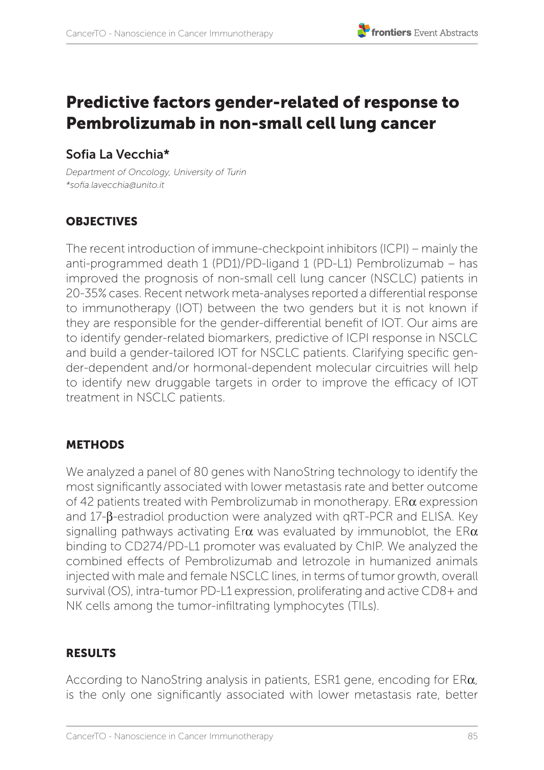# Predictive factors gender-related of response to Pembrolizumab in non-small cell lung cancer

# Sofia La Vecchia\*

*Department of Oncology, University of Turin \*sofia.lavecchia@unito.it*

### **OBJECTIVES**

The recent introduction of immune-checkpoint inhibitors (ICPI) – mainly the anti-programmed death 1 (PD1)/PD-ligand 1 (PD-L1) Pembrolizumab – has improved the prognosis of non-small cell lung cancer (NSCLC) patients in 20-35% cases. Recent network meta-analyses reported a differential response to immunotherapy (IOT) between the two genders but it is not known if they are responsible for the gender-differential benefit of IOT. Our aims are to identify gender-related biomarkers, predictive of ICPI response in NSCLC and build a gender-tailored IOT for NSCLC patients. Clarifying specific gender-dependent and/or hormonal-dependent molecular circuitries will help to identify new druggable targets in order to improve the efficacy of IOT treatment in NSCLC patients.

#### **METHODS**

We analyzed a panel of 80 genes with NanoString technology to identify the most significantly associated with lower metastasis rate and better outcome of 42 patients treated with Pembrolizumab in monotherapy. ERα expression and 17-β-estradiol production were analyzed with qRT-PCR and ELISA. Key signalling pathways activating Er $\alpha$  was evaluated by immunoblot, the ER $\alpha$ binding to CD274/PD-L1 promoter was evaluated by ChIP. We analyzed the combined effects of Pembrolizumab and letrozole in humanized animals injected with male and female NSCLC lines, in terms of tumor growth, overall survival (OS), intra-tumor PD-L1 expression, proliferating and active CD8+ and NK cells among the tumor-infiltrating lymphocytes (TILs).

#### RESULTS

According to NanoString analysis in patients, ESR1 gene, encoding for ERα, is the only one significantly associated with lower metastasis rate, better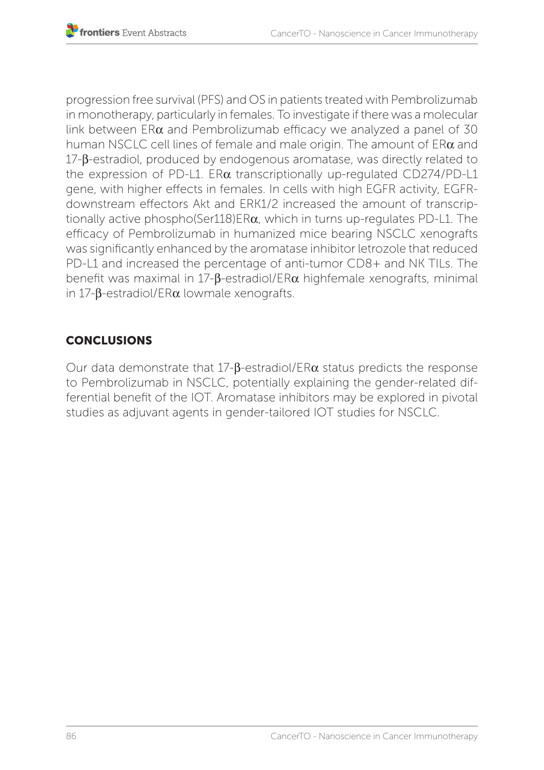progression free survival (PFS) and OS in patients treated with Pembrolizumab in monotherapy, particularly in females. To investigate if there was a molecular link between  $ER\alpha$  and Pembrolizumab efficacy we analyzed a panel of 30 human NSCLC cell lines of female and male origin. The amount of ERα and 17-β-estradiol, produced by endogenous aromatase, was directly related to the expression of PD-L1.  $ER\alpha$  transcriptionally up-regulated CD274/PD-L1 gene, with higher effects in females. In cells with high EGFR activity, EGFRdownstream effectors Akt and ERK1/2 increased the amount of transcriptionally active phospho(Ser118)ERα, which in turns up-regulates PD-L1. The efficacy of Pembrolizumab in humanized mice bearing NSCLC xenografts was significantly enhanced by the aromatase inhibitor letrozole that reduced PD-L1 and increased the percentage of anti-tumor CD8+ and NK TILs. The benefit was maximal in 17-β-estradiol/ERα highfemale xenografts, minimal in 17-β-estradiol/ERα lowmale xenografts.

# **CONCLUSIONS**

Our data demonstrate that 17-β-estradiol/ERα status predicts the response to Pembrolizumab in NSCLC, potentially explaining the gender-related differential benefit of the IOT. Aromatase inhibitors may be explored in pivotal studies as adjuvant agents in gender-tailored IOT studies for NSCLC.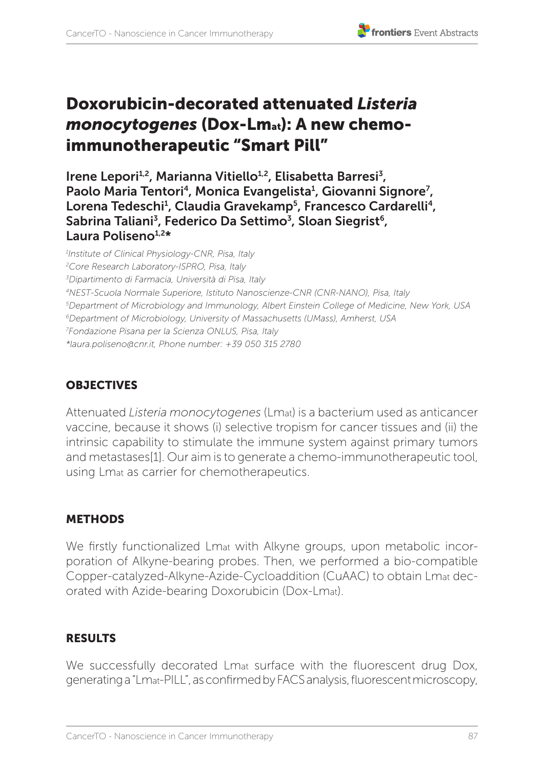# Doxorubicin-decorated attenuated *Listeria monocytogenes* (Dox-Lmat): A new chemoimmunotherapeutic "Smart Pill"

Irene Lepori<sup>1,2</sup>, Marianna Vitiello<sup>1,2</sup>, Elisabetta Barresi<sup>3</sup>, Paolo Maria Tentori<sup>4</sup>, Monica Evangelista<sup>1</sup>, Giovanni Signore<sup>7</sup>, Lorena Tedeschi<sup>1</sup>, Claudia Gravekamp<sup>5</sup>, Francesco Cardarelli<sup>4</sup>, Sabrina Taliani<sup>3</sup>, Federico Da Settimo<sup>3</sup>, Sloan Siegrist<sup>6</sup>, Laura Poliseno<sup>1,2\*</sup>

 *Institute of Clinical Physiology-CNR, Pisa, Italy Core Research Laboratory-ISPRO, Pisa, Italy Dipartimento di Farmacia, Università di Pisa, Italy 4NEST-Scuola Normale Superiore, Istituto Nanoscienze-CNR (CNR-NANO), Pisa, Italy Department of Microbiology and Immunology, Albert Einstein College of Medicine, New York, USA 6Department of Microbiology, University of Massachusetts (UMass), Amherst, USA Fondazione Pisana per la Scienza ONLUS, Pisa, Italy \*laura.poliseno@cnr.it, Phone number: +39 050 315 2780*

# **OBJECTIVES**

Attenuated *Listeria monocytogenes* (Lmat) is a bacterium used as anticancer vaccine, because it shows (i) selective tropism for cancer tissues and (ii) the intrinsic capability to stimulate the immune system against primary tumors and metastases[1]. Our aim is to generate a chemo-immunotherapeutic tool, using Lmat as carrier for chemotherapeutics.

# **METHODS**

We firstly functionalized Lmat with Alkyne groups, upon metabolic incorporation of Alkyne-bearing probes. Then, we performed a bio-compatible Copper-catalyzed-Alkyne-Azide-Cycloaddition (CuAAC) to obtain Lmat decorated with Azide-bearing Doxorubicin (Dox-Lmat).

# RESULTS

We successfully decorated Lmat surface with the fluorescent drug Dox, generating a "Lmat-PILL", as confirmed by FACS analysis, fluorescent microscopy,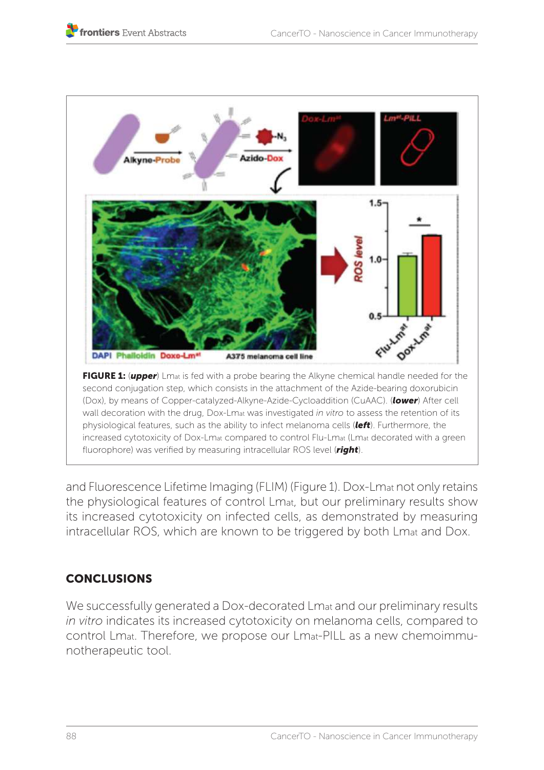

and Fluorescence Lifetime Imaging (FLIM) (Figure 1). Dox-Lmat not only retains the physiological features of control Lmat, but our preliminary results show its increased cytotoxicity on infected cells, as demonstrated by measuring intracellular ROS, which are known to be triggered by both Lmat and Dox.

# **CONCLUSIONS**

We successfully generated a Dox-decorated Lmat and our preliminary results *in vitro* indicates its increased cytotoxicity on melanoma cells, compared to control Lmat. Therefore, we propose our Lmat-PILL as a new chemoimmunotherapeutic tool.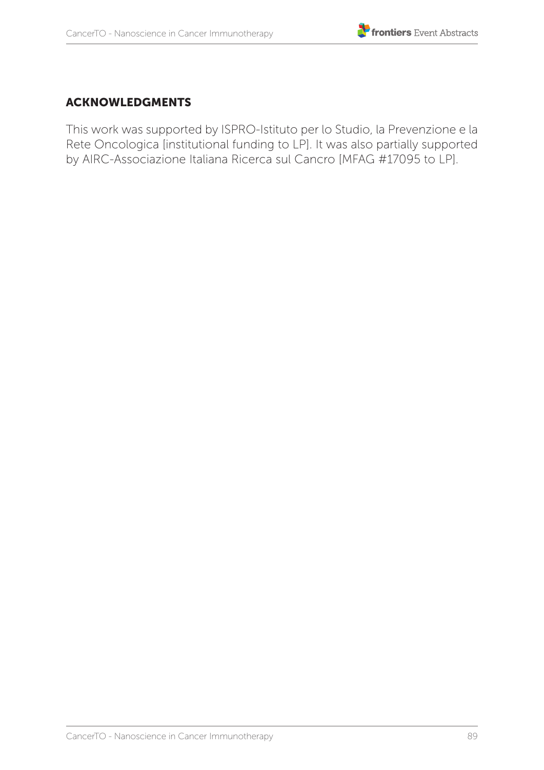#### ACKNOWLEDGMENTS

This work was supported by ISPRO-Istituto per lo Studio, la Prevenzione e la Rete Oncologica [institutional funding to LP]. It was also partially supported by AIRC-Associazione Italiana Ricerca sul Cancro [MFAG #17095 to LP].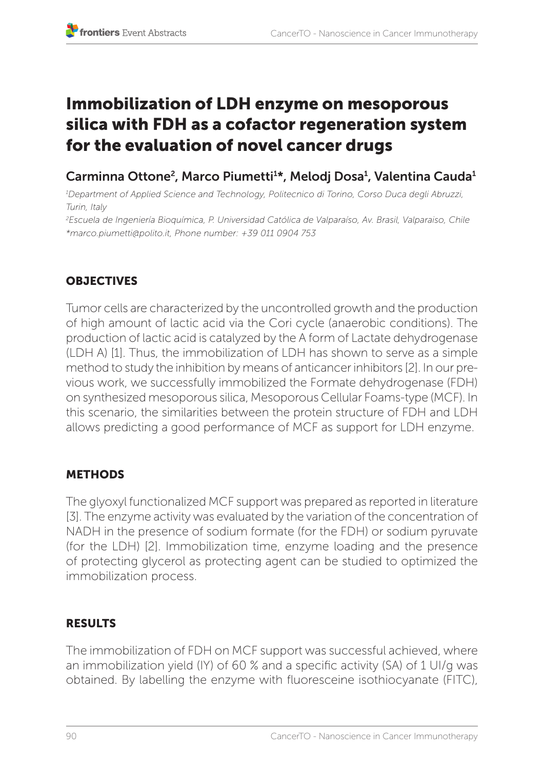# Immobilization of LDH enzyme on mesoporous silica with FDH as a cofactor regeneration system for the evaluation of novel cancer drugs

# Carminna Ottone<sup>2</sup>, Marco Piumetti<sup>1</sup>\*, Melodj Dosa<sup>1</sup>, Valentina Cauda<sup>1</sup>

*1 Department of Applied Science and Technology, Politecnico di Torino, Corso Duca degli Abruzzi, Turin, Italy*

*2 Escuela de Ingeniería Bioquímica, P. Universidad Católica de Valparaíso, Av. Brasil, Valparaiso, Chile \*marco.piumetti@polito.it, Phone number: +39 011 0904 753*

# **OBJECTIVES**

Tumor cells are characterized by the uncontrolled growth and the production of high amount of lactic acid via the Cori cycle (anaerobic conditions). The production of lactic acid is catalyzed by the A form of Lactate dehydrogenase (LDH A) [1]. Thus, the immobilization of LDH has shown to serve as a simple method to study the inhibition by means of anticancer inhibitors [2]. In our previous work, we successfully immobilized the Formate dehydrogenase (FDH) on synthesized mesoporous silica, Mesoporous Cellular Foams-type (MCF). In this scenario, the similarities between the protein structure of FDH and LDH allows predicting a good performance of MCF as support for LDH enzyme.

#### METHODS

The glyoxyl functionalized MCF support was prepared as reported in literature [3]. The enzyme activity was evaluated by the variation of the concentration of NADH in the presence of sodium formate (for the FDH) or sodium pyruvate (for the LDH) [2]. Immobilization time, enzyme loading and the presence of protecting glycerol as protecting agent can be studied to optimized the immobilization process.

#### RESULTS

The immobilization of FDH on MCF support was successful achieved, where an immobilization yield (IY) of 60 % and a specific activity (SA) of 1 UI/g was obtained. By labelling the enzyme with fluoresceine isothiocyanate (FITC),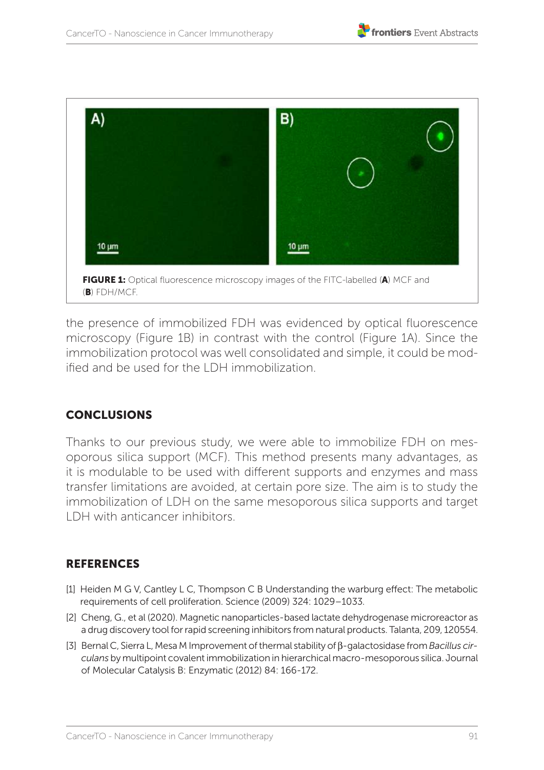



the presence of immobilized FDH was evidenced by optical fluorescence microscopy (Figure 1B) in contrast with the control (Figure 1A). Since the immobilization protocol was well consolidated and simple, it could be modified and be used for the LDH immobilization.

#### **CONCLUSIONS**

Thanks to our previous study, we were able to immobilize FDH on mesoporous silica support (MCF). This method presents many advantages, as it is modulable to be used with different supports and enzymes and mass transfer limitations are avoided, at certain pore size. The aim is to study the immobilization of LDH on the same mesoporous silica supports and target LDH with anticancer inhibitors.

- [1] Heiden M G V, Cantley L C, Thompson C B Understanding the warburg effect: The metabolic requirements of cell proliferation. Science (2009) 324: 1029–1033.
- [2] Cheng, G., et al (2020). Magnetic nanoparticles-based lactate dehydrogenase microreactor as a drug discovery tool for rapid screening inhibitors from natural products. Talanta, 209, 120554.
- [3] Bernal C, Sierra L, Mesa M Improvement of thermal stability of β-galactosidase from *Bacillus circulans* by multipoint covalent immobilization in hierarchical macro-mesoporous silica. Journal of Molecular Catalysis B: Enzymatic (2012) 84: 166-172.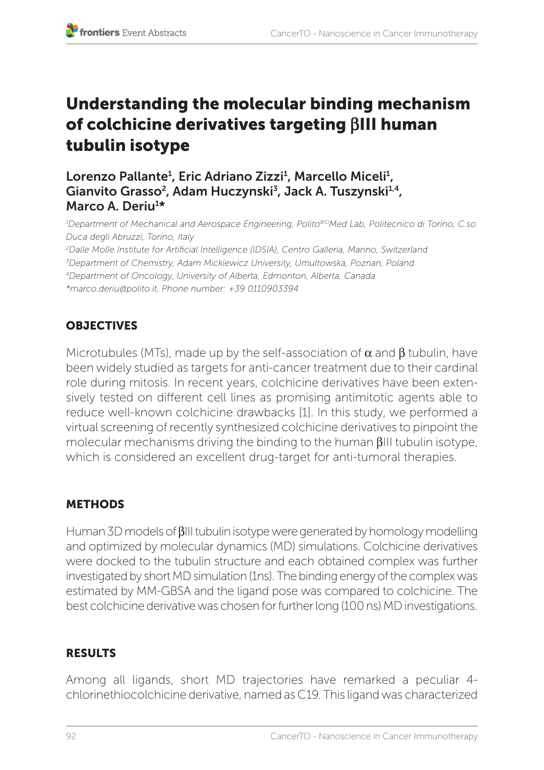# Understanding the molecular binding mechanism of colchicine derivatives targeting **b**III human tubulin isotype

Lorenzo Pallante<sup>1</sup>, Eric Adriano Zizzi<sup>1</sup>, Marcello Miceli<sup>1</sup>, Gianvito Grasso<sup>2</sup>, Adam Huczynski<sup>3</sup>, Jack A. Tuszynski<sup>1,4</sup>, Marco A. Deriu<sup>1\*</sup>

*1 Department of Mechanical and Aerospace Engineering, PolitoBIOMed Lab, Politecnico di Torino, C.so Duca degli Abruzzi, Torino, Italy 2 Dalle Molle Institute for Artificial Intelligence (IDSIA), Centro Galleria, Manno, Switzerland 3 Department of Chemistry, Adam Mickiewicz University, Umultowska, Poznan, Poland 4Department of Oncology, University of Alberta, Edmonton, Alberta, Canada \*marco.deriu@polito.it, Phone number: +39 0110903394*

# **OBJECTIVES**

Microtubules (MTs), made up by the self-association of  $\alpha$  and  $\beta$  tubulin, have been widely studied as targets for anti-cancer treatment due to their cardinal role during mitosis. In recent years, colchicine derivatives have been extensively tested on different cell lines as promising antimitotic agents able to reduce well-known colchicine drawbacks [1]. In this study, we performed a virtual screening of recently synthesized colchicine derivatives to pinpoint the molecular mechanisms driving the binding to the human βIII tubulin isotype, which is considered an excellent drug-target for anti-tumoral therapies.

# **METHODS**

Human 3D models of βIII tubulin isotype were generated by homology modelling and optimized by molecular dynamics (MD) simulations. Colchicine derivatives were docked to the tubulin structure and each obtained complex was further investigated by short MD simulation (1ns). The binding energy of the complex was estimated by MM-GBSA and the ligand pose was compared to colchicine. The best colchicine derivative was chosen for further long (100 ns) MD investigations.

#### RESULTS

Among all ligands, short MD trajectories have remarked a peculiar 4 chlorinethiocolchicine derivative, named as C19. This ligand was characterized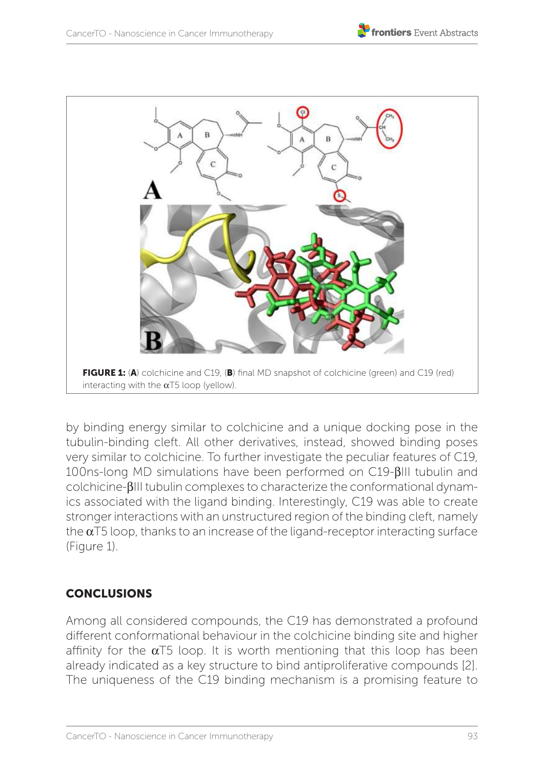

by binding energy similar to colchicine and a unique docking pose in the tubulin-binding cleft. All other derivatives, instead, showed binding poses very similar to colchicine. To further investigate the peculiar features of C19, 100ns-long MD simulations have been performed on C19-βIII tubulin and colchicine-βIII tubulin complexes to characterize the conformational dynamics associated with the ligand binding. Interestingly, C19 was able to create stronger interactions with an unstructured region of the binding cleft, namely the  $\alpha$ T5 loop, thanks to an increase of the ligand-receptor interacting surface (Figure 1).

# **CONCLUSIONS**

Among all considered compounds, the C19 has demonstrated a profound different conformational behaviour in the colchicine binding site and higher affinity for the  $\alpha$ T5 loop. It is worth mentioning that this loop has been already indicated as a key structure to bind antiproliferative compounds [2]. The uniqueness of the C19 binding mechanism is a promising feature to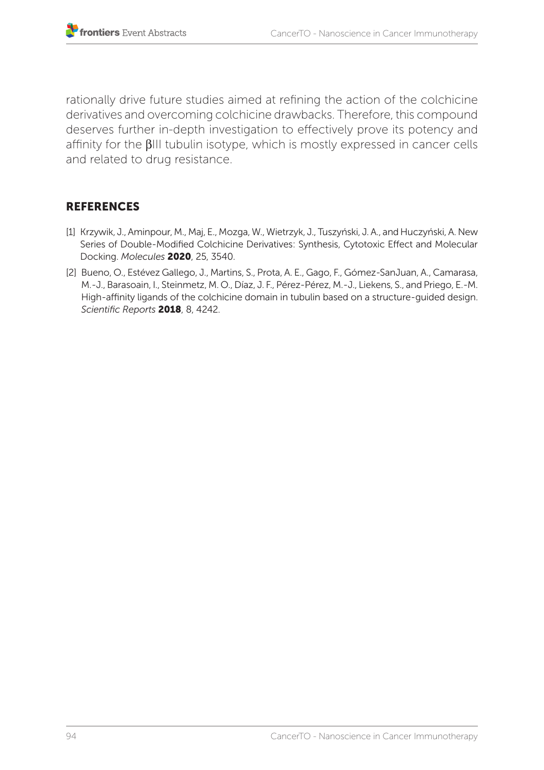rationally drive future studies aimed at refining the action of the colchicine derivatives and overcoming colchicine drawbacks. Therefore, this compound deserves further in-depth investigation to effectively prove its potency and affinity for the βIII tubulin isotype, which is mostly expressed in cancer cells and related to drug resistance.

- [1] Krzywik, J., Aminpour, M., Maj, E., Mozga, W., Wietrzyk, J., Tuszyński, J. A., and Huczyński, A. New Series of Double-Modified Colchicine Derivatives: Synthesis, Cytotoxic Effect and Molecular Docking. *Molecules* 2020, 25, 3540.
- [2] Bueno, O., Estévez Gallego, J., Martins, S., Prota, A. E., Gago, F., Gómez-SanJuan, A., Camarasa, M.-J., Barasoain, I., Steinmetz, M. O., Díaz, J. F., Pérez-Pérez, M.-J., Liekens, S., and Priego, E.-M. High-affinity ligands of the colchicine domain in tubulin based on a structure-guided design. *Scientific Reports* 2018, 8, 4242.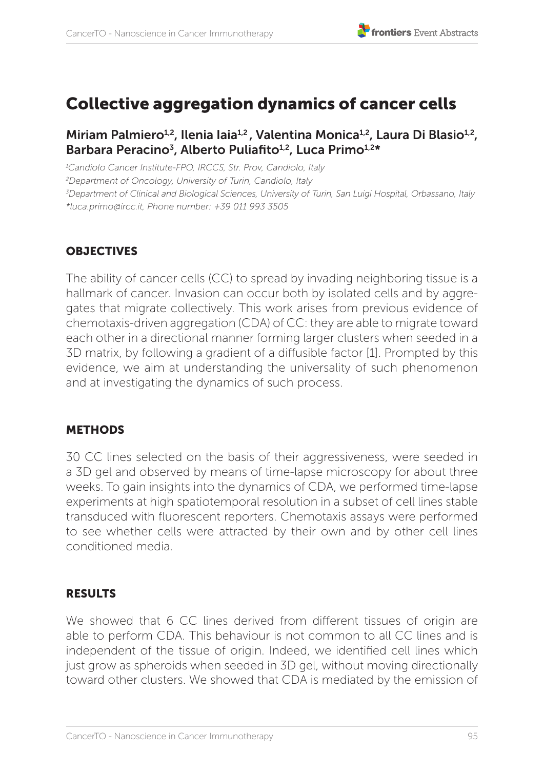# Collective aggregation dynamics of cancer cells

#### Miriam Palmiero<sup>1,2</sup>, Ilenia Iaia<sup>1,2</sup>, Valentina Monica<sup>1,2</sup>, Laura Di Blasio<sup>1,2</sup>, Barbara Peracino<sup>3</sup>, Alberto Puliafito<sup>1,2</sup>, Luca Primo<sup>1,2\*</sup>

 *Candiolo Cancer Institute-FPO, IRCCS, Str. Prov, Candiolo, Italy Department of Oncology, University of Turin, Candiolo, Italy Department of Clinical and Biological Sciences, University of Turin, San Luigi Hospital, Orbassano, Italy \*luca.primo@ircc.it, Phone number: +39 011 993 3505*

#### **OBJECTIVES**

The ability of cancer cells (CC) to spread by invading neighboring tissue is a hallmark of cancer. Invasion can occur both by isolated cells and by aggregates that migrate collectively. This work arises from previous evidence of chemotaxis-driven aggregation (CDA) of CC: they are able to migrate toward each other in a directional manner forming larger clusters when seeded in a 3D matrix, by following a gradient of a diffusible factor [1]. Prompted by this evidence, we aim at understanding the universality of such phenomenon and at investigating the dynamics of such process.

#### METHODS

30 CC lines selected on the basis of their aggressiveness, were seeded in a 3D gel and observed by means of time-lapse microscopy for about three weeks. To gain insights into the dynamics of CDA, we performed time-lapse experiments at high spatiotemporal resolution in a subset of cell lines stable transduced with fluorescent reporters. Chemotaxis assays were performed to see whether cells were attracted by their own and by other cell lines conditioned media.

#### RESULTS

We showed that 6 CC lines derived from different tissues of origin are able to perform CDA. This behaviour is not common to all CC lines and is independent of the tissue of origin. Indeed, we identified cell lines which just grow as spheroids when seeded in 3D gel, without moving directionally toward other clusters. We showed that CDA is mediated by the emission of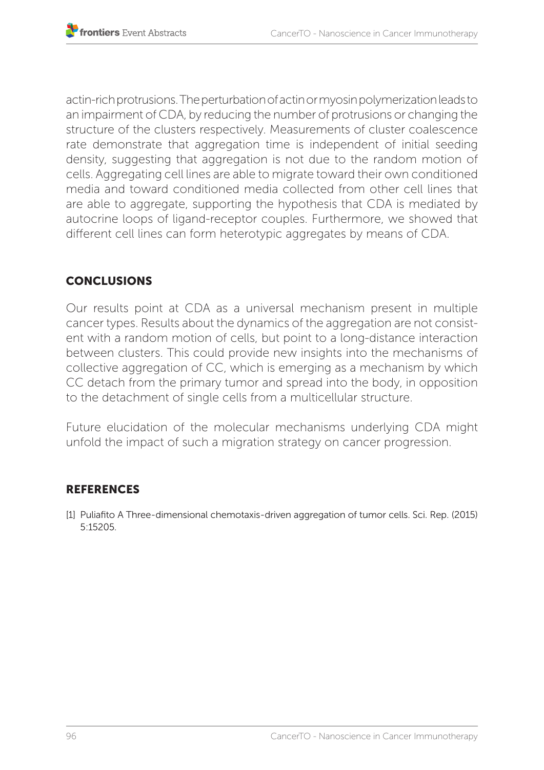actin-rich protrusions. The perturbation of actin or myosin polymerization leads to an impairment of CDA, by reducing the number of protrusions or changing the structure of the clusters respectively. Measurements of cluster coalescence rate demonstrate that aggregation time is independent of initial seeding density, suggesting that aggregation is not due to the random motion of cells. Aggregating cell lines are able to migrate toward their own conditioned media and toward conditioned media collected from other cell lines that are able to aggregate, supporting the hypothesis that CDA is mediated by autocrine loops of ligand-receptor couples. Furthermore, we showed that different cell lines can form heterotypic aggregates by means of CDA.

### **CONCLUSIONS**

Our results point at CDA as a universal mechanism present in multiple cancer types. Results about the dynamics of the aggregation are not consistent with a random motion of cells, but point to a long-distance interaction between clusters. This could provide new insights into the mechanisms of collective aggregation of CC, which is emerging as a mechanism by which CC detach from the primary tumor and spread into the body, in opposition to the detachment of single cells from a multicellular structure.

Future elucidation of the molecular mechanisms underlying CDA might unfold the impact of such a migration strategy on cancer progression.

#### **REFERENCES**

[1] Puliafito A Three-dimensional chemotaxis-driven aggregation of tumor cells. Sci. Rep. (2015) 5:15205.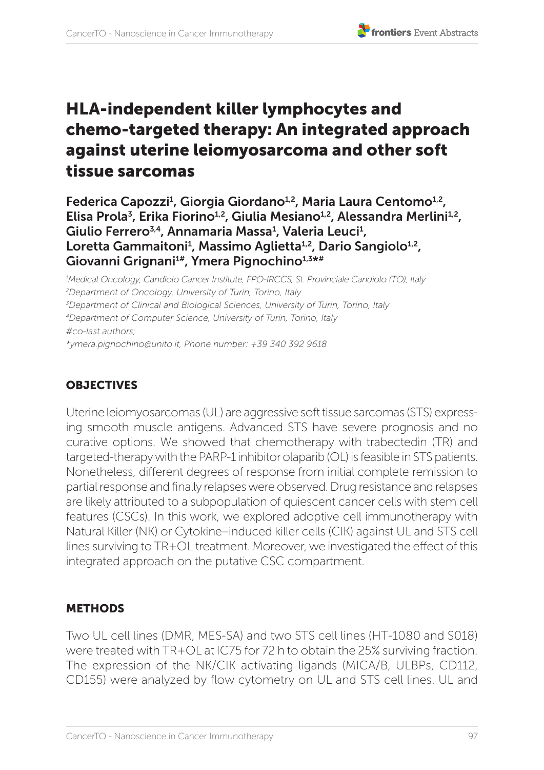# HLA-independent killer lymphocytes and chemo-targeted therapy: An integrated approach against uterine leiomyosarcoma and other soft tissue sarcomas

Federica Capozzi<sup>1</sup>, Giorgia Giordano<sup>1,2</sup>, Maria Laura Centomo<sup>1,2</sup>, Elisa Prola<sup>3</sup>, Erika Fiorino<sup>1,2</sup>, Giulia Mesiano<sup>1,2</sup>, Alessandra Merlini<sup>1,2</sup>, Giulio Ferrero<sup>3,4</sup>, Annamaria Massa<sup>1</sup>, Valeria Leuci<sup>1</sup>, Loretta Gammaitoni<sup>1</sup>, Massimo Aglietta<sup>1,2</sup>, Dario Sangiolo<sup>1,2</sup>, Giovanni Grignani<sup>1#</sup>, Ymera Pignochino<sup>1,3\*#</sup>

*1 Medical Oncology, Candiolo Cancer Institute, FPO-IRCCS, St. Provinciale Candiolo (TO), Italy 2 Department of Oncology, University of Turin, Torino, Italy 3 Department of Clinical and Biological Sciences, University of Turin, Torino, Italy 4Department of Computer Science, University of Turin, Torino, Italy #co-last authors; \*ymera.pignochino@unito.it, Phone number: +39 340 392 9618* 

# **OBJECTIVES**

Uterine leiomyosarcomas (UL) are aggressive soft tissue sarcomas (STS) expressing smooth muscle antigens. Advanced STS have severe prognosis and no curative options. We showed that chemotherapy with trabectedin (TR) and targeted-therapy with the PARP-1 inhibitor olaparib (OL) is feasible in STS patients. Nonetheless, different degrees of response from initial complete remission to partial response and finally relapses were observed. Drug resistance and relapses are likely attributed to a subpopulation of quiescent cancer cells with stem cell features (CSCs). In this work, we explored adoptive cell immunotherapy with Natural Killer (NK) or Cytokine–induced killer cells (CIK) against UL and STS cell lines surviving to TR+OL treatment. Moreover, we investigated the effect of this integrated approach on the putative CSC compartment.

# METHODS

Two UL cell lines (DMR, MES-SA) and two STS cell lines (HT-1080 and S018) were treated with TR+OL at IC75 for 72 h to obtain the 25% surviving fraction. The expression of the NK/CIK activating ligands (MICA/B, ULBPs, CD112, CD155) were analyzed by flow cytometry on UL and STS cell lines. UL and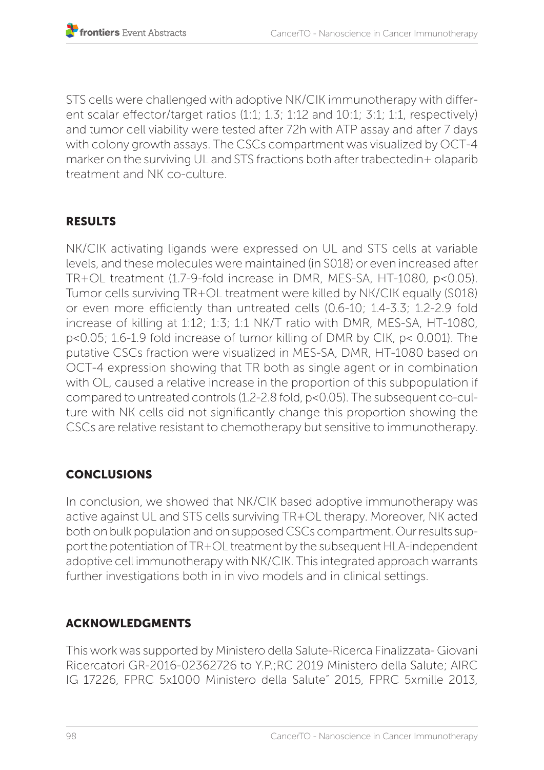STS cells were challenged with adoptive NK/CIK immunotherapy with different scalar effector/target ratios (1:1; 1.3; 1:12 and 10:1; 3:1; 1:1, respectively) and tumor cell viability were tested after 72h with ATP assay and after 7 days with colony growth assays. The CSCs compartment was visualized by OCT-4 marker on the surviving UL and STS fractions both after trabectedin+ olaparib treatment and NK co-culture.

#### RESULTS

NK/CIK activating ligands were expressed on UL and STS cells at variable levels, and these molecules were maintained (in S018) or even increased after TR+OL treatment (1.7-9-fold increase in DMR, MES-SA, HT-1080, p<0.05). Tumor cells surviving TR+OL treatment were killed by NK/CIK equally (S018) or even more efficiently than untreated cells (0.6-10; 1.4-3.3; 1.2-2.9 fold increase of killing at 1:12; 1:3; 1:1 NK/T ratio with DMR, MES-SA, HT-1080, p<0.05; 1.6-1.9 fold increase of tumor killing of DMR by CIK, p< 0.001). The putative CSCs fraction were visualized in MES-SA, DMR, HT-1080 based on OCT-4 expression showing that TR both as single agent or in combination with OL, caused a relative increase in the proportion of this subpopulation if compared to untreated controls (1.2-2.8 fold, p<0.05). The subsequent co-culture with NK cells did not significantly change this proportion showing the CSCs are relative resistant to chemotherapy but sensitive to immunotherapy.

# **CONCLUSIONS**

In conclusion, we showed that NK/CIK based adoptive immunotherapy was active against UL and STS cells surviving TR+OL therapy. Moreover, NK acted both on bulk population and on supposed CSCs compartment. Our results support the potentiation of TR+OL treatment by the subsequent HLA-independent adoptive cell immunotherapy with NK/CIK. This integrated approach warrants further investigations both in in vivo models and in clinical settings.

#### ACKNOWLEDGMENTS

This work was supported by Ministero della Salute-Ricerca Finalizzata- Giovani Ricercatori GR-2016-02362726 to Y.P.;RC 2019 Ministero della Salute; AIRC IG 17226, FPRC 5x1000 Ministero della Salute" 2015, FPRC 5xmille 2013,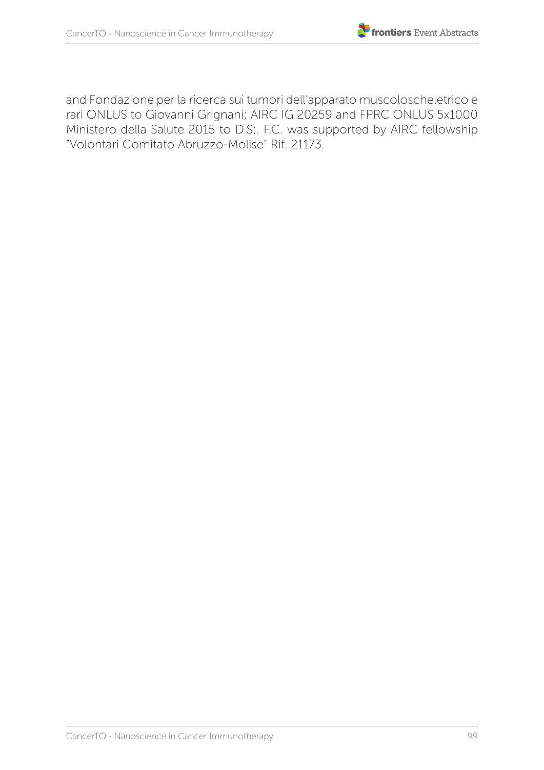

and Fondazione per la ricerca sui tumori dell'apparato muscoloscheletrico e rari ONLUS to Giovanni Grignani; AIRC IG 20259 and FPRC ONLUS 5x1000 Ministero della Salute 2015 to D.S;. F.C. was supported by AIRC fellowship "Volontari Comitato Abruzzo-Molise" Rif. 21173.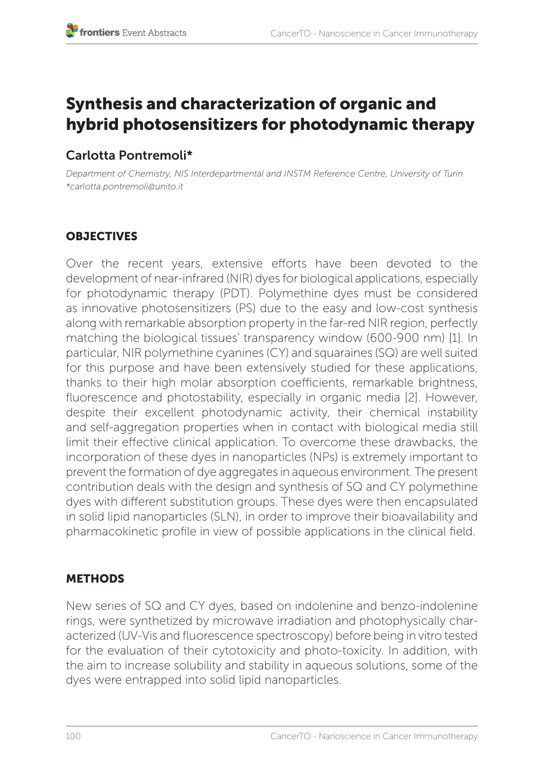# Synthesis and characterization of organic and hybrid photosensitizers for photodynamic therapy

# Carlotta Pontremoli\*

*Department of Chemistry, NIS Interdepartmental and INSTM Reference Centre, University of Turin \*carlotta.pontremoli@unito.it*

# **OBJECTIVES**

Over the recent years, extensive efforts have been devoted to the development of near-infrared (NIR) dyes for biological applications, especially for photodynamic therapy (PDT). Polymethine dyes must be considered as innovative photosensitizers (PS) due to the easy and low-cost synthesis along with remarkable absorption property in the far-red NIR region, perfectly matching the biological tissues' transparency window (600-900 nm) [1]. In particular, NIR polymethine cyanines (CY) and squaraines (SQ) are well suited for this purpose and have been extensively studied for these applications, thanks to their high molar absorption coefficients, remarkable brightness, fluorescence and photostability, especially in organic media [2]. However, despite their excellent photodynamic activity, their chemical instability and self-aggregation properties when in contact with biological media still limit their effective clinical application. To overcome these drawbacks, the incorporation of these dyes in nanoparticles (NPs) is extremely important to prevent the formation of dye aggregates in aqueous environment. The present contribution deals with the design and synthesis of SQ and CY polymethine dyes with different substitution groups. These dyes were then encapsulated in solid lipid nanoparticles (SLN), in order to improve their bioavailability and pharmacokinetic profile in view of possible applications in the clinical field.

# METHODS

New series of SQ and CY dyes, based on indolenine and benzo-indolenine rings, were synthetized by microwave irradiation and photophysically characterized (UV-Vis and fluorescence spectroscopy) before being in vitro tested for the evaluation of their cytotoxicity and photo-toxicity. In addition, with the aim to increase solubility and stability in aqueous solutions, some of the dyes were entrapped into solid lipid nanoparticles.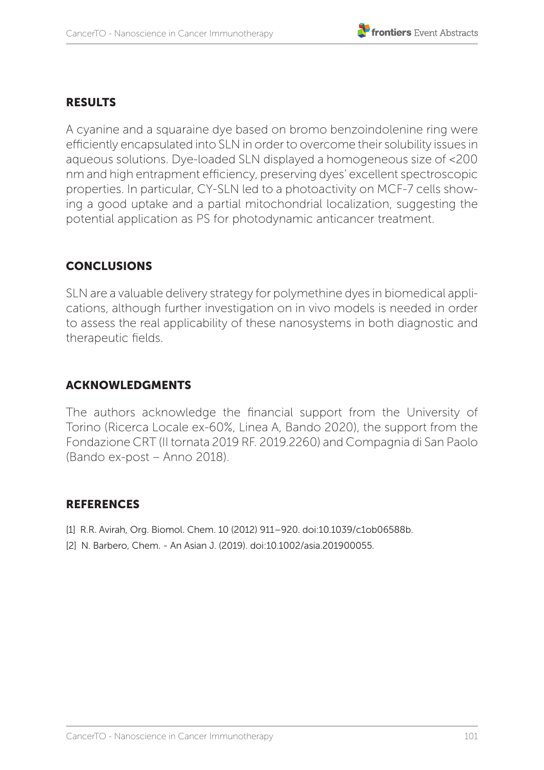### RESULTS

A cyanine and a squaraine dye based on bromo benzoindolenine ring were efficiently encapsulated into SLN in order to overcome their solubility issues in aqueous solutions. Dye-loaded SLN displayed a homogeneous size of <200 nm and high entrapment efficiency, preserving dyes' excellent spectroscopic properties. In particular, CY-SLN led to a photoactivity on MCF-7 cells showing a good uptake and a partial mitochondrial localization, suggesting the potential application as PS for photodynamic anticancer treatment.

#### **CONCLUSIONS**

SLN are a valuable delivery strategy for polymethine dyes in biomedical applications, although further investigation on in vivo models is needed in order to assess the real applicability of these nanosystems in both diagnostic and therapeutic fields.

#### ACKNOWLEDGMENTS

The authors acknowledge the financial support from the University of Torino (Ricerca Locale ex-60%, Linea A, Bando 2020), the support from the Fondazione CRT (II tornata 2019 RF. 2019.2260) and Compagnia di San Paolo (Bando ex-post – Anno 2018).

- [1] R.R. Avirah, Org. Biomol. Chem. 10 (2012) 911-920. doi:10.1039/c1ob06588b.
- [2] N. Barbero, Chem. An Asian J. (2019). doi:10.1002/asia.201900055.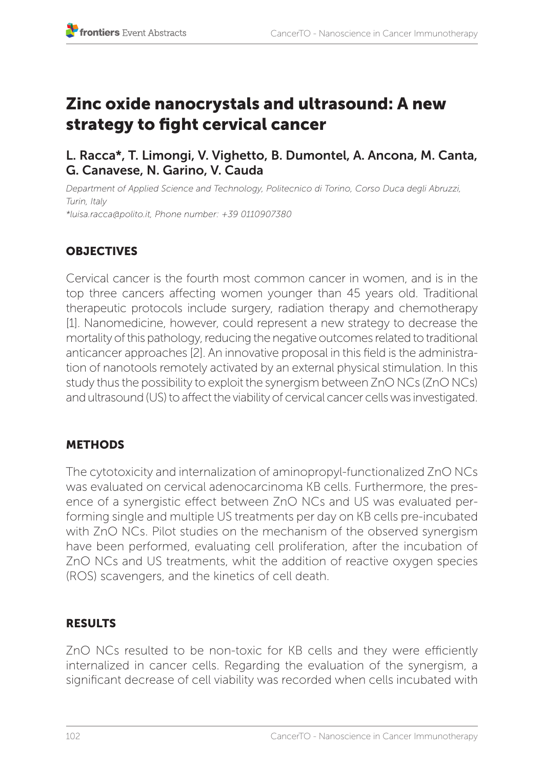# Zinc oxide nanocrystals and ultrasound: A new strategy to fight cervical cancer

L. Racca\*, T. Limongi, V. Vighetto, B. Dumontel, A. Ancona, M. Canta, G. Canavese, N. Garino, V. Cauda

*Department of Applied Science and Technology, Politecnico di Torino, Corso Duca degli Abruzzi, Turin, Italy \*luisa.racca@polito.it, Phone number: +39 0110907380* 

# **OBJECTIVES**

Cervical cancer is the fourth most common cancer in women, and is in the top three cancers affecting women younger than 45 years old. Traditional therapeutic protocols include surgery, radiation therapy and chemotherapy [1]. Nanomedicine, however, could represent a new strategy to decrease the mortality of this pathology, reducing the negative outcomes related to traditional anticancer approaches [2]. An innovative proposal in this field is the administration of nanotools remotely activated by an external physical stimulation. In this study thus the possibility to exploit the synergism between ZnO NCs (ZnO NCs) and ultrasound (US) to affect the viability of cervical cancer cells was investigated.

# **METHODS**

The cytotoxicity and internalization of aminopropyl-functionalized ZnO NCs was evaluated on cervical adenocarcinoma KB cells. Furthermore, the presence of a synergistic effect between ZnO NCs and US was evaluated performing single and multiple US treatments per day on KB cells pre-incubated with ZnO NCs. Pilot studies on the mechanism of the observed synergism have been performed, evaluating cell proliferation, after the incubation of ZnO NCs and US treatments, whit the addition of reactive oxygen species (ROS) scavengers, and the kinetics of cell death.

#### RESULTS

ZnO NCs resulted to be non-toxic for KB cells and they were efficiently internalized in cancer cells. Regarding the evaluation of the synergism, a significant decrease of cell viability was recorded when cells incubated with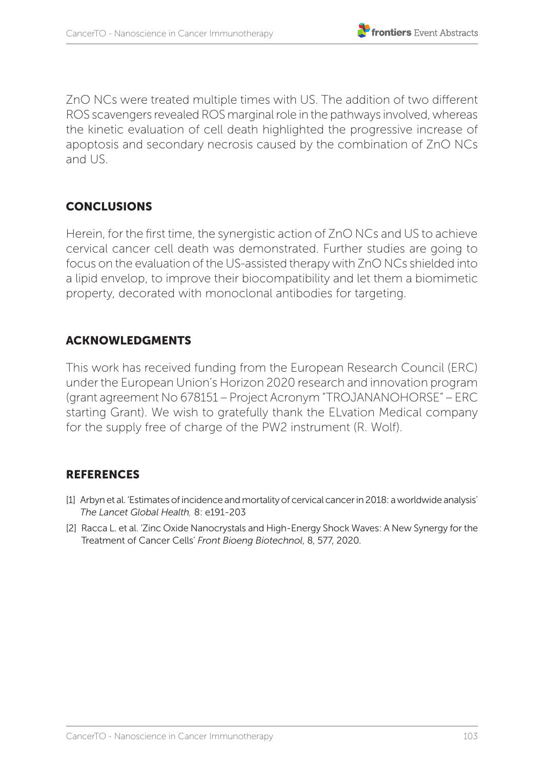

ZnO NCs were treated multiple times with US. The addition of two different ROS scavengers revealed ROS marginal role in the pathways involved, whereas the kinetic evaluation of cell death highlighted the progressive increase of apoptosis and secondary necrosis caused by the combination of ZnO NCs and US.

### **CONCLUSIONS**

Herein, for the first time, the synergistic action of ZnO NCs and US to achieve cervical cancer cell death was demonstrated. Further studies are going to focus on the evaluation of the US-assisted therapy with ZnO NCs shielded into a lipid envelop, to improve their biocompatibility and let them a biomimetic property, decorated with monoclonal antibodies for targeting.

#### ACKNOWLEDGMENTS

This work has received funding from the European Research Council (ERC) under the European Union's Horizon 2020 research and innovation program (grant agreement No 678151 – Project Acronym "TROJANANOHORSE" – ERC starting Grant). We wish to gratefully thank the ELvation Medical company for the supply free of charge of the PW2 instrument (R. Wolf).

- [1] Arbyn et al. 'Estimates of incidence and mortality of cervical cancer in 2018: a worldwide analysis' *The Lancet Global Health,* 8: e191-203
- [2] Racca L. et al. 'Zinc Oxide Nanocrystals and High-Energy Shock Waves: A New Synergy for the Treatment of Cancer Cells' *Front Bioeng Biotechnol*, 8, 577, 2020.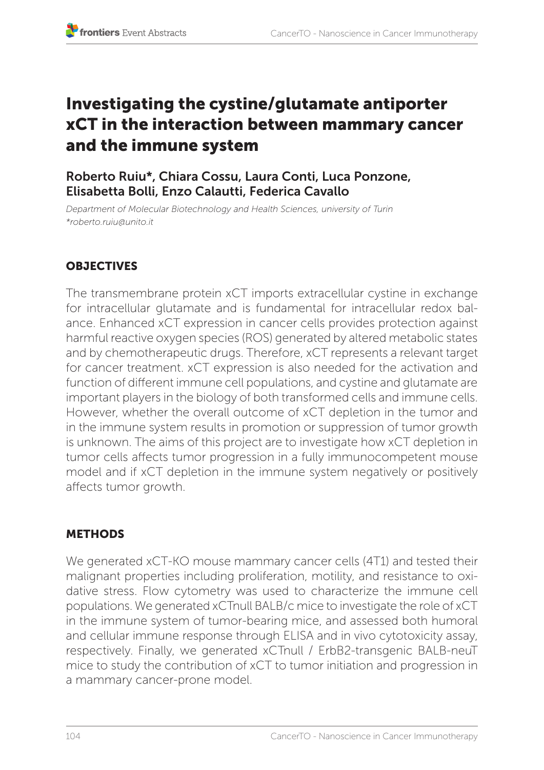# Investigating the cystine/glutamate antiporter xCT in the interaction between mammary cancer and the immune system

# Roberto Ruiu\*, Chiara Cossu, Laura Conti, Luca Ponzone, Elisabetta Bolli, Enzo Calautti, Federica Cavallo

*Department of Molecular Biotechnology and Health Sciences, university of Turin \*roberto.ruiu@unito.it*

# **OBJECTIVES**

The transmembrane protein xCT imports extracellular cystine in exchange for intracellular glutamate and is fundamental for intracellular redox balance. Enhanced xCT expression in cancer cells provides protection against harmful reactive oxygen species (ROS) generated by altered metabolic states and by chemotherapeutic drugs. Therefore, xCT represents a relevant target for cancer treatment. xCT expression is also needed for the activation and function of different immune cell populations, and cystine and glutamate are important players in the biology of both transformed cells and immune cells. However, whether the overall outcome of xCT depletion in the tumor and in the immune system results in promotion or suppression of tumor growth is unknown. The aims of this project are to investigate how xCT depletion in tumor cells affects tumor progression in a fully immunocompetent mouse model and if xCT depletion in the immune system negatively or positively affects tumor growth.

# **METHODS**

We generated xCT-KO mouse mammary cancer cells (4T1) and tested their malignant properties including proliferation, motility, and resistance to oxidative stress. Flow cytometry was used to characterize the immune cell populations. We generated xCTnull BALB/c mice to investigate the role of xCT in the immune system of tumor-bearing mice, and assessed both humoral and cellular immune response through ELISA and in vivo cytotoxicity assay, respectively. Finally, we generated xCTnull / ErbB2-transgenic BALB-neuT mice to study the contribution of xCT to tumor initiation and progression in a mammary cancer-prone model.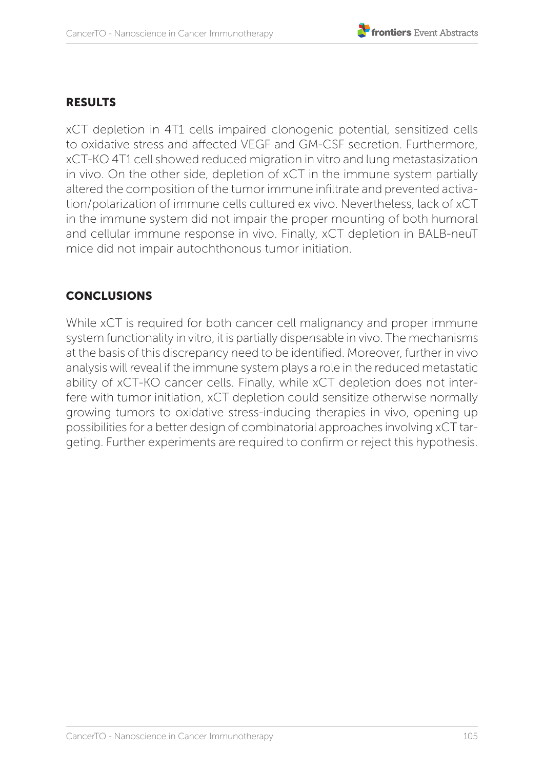#### RESULTS

xCT depletion in 4T1 cells impaired clonogenic potential, sensitized cells to oxidative stress and affected VEGF and GM-CSF secretion. Furthermore, xCT-KO 4T1 cell showed reduced migration in vitro and lung metastasization in vivo. On the other side, depletion of xCT in the immune system partially altered the composition of the tumor immune infiltrate and prevented activation/polarization of immune cells cultured ex vivo. Nevertheless, lack of xCT in the immune system did not impair the proper mounting of both humoral and cellular immune response in vivo. Finally, xCT depletion in BALB-neuT mice did not impair autochthonous tumor initiation.

### CONCLUSIONS

While xCT is required for both cancer cell malignancy and proper immune system functionality in vitro, it is partially dispensable in vivo. The mechanisms at the basis of this discrepancy need to be identified. Moreover, further in vivo analysis will reveal if the immune system plays a role in the reduced metastatic ability of xCT-KO cancer cells. Finally, while xCT depletion does not interfere with tumor initiation, xCT depletion could sensitize otherwise normally growing tumors to oxidative stress-inducing therapies in vivo, opening up possibilities for a better design of combinatorial approaches involving xCT targeting. Further experiments are required to confirm or reject this hypothesis.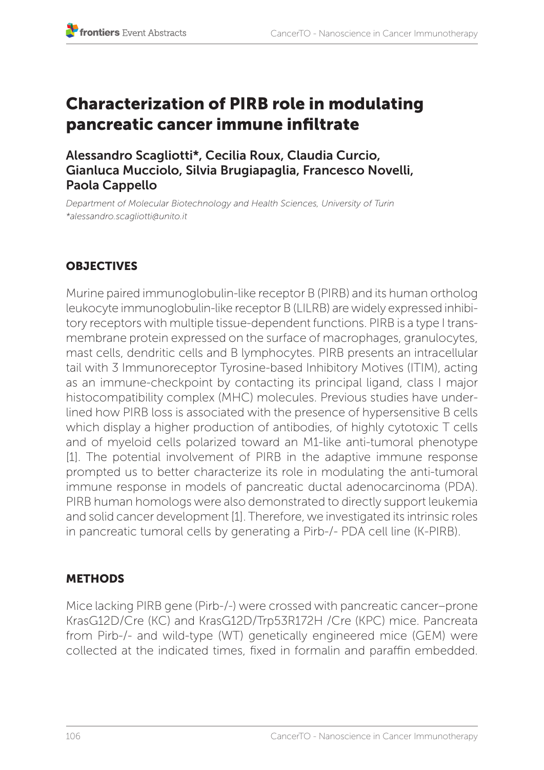# Characterization of PIRB role in modulating pancreatic cancer immune infiltrate

Alessandro Scagliotti\*, Cecilia Roux, Claudia Curcio, Gianluca Mucciolo, Silvia Brugiapaglia, Francesco Novelli, Paola Cappello

*Department of Molecular Biotechnology and Health Sciences, University of Turin \*alessandro.scagliotti@unito.it*

# **OBJECTIVES**

Murine paired immunoglobulin-like receptor B (PIRB) and its human ortholog leukocyte immunoglobulin-like receptor B (LILRB) are widely expressed inhibitory receptors with multiple tissue-dependent functions. PIRB is a type I transmembrane protein expressed on the surface of macrophages, granulocytes, mast cells, dendritic cells and B lymphocytes. PIRB presents an intracellular tail with 3 Immunoreceptor Tyrosine-based Inhibitory Motives (ITIM), acting as an immune-checkpoint by contacting its principal ligand, class I major histocompatibility complex (MHC) molecules. Previous studies have underlined how PIRB loss is associated with the presence of hypersensitive B cells which display a higher production of antibodies, of highly cytotoxic T cells and of myeloid cells polarized toward an M1-like anti-tumoral phenotype [1]. The potential involvement of PIRB in the adaptive immune response prompted us to better characterize its role in modulating the anti-tumoral immune response in models of pancreatic ductal adenocarcinoma (PDA). PIRB human homologs were also demonstrated to directly support leukemia and solid cancer development [1]. Therefore, we investigated its intrinsic roles in pancreatic tumoral cells by generating a Pirb-/- PDA cell line (K-PIRB).

# METHODS

Mice lacking PIRB gene (Pirb-/-) were crossed with pancreatic cancer–prone KrasG12D/Cre (KC) and KrasG12D/Trp53R172H /Cre (KPC) mice. Pancreata from Pirb-/- and wild-type (WT) genetically engineered mice (GEM) were collected at the indicated times, fixed in formalin and paraffin embedded.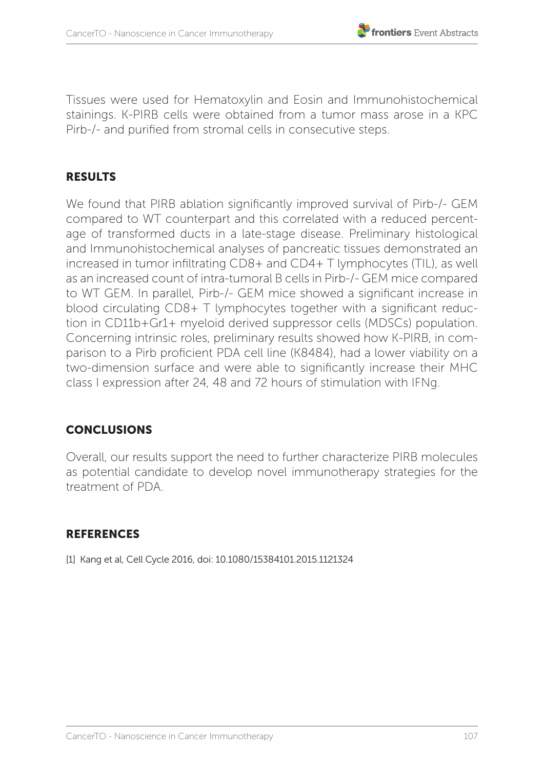Tissues were used for Hematoxylin and Eosin and Immunohistochemical stainings. K-PIRB cells were obtained from a tumor mass arose in a KPC Pirb-/- and purified from stromal cells in consecutive steps.

#### RESULTS

We found that PIRB ablation significantly improved survival of Pirb-/- GEM compared to WT counterpart and this correlated with a reduced percentage of transformed ducts in a late-stage disease. Preliminary histological and Immunohistochemical analyses of pancreatic tissues demonstrated an increased in tumor infiltrating CD8+ and CD4+ T lymphocytes (TIL), as well as an increased count of intra-tumoral B cells in Pirb-/- GEM mice compared to WT GEM. In parallel, Pirb-/- GEM mice showed a significant increase in blood circulating CD8+ T lymphocytes together with a significant reduction in CD11b+Gr1+ myeloid derived suppressor cells (MDSCs) population. Concerning intrinsic roles, preliminary results showed how K-PIRB, in comparison to a Pirb proficient PDA cell line (K8484), had a lower viability on a two-dimension surface and were able to significantly increase their MHC class I expression after 24, 48 and 72 hours of stimulation with IFNg.

# **CONCLUSIONS**

Overall, our results support the need to further characterize PIRB molecules as potential candidate to develop novel immunotherapy strategies for the treatment of PDA.

#### **REFERENCES**

[1] Kang et al, Cell Cycle 2016, doi: 10.1080/15384101.2015.1121324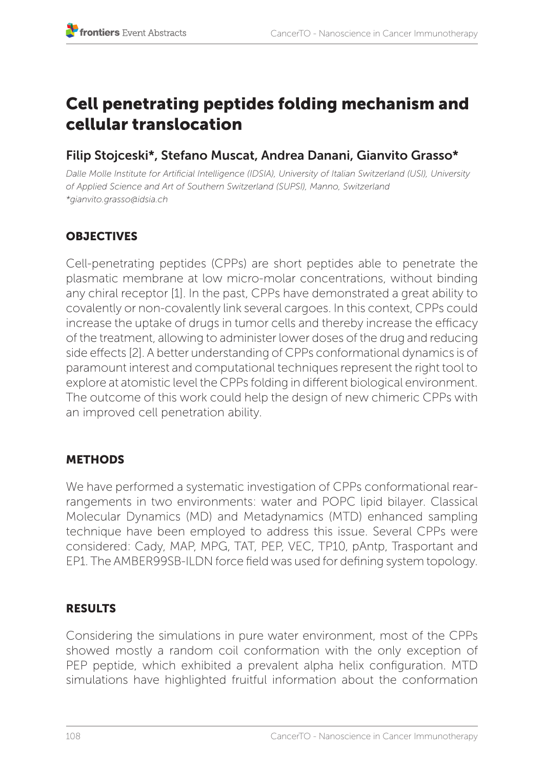# Cell penetrating peptides folding mechanism and cellular translocation

# Filip Stojceski\*, Stefano Muscat, Andrea Danani, Gianvito Grasso\*

*Dalle Molle Institute for Artificial Intelligence (IDSIA), University of Italian Switzerland (USI), University of Applied Science and Art of Southern Switzerland (SUPSI), Manno, Switzerland \*gianvito.grasso@idsia.ch* 

# **OBJECTIVES**

Cell-penetrating peptides (CPPs) are short peptides able to penetrate the plasmatic membrane at low micro-molar concentrations, without binding any chiral receptor [1]. In the past, CPPs have demonstrated a great ability to covalently or non-covalently link several cargoes. In this context, CPPs could increase the uptake of drugs in tumor cells and thereby increase the efficacy of the treatment, allowing to administer lower doses of the drug and reducing side effects [2]. A better understanding of CPPs conformational dynamics is of paramount interest and computational techniques represent the right tool to explore at atomistic level the CPPs folding in different biological environment. The outcome of this work could help the design of new chimeric CPPs with an improved cell penetration ability.

# **METHODS**

We have performed a systematic investigation of CPPs conformational rearrangements in two environments: water and POPC lipid bilayer. Classical Molecular Dynamics (MD) and Metadynamics (MTD) enhanced sampling technique have been employed to address this issue. Several CPPs were considered: Cady, MAP, MPG, TAT, PEP, VEC, TP10, pAntp, Trasportant and EP1. The AMBER99SB-ILDN force field was used for defining system topology.

## RESULTS

Considering the simulations in pure water environment, most of the CPPs showed mostly a random coil conformation with the only exception of PEP peptide, which exhibited a prevalent alpha helix configuration. MTD simulations have highlighted fruitful information about the conformation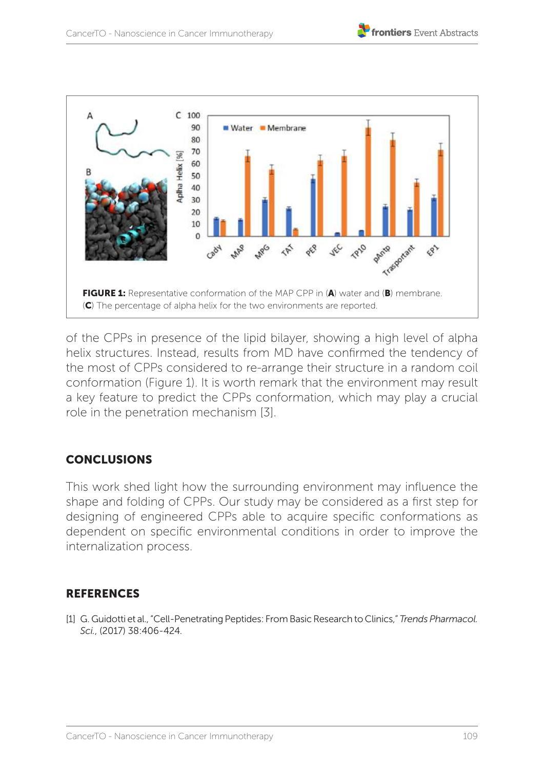



of the CPPs in presence of the lipid bilayer, showing a high level of alpha helix structures. Instead, results from MD have confirmed the tendency of the most of CPPs considered to re-arrange their structure in a random coil conformation (Figure 1). It is worth remark that the environment may result a key feature to predict the CPPs conformation, which may play a crucial role in the penetration mechanism [3].

## **CONCLUSIONS**

This work shed light how the surrounding environment may influence the shape and folding of CPPs. Our study may be considered as a first step for designing of engineered CPPs able to acquire specific conformations as dependent on specific environmental conditions in order to improve the internalization process.

## **REFERENCES**

[1] G. Guidotti et al., "Cell-Penetrating Peptides: From Basic Research to Clinics," *Trends Pharmacol. Sci.*, (2017) 38:406-424.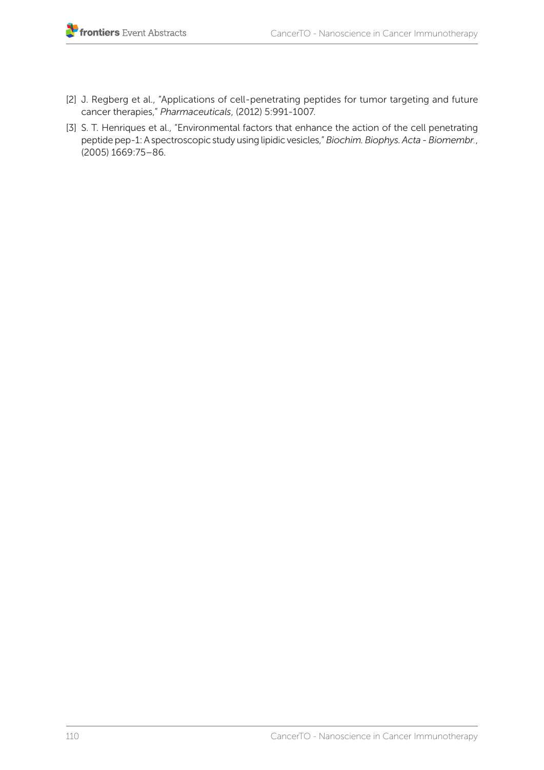- [2] J. Regberg et al., "Applications of cell-penetrating peptides for tumor targeting and future cancer therapies," *Pharmaceuticals*, (2012) 5:991-1007.
- [3] S. T. Henriques et al., "Environmental factors that enhance the action of the cell penetrating peptide pep-1: A spectroscopic study using lipidic vesicles," *Biochim. Biophys. Acta - Biomembr.*, (2005) 1669:75–86.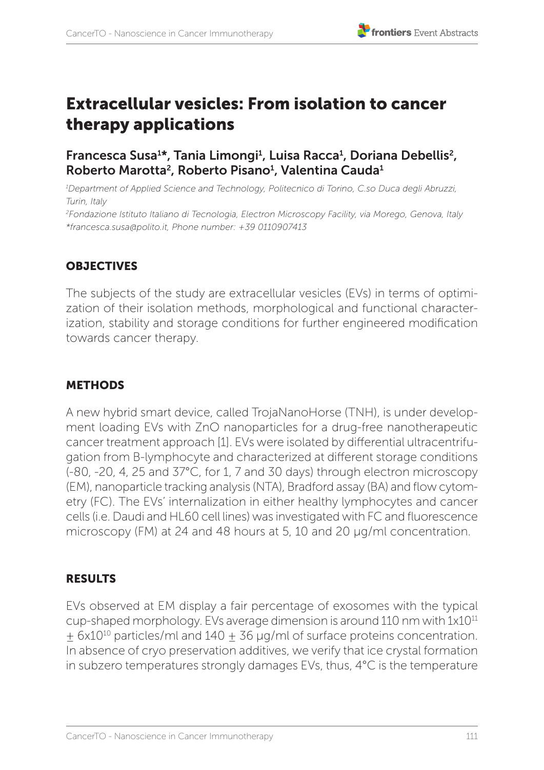# Extracellular vesicles: From isolation to cancer therapy applications

## Francesca Susa<sup>1\*</sup>, Tania Limongi<sup>1</sup>, Luisa Racca<sup>1</sup>, Doriana Debellis<sup>2</sup>, Roberto Marotta<sup>2</sup>, Roberto Pisano<sup>1</sup>, Valentina Cauda<sup>1</sup>

*1 Department of Applied Science and Technology, Politecnico di Torino, C.so Duca degli Abruzzi, Turin, Italy* 

*2 Fondazione Istituto Italiano di Tecnologia, Electron Microscopy Facility, via Morego, Genova, Italy \*francesca.susa@polito.it, Phone number: +39 0110907413*

## **OBJECTIVES**

The subjects of the study are extracellular vesicles (EVs) in terms of optimization of their isolation methods, morphological and functional characterization, stability and storage conditions for further engineered modification towards cancer therapy.

## **METHODS**

A new hybrid smart device, called TrojaNanoHorse (TNH), is under development loading EVs with ZnO nanoparticles for a drug-free nanotherapeutic cancer treatment approach [1]. EVs were isolated by differential ultracentrifugation from B-lymphocyte and characterized at different storage conditions (-80, -20, 4, 25 and 37°C, for 1, 7 and 30 days) through electron microscopy (EM), nanoparticle tracking analysis (NTA), Bradford assay (BA) and flow cytometry (FC). The EVs' internalization in either healthy lymphocytes and cancer cells (i.e. Daudi and HL60 cell lines) was investigated with FC and fluorescence microscopy (FM) at 24 and 48 hours at 5, 10 and 20 μg/ml concentration.

## RESULTS

EVs observed at EM display a fair percentage of exosomes with the typical cup-shaped morphology. EVs average dimension is around 110 nm with 1x1011  $\pm$  6x10<sup>10</sup> particles/ml and 140  $\pm$  36 µg/ml of surface proteins concentration. In absence of cryo preservation additives, we verify that ice crystal formation in subzero temperatures strongly damages EVs, thus, 4°C is the temperature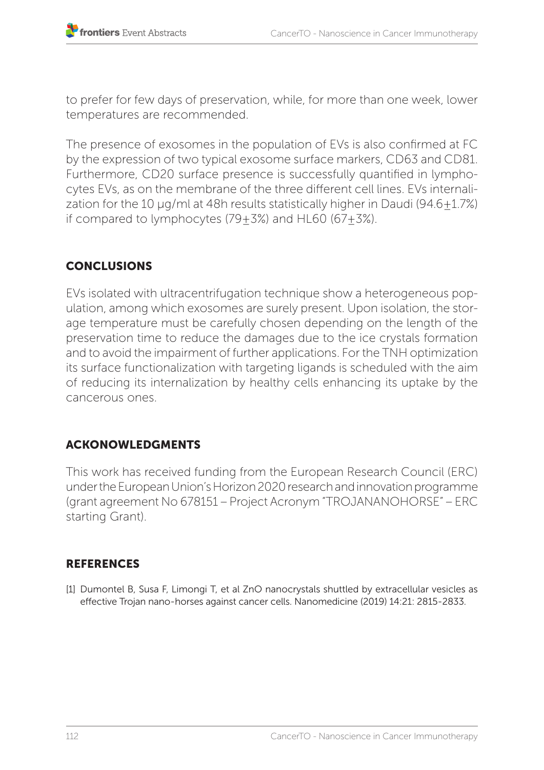to prefer for few days of preservation, while, for more than one week, lower temperatures are recommended.

The presence of exosomes in the population of EVs is also confirmed at FC by the expression of two typical exosome surface markers, CD63 and CD81. Furthermore, CD20 surface presence is successfully quantified in lymphocytes EVs, as on the membrane of the three different cell lines. EVs internalization for the 10 μg/ml at 48h results statistically higher in Daudi (94.6±1.7%) if compared to lymphocytes  $(79+3%)$  and HL60  $(67+3%)$ .

# **CONCLUSIONS**

EVs isolated with ultracentrifugation technique show a heterogeneous population, among which exosomes are surely present. Upon isolation, the storage temperature must be carefully chosen depending on the length of the preservation time to reduce the damages due to the ice crystals formation and to avoid the impairment of further applications. For the TNH optimization its surface functionalization with targeting ligands is scheduled with the aim of reducing its internalization by healthy cells enhancing its uptake by the cancerous ones.

# ACKONOWLEDGMENTS

This work has received funding from the European Research Council (ERC) under the European Union's Horizon 2020 research and innovation programme (grant agreement No 678151 – Project Acronym "TROJANANOHORSE" – ERC starting Grant).

## **REFERENCES**

[1] Dumontel B, Susa F, Limongi T, et al ZnO nanocrystals shuttled by extracellular vesicles as effective Trojan nano-horses against cancer cells. Nanomedicine (2019) 14:21: 2815-2833.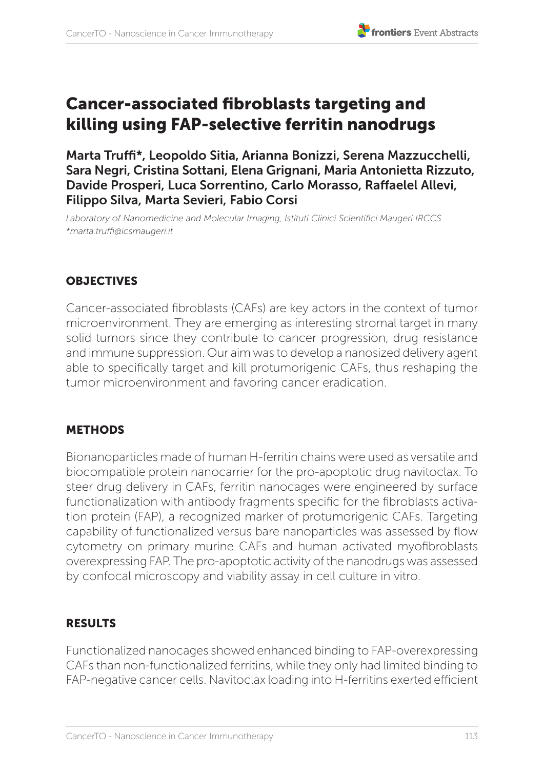

# Cancer-associated fibroblasts targeting and killing using FAP-selective ferritin nanodrugs

Marta Truffi\*, Leopoldo Sitia, Arianna Bonizzi, Serena Mazzucchelli, Sara Negri, Cristina Sottani, Elena Grignani, Maria Antonietta Rizzuto, Davide Prosperi, Luca Sorrentino, Carlo Morasso, Raffaelel Allevi, Filippo Silva, Marta Sevieri, Fabio Corsi

*Laboratory of Nanomedicine and Molecular Imaging, Istituti Clinici Scientifici Maugeri IRCCS \*marta.truffi@icsmaugeri.it*

## **OBJECTIVES**

Cancer-associated fibroblasts (CAFs) are key actors in the context of tumor microenvironment. They are emerging as interesting stromal target in many solid tumors since they contribute to cancer progression, drug resistance and immune suppression. Our aim was to develop a nanosized delivery agent able to specifically target and kill protumorigenic CAFs, thus reshaping the tumor microenvironment and favoring cancer eradication.

## **METHODS**

Bionanoparticles made of human H-ferritin chains were used as versatile and biocompatible protein nanocarrier for the pro-apoptotic drug navitoclax. To steer drug delivery in CAFs, ferritin nanocages were engineered by surface functionalization with antibody fragments specific for the fibroblasts activation protein (FAP), a recognized marker of protumorigenic CAFs. Targeting capability of functionalized versus bare nanoparticles was assessed by flow cytometry on primary murine CAFs and human activated myofibroblasts overexpressing FAP. The pro-apoptotic activity of the nanodrugs was assessed by confocal microscopy and viability assay in cell culture in vitro.

# **RESULTS**

Functionalized nanocages showed enhanced binding to FAP-overexpressing CAFs than non-functionalized ferritins, while they only had limited binding to FAP-negative cancer cells. Navitoclax loading into H-ferritins exerted efficient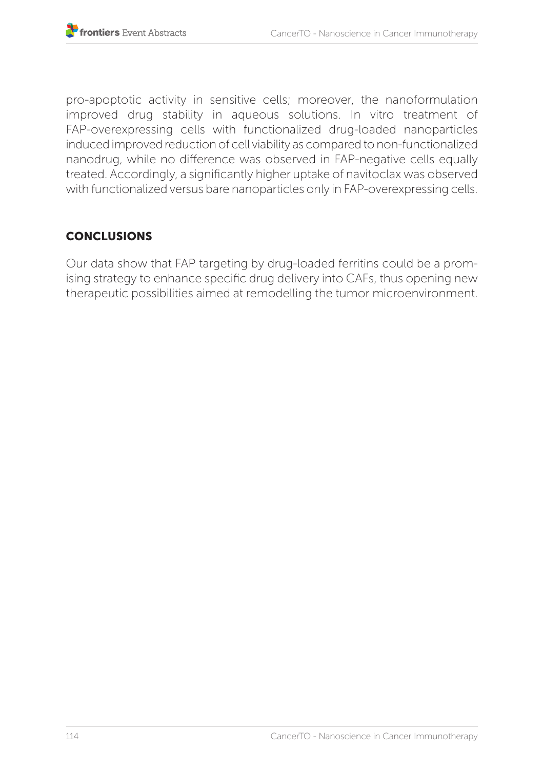pro-apoptotic activity in sensitive cells; moreover, the nanoformulation improved drug stability in aqueous solutions. In vitro treatment of FAP-overexpressing cells with functionalized drug-loaded nanoparticles induced improved reduction of cell viability as compared to non-functionalized nanodrug, while no difference was observed in FAP-negative cells equally treated. Accordingly, a significantly higher uptake of navitoclax was observed with functionalized versus bare nanoparticles only in FAP-overexpressing cells.

# **CONCLUSIONS**

Our data show that FAP targeting by drug-loaded ferritins could be a promising strategy to enhance specific drug delivery into CAFs, thus opening new therapeutic possibilities aimed at remodelling the tumor microenvironment.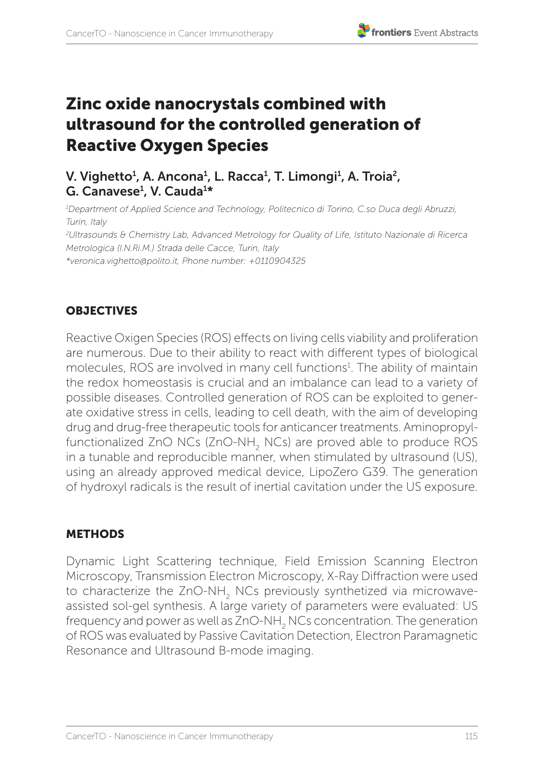# Zinc oxide nanocrystals combined with ultrasound for the controlled generation of Reactive Oxygen Species

# V. Vighetto<sup>1</sup>, A. Ancona<sup>1</sup>, L. Racca<sup>1</sup>, T. Limongi<sup>1</sup>, A. Troia<sup>2</sup>, G. Canavese<sup>1</sup>, V. Cauda<sup>1\*</sup>

*1 Department of Applied Science and Technology, Politecnico di Torino, C.so Duca degli Abruzzi, Turin, Italy*

*2 Ultrasounds & Chemistry Lab, Advanced Metrology for Quality of Life, Istituto Nazionale di Ricerca Metrologica (I.N.Ri.M.) Strada delle Cacce, Turin, Italy* 

*\*veronica.vighetto@polito.it, Phone number: +0110904325*

#### **OBJECTIVES**

Reactive Oxigen Species (ROS) effects on living cells viability and proliferation are numerous. Due to their ability to react with different types of biological molecules, ROS are involved in many cell functions<sup>1</sup>. The ability of maintain the redox homeostasis is crucial and an imbalance can lead to a variety of possible diseases. Controlled generation of ROS can be exploited to generate oxidative stress in cells, leading to cell death, with the aim of developing drug and drug-free therapeutic tools for anticancer treatments. Aminopropylfunctionalized ZnO NCs (ZnO-NH<sub>2</sub> NCs) are proved able to produce ROS in a tunable and reproducible manner, when stimulated by ultrasound (US), using an already approved medical device, LipoZero G39. The generation of hydroxyl radicals is the result of inertial cavitation under the US exposure.

## **METHODS**

Dynamic Light Scattering technique, Field Emission Scanning Electron Microscopy, Transmission Electron Microscopy, X-Ray Diffraction were used to characterize the ZnO-NH<sub>2</sub> NCs previously synthetized via microwaveassisted sol-gel synthesis. A large variety of parameters were evaluated: US frequency and power as well as ZnO-NH<sub>2</sub> NCs concentration. The generation of ROS was evaluated by Passive Cavitation Detection, Electron Paramagnetic Resonance and Ultrasound B-mode imaging.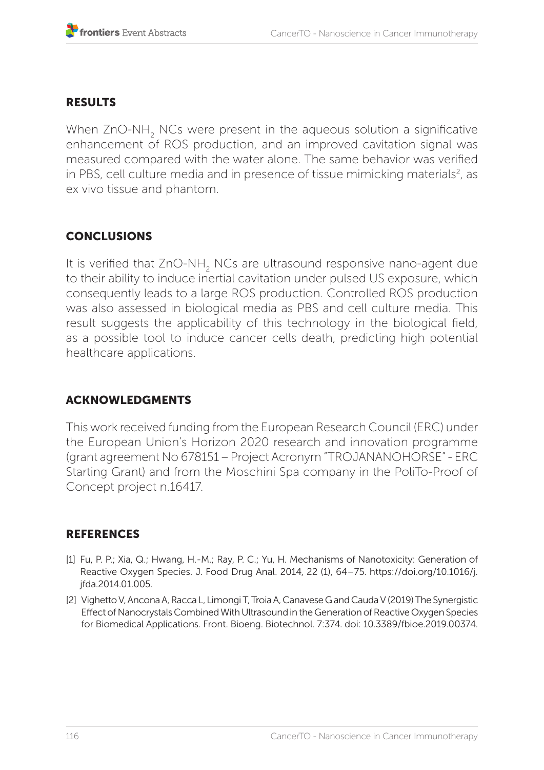## RESULTS

When ZnO-NH<sub>2</sub> NCs were present in the aqueous solution a significative enhancement of ROS production, and an improved cavitation signal was measured compared with the water alone. The same behavior was verified in PBS, cell culture media and in presence of tissue mimicking materials<sup>2</sup>, as ex vivo tissue and phantom.

# **CONCLUSIONS**

It is verified that ZnO-NH<sub>2</sub> NCs are ultrasound responsive nano-agent due to their ability to induce inertial cavitation under pulsed US exposure, which consequently leads to a large ROS production. Controlled ROS production was also assessed in biological media as PBS and cell culture media. This result suggests the applicability of this technology in the biological field. as a possible tool to induce cancer cells death, predicting high potential healthcare applications.

## ACKNOWLEDGMENTS

This work received funding from the European Research Council (ERC) under the European Union's Horizon 2020 research and innovation programme (grant agreement No 678151 – Project Acronym "TROJANANOHORSE" - ERC Starting Grant) and from the Moschini Spa company in the PoliTo-Proof of Concept project n.16417.

## **REFERENCES**

- [1] Fu, P. P.; Xia, Q.; Hwang, H.-M.; Ray, P. C.; Yu, H. Mechanisms of Nanotoxicity: Generation of Reactive Oxygen Species. J. Food Drug Anal. 2014, 22 (1), 64–75. https://doi.org/10.1016/j. jfda.2014.01.005.
- [2] Vighetto V, Ancona A, Racca L, Limongi T, Troia A, Canavese G and Cauda V (2019) The Synergistic Effect of Nanocrystals Combined With Ultrasound in the Generation of Reactive Oxygen Species for Biomedical Applications. Front. Bioeng. Biotechnol. 7:374. doi: 10.3389/fbioe.2019.00374.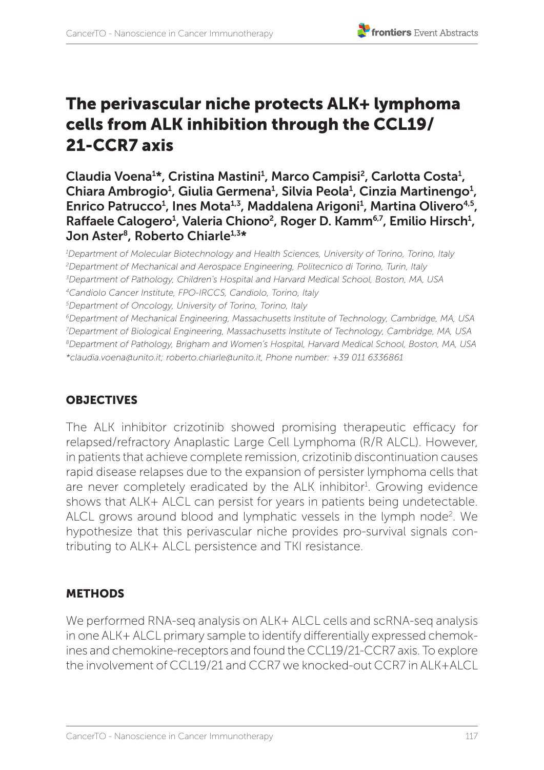# The perivascular niche protects ALK+ lymphoma cells from ALK inhibition through the CCL19/ 21-CCR7 axis

Claudia Voena<sup>1</sup>\*, Cristina Mastini<sup>1</sup>, Marco Campisi<sup>2</sup>, Carlotta Costa<sup>1</sup>, Chiara Ambrogio<sup>1</sup>, Giulia Germena<sup>1</sup>, Silvia Peola<sup>1</sup>, Cinzia Martinengo<sup>1</sup>, Enrico Patrucco<sup>1</sup>, Ines Mota<sup>1,3</sup>, Maddalena Arigoni<sup>1</sup>, Martina Olivero<sup>4,5</sup>, Raffaele Calogero<sup>1</sup>, Valeria Chiono<sup>2</sup>, Roger D. Kamm<sup>6,7</sup>, Emilio Hirsch<sup>1</sup>, Jon Aster<sup>8</sup>, Roberto Chiarle<sup>1,3\*</sup>

*1 Department of Molecular Biotechnology and Health Sciences, University of Torino, Torino, Italy 2 Department of Mechanical and Aerospace Engineering, Politecnico di Torino, Turin, Italy 3 Department of Pathology, Children's Hospital and Harvard Medical School, Boston, MA, USA 4Candiolo Cancer Institute, FPO-IRCCS, Candiolo, Torino, Italy 5 Department of Oncology, University of Torino, Torino, Italy 6Department of Mechanical Engineering, Massachusetts Institute of Technology, Cambridge, MA, USA 7 Department of Biological Engineering, Massachusetts Institute of Technology, Cambridge, MA, USA 8Department of Pathology, Brigham and Women's Hospital, Harvard Medical School, Boston, MA, USA \*claudia.voena@unito.it; roberto.chiarle@unito.it, Phone number: +39 011 6336861*

# **OBJECTIVES**

The ALK inhibitor crizotinib showed promising therapeutic efficacy for relapsed/refractory Anaplastic Large Cell Lymphoma (R/R ALCL). However, in patients that achieve complete remission, crizotinib discontinuation causes rapid disease relapses due to the expansion of persister lymphoma cells that are never completely eradicated by the ALK inhibitor<sup>1</sup>. Growing evidence shows that ALK+ ALCL can persist for years in patients being undetectable. ALCL grows around blood and lymphatic vessels in the lymph node<sup>2</sup>. We hypothesize that this perivascular niche provides pro-survival signals contributing to ALK+ ALCL persistence and TKI resistance.

# **METHODS**

We performed RNA-seq analysis on ALK+ ALCL cells and scRNA-seq analysis in one ALK+ ALCL primary sample to identify differentially expressed chemokines and chemokine-receptors and found the CCL19/21-CCR7 axis. To explore the involvement of CCL19/21 and CCR7 we knocked-out CCR7 in ALK+ALCL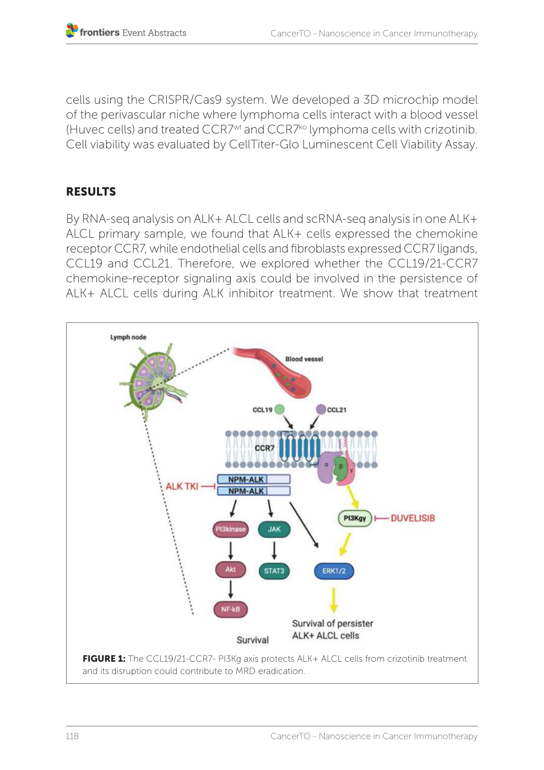cells using the CRISPR/Cas9 system. We developed a 3D microchip model of the perivascular niche where lymphoma cells interact with a blood vessel (Huvec cells) and treated CCR7wt and CCR7ko lymphoma cells with crizotinib. Cell viability was evaluated by CellTiter-Glo Luminescent Cell Viability Assay.

### RESULTS

By RNA-seq analysis on ALK+ ALCL cells and scRNA-seq analysis in one ALK+ ALCL primary sample, we found that ALK+ cells expressed the chemokine receptor CCR7, while endothelial cells and fibroblasts expressed CCR7 ligands, CCL19 and CCL21. Therefore, we explored whether the CCL19/21-CCR7 chemokine-receptor signaling axis could be involved in the persistence of ALK+ ALCL cells during ALK inhibitor treatment. We show that treatment

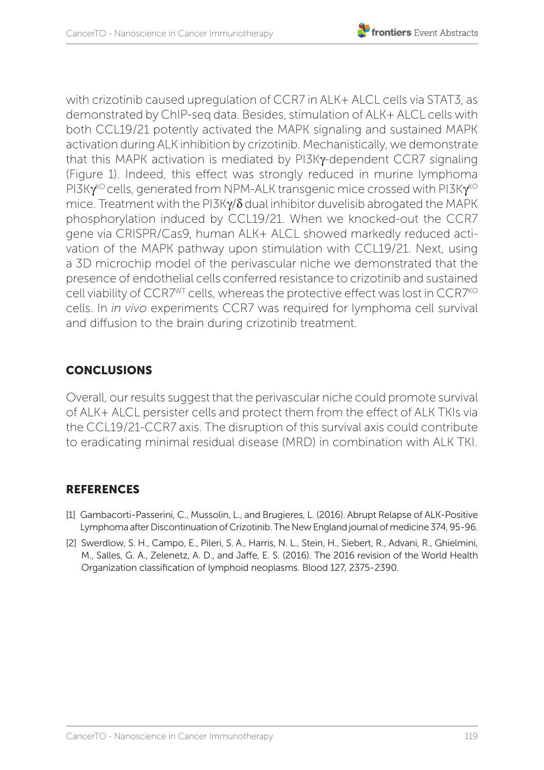

with crizotinib caused upregulation of CCR7 in ALK+ ALCL cells via STAT3, as demonstrated by ChIP-seq data. Besides, stimulation of ALK+ ALCL cells with both CCL19/21 potently activated the MAPK signaling and sustained MAPK activation during ALK inhibition by crizotinib. Mechanistically, we demonstrate that this MAPK activation is mediated by PI3Ky-dependent CCR7 signaling (Figure 1). Indeed, this effect was strongly reduced in murine lymphoma  $P13K\gamma^{k\circ}$  cells, generated from NPM-ALK transgenic mice crossed with PI3K $\gamma^{k\circ}$ mice. Treatment with the PI3Kg/δ dual inhibitor duvelisib abrogated the MAPK phosphorylation induced by CCL19/21. When we knocked-out the CCR7 gene via CRISPR/Cas9, human ALK+ ALCL showed markedly reduced activation of the MAPK pathway upon stimulation with CCL19/21. Next, using a 3D microchip model of the perivascular niche we demonstrated that the presence of endothelial cells conferred resistance to crizotinib and sustained cell viability of  $CCR7^{WT}$  cells, whereas the protective effect was lost in  $CCR7^{KO}$ cells. In *in vivo* experiments CCR7 was required for lymphoma cell survival and diffusion to the brain during crizotinib treatment.

# **CONCLUSIONS**

Overall, our results suggest that the perivascular niche could promote survival of ALK+ ALCL persister cells and protect them from the effect of ALK TKIs via the CCL19/21-CCR7 axis. The disruption of this survival axis could contribute to eradicating minimal residual disease (MRD) in combination with ALK TKI.

# **REFERENCES**

- [1] Gambacorti-Passerini, C., Mussolin, L., and Brugieres, L. (2016). Abrupt Relapse of ALK-Positive Lymphoma after Discontinuation of Crizotinib. The New England journal of medicine 374, 95-96.
- [2] Swerdlow, S. H., Campo, E., Pileri, S. A., Harris, N. L., Stein, H., Siebert, R., Advani, R., Ghielmini, M., Salles, G. A., Zelenetz, A. D., and Jaffe, E. S. (2016). The 2016 revision of the World Health Organization classification of lymphoid neoplasms. Blood 127, 2375-2390.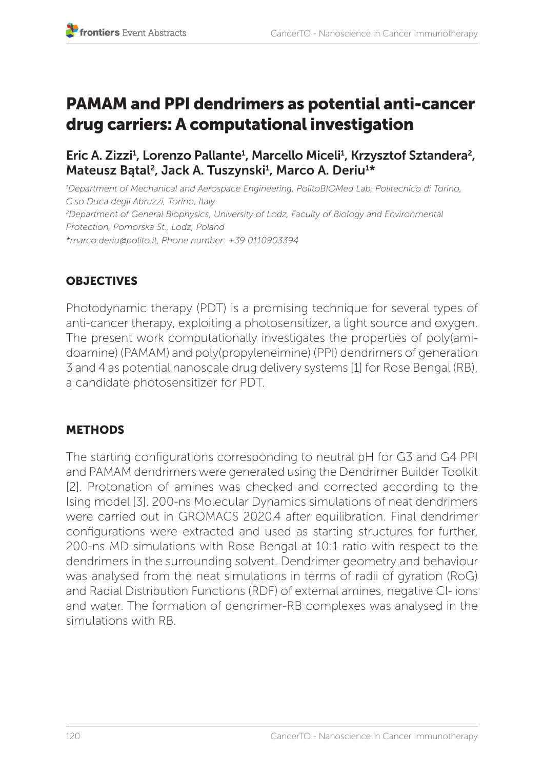# PAMAM and PPI dendrimers as potential anti-cancer drug carriers: A computational investigation

# Eric A. Zizzi<sup>1</sup>, Lorenzo Pallante<sup>1</sup>, Marcello Miceli<sup>1</sup>, Krzysztof Sztandera<sup>2</sup>, Mateusz Bątal<sup>2</sup>, Jack A. Tuszynski<sup>1</sup>, Marco A. Deriu<sup>1\*</sup>

*1 Department of Mechanical and Aerospace Engineering, PolitoBIOMed Lab, Politecnico di Torino, C.so Duca degli Abruzzi, Torino, Italy 2 Department of General Biophysics, University of Lodz, Faculty of Biology and Environmental Protection, Pomorska St., Lodz, Poland \*marco.deriu@polito.it, Phone number: +39 0110903394* 

# **OBJECTIVES**

Photodynamic therapy (PDT) is a promising technique for several types of anti-cancer therapy, exploiting a photosensitizer, a light source and oxygen. The present work computationally investigates the properties of poly(amidoamine) (PAMAM) and poly(propyleneimine) (PPI) dendrimers of generation 3 and 4 as potential nanoscale drug delivery systems [1] for Rose Bengal (RB), a candidate photosensitizer for PDT.

# METHODS

The starting configurations corresponding to neutral pH for G3 and G4 PPI and PAMAM dendrimers were generated using the Dendrimer Builder Toolkit [2]. Protonation of amines was checked and corrected according to the Ising model [3]. 200-ns Molecular Dynamics simulations of neat dendrimers were carried out in GROMACS 2020.4 after equilibration. Final dendrimer configurations were extracted and used as starting structures for further, 200-ns MD simulations with Rose Bengal at 10:1 ratio with respect to the dendrimers in the surrounding solvent. Dendrimer geometry and behaviour was analysed from the neat simulations in terms of radii of gyration (RoG) and Radial Distribution Functions (RDF) of external amines, negative Cl- ions and water. The formation of dendrimer-RB complexes was analysed in the simulations with RB.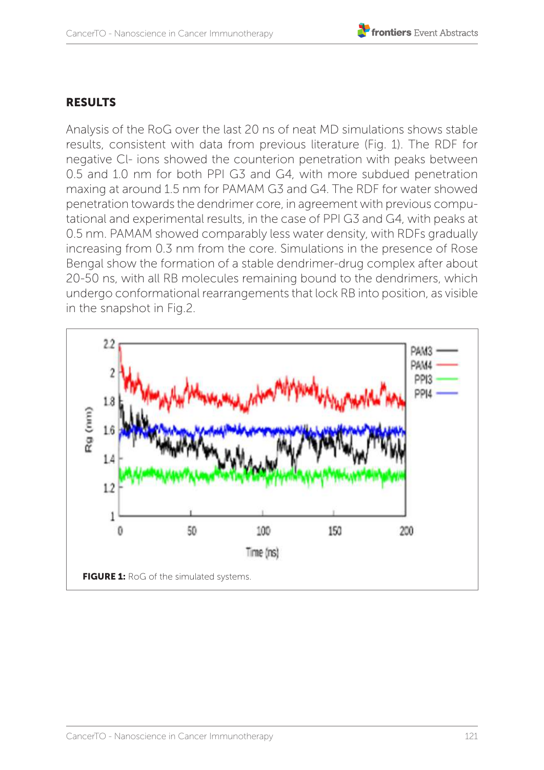# RESULTS

Analysis of the RoG over the last 20 ns of neat MD simulations shows stable results, consistent with data from previous literature (Fig. 1). The RDF for negative Cl- ions showed the counterion penetration with peaks between 0.5 and 1.0 nm for both PPI G3 and G4, with more subdued penetration maxing at around 1.5 nm for PAMAM G3 and G4. The RDF for water showed penetration towards the dendrimer core, in agreement with previous computational and experimental results, in the case of PPI G3 and G4, with peaks at 0.5 nm. PAMAM showed comparably less water density, with RDFs gradually increasing from 0.3 nm from the core. Simulations in the presence of Rose Bengal show the formation of a stable dendrimer-drug complex after about 20-50 ns, with all RB molecules remaining bound to the dendrimers, which undergo conformational rearrangements that lock RB into position, as visible in the snapshot in Fig.2.

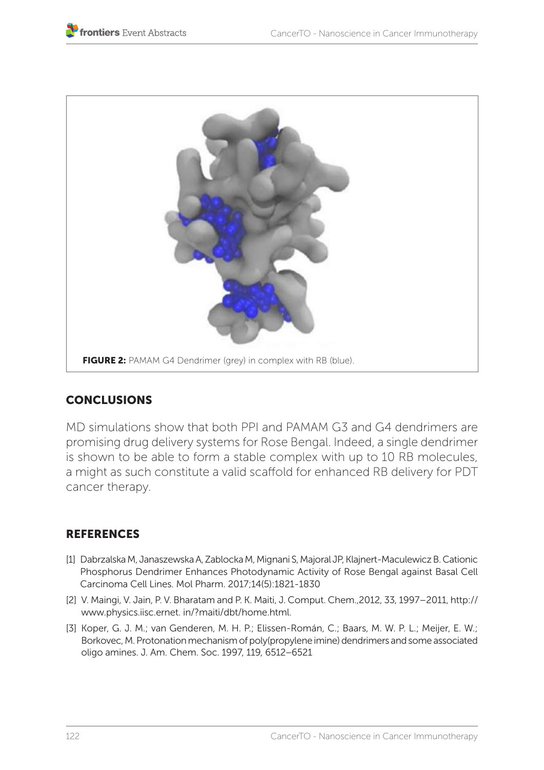

## **CONCLUSIONS**

MD simulations show that both PPI and PAMAM G3 and G4 dendrimers are promising drug delivery systems for Rose Bengal. Indeed, a single dendrimer is shown to be able to form a stable complex with up to 10 RB molecules, a might as such constitute a valid scaffold for enhanced RB delivery for PDT cancer therapy.

## **REFERENCES**

- [1] Dabrzalska M, Janaszewska A, Zablocka M, Mignani S, Majoral JP, Klajnert-Maculewicz B. Cationic Phosphorus Dendrimer Enhances Photodynamic Activity of Rose Bengal against Basal Cell Carcinoma Cell Lines. Mol Pharm. 2017;14(5):1821-1830
- [2] V. Maingi, V. Jain, P. V. Bharatam and P. K. Maiti, J. Comput. Chem.,2012, 33, 1997–2011, http:// www.physics.iisc.ernet. in/?maiti/dbt/home.html.
- [3] Koper, G. J. M.; van Genderen, M. H. P.; Elissen-Román, C.; Baars, M. W. P. L.; Meijer, E. W.; Borkovec, M. Protonation mechanism of poly(propylene imine) dendrimers and some associated oligo amines. J. Am. Chem. Soc. 1997, 119, 6512−6521